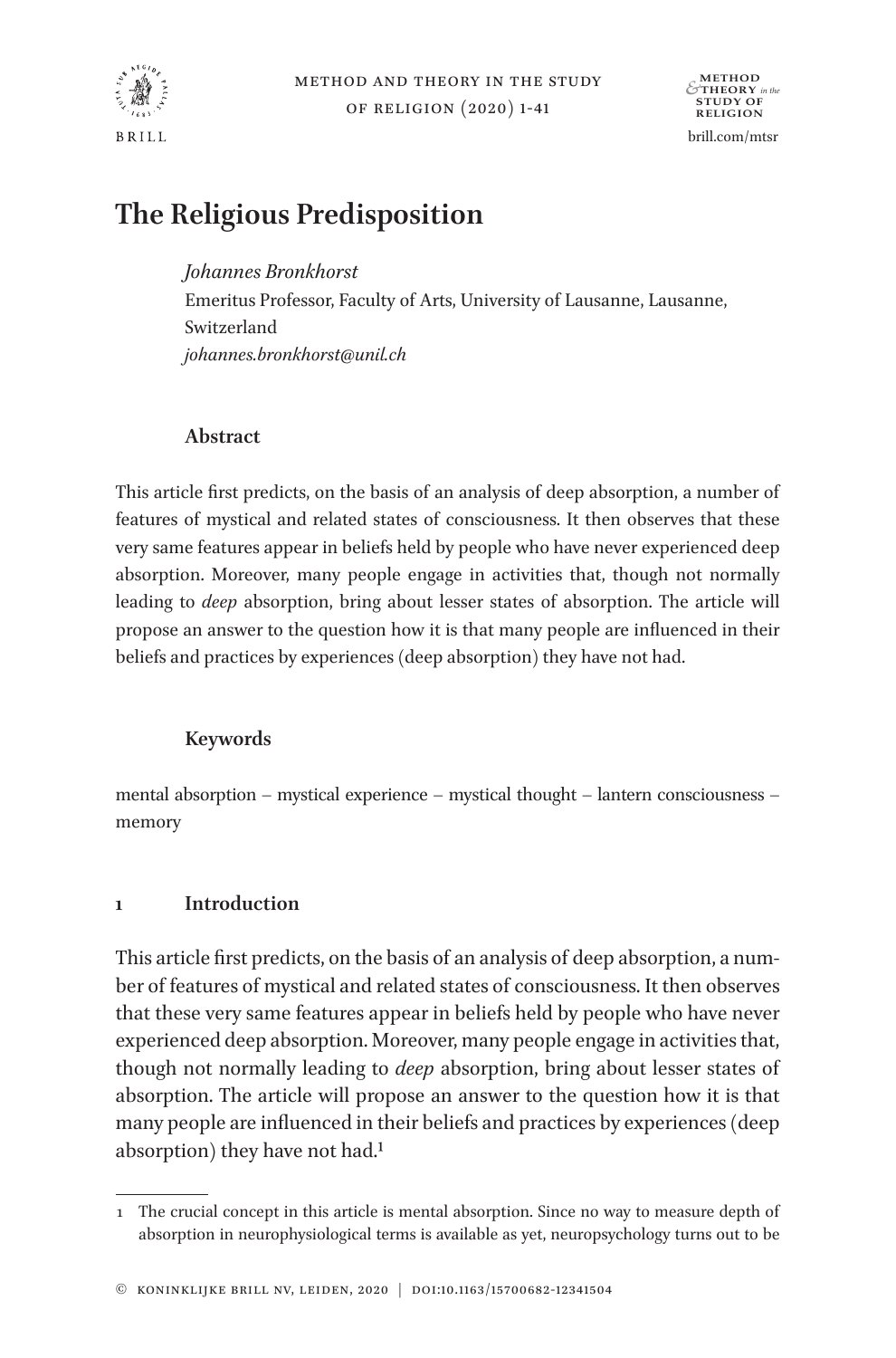

# **The Religious Predisposition**

*Johannes Bronkhorst*

Emeritus Professor, Faculty of Arts, University of Lausanne, Lausanne, Switzerland *johannes.bronkhorst@unil.ch*

# **Abstract**

This article first predicts, on the basis of an analysis of deep absorption, a number of features of mystical and related states of consciousness. It then observes that these very same features appear in beliefs held by people who have never experienced deep absorption. Moreover, many people engage in activities that, though not normally leading to *deep* absorption, bring about lesser states of absorption. The article will propose an answer to the question how it is that many people are influenced in their beliefs and practices by experiences (deep absorption) they have not had.

# **Keywords**

mental absorption – mystical experience – mystical thought – lantern consciousness – memory

# **1 Introduction**

This article first predicts, on the basis of an analysis of deep absorption, a number of features of mystical and related states of consciousness. It then observes that these very same features appear in beliefs held by people who have never experienced deep absorption. Moreover, many people engage in activities that, though not normally leading to *deep* absorption, bring about lesser states of absorption. The article will propose an answer to the question how it is that many people are influenced in their beliefs and practices by experiences (deep absorption) they have not had.<sup>1</sup>

<sup>1</sup> The crucial concept in this article is mental absorption. Since no way to measure depth of absorption in neurophysiological terms is available as yet, neuropsychology turns out to be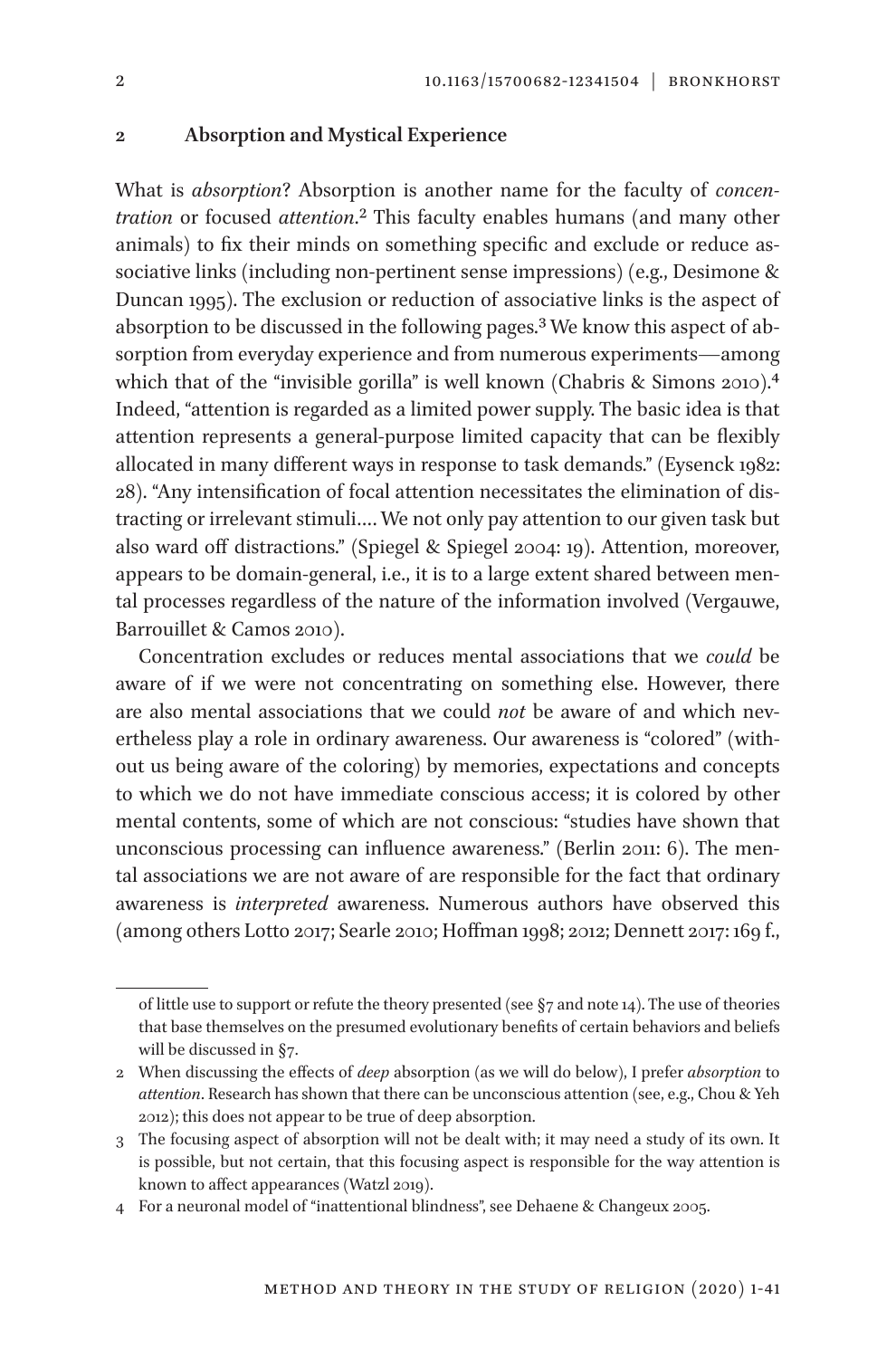### **2 Absorption and Mystical Experience**

What is *absorption*? Absorption is another name for the faculty of *concentration* or focused *attention*.2 This faculty enables humans (and many other animals) to fix their minds on something specific and exclude or reduce associative links (including non-pertinent sense impressions) (e.g., Desimone & Duncan 1995). The exclusion or reduction of associative links is the aspect of absorption to be discussed in the following pages.3 We know this aspect of absorption from everyday experience and from numerous experiments—among which that of the "invisible gorilla" is well known (Chabris & Simons 2010).<sup>4</sup> Indeed, "attention is regarded as a limited power supply. The basic idea is that attention represents a general-purpose limited capacity that can be flexibly allocated in many different ways in response to task demands." (Eysenck 1982: 28). "Any intensification of focal attention necessitates the elimination of distracting or irrelevant stimuli…. We not only pay attention to our given task but also ward off distractions." (Spiegel & Spiegel 2004: 19). Attention, moreover, appears to be domain-general, i.e., it is to a large extent shared between mental processes regardless of the nature of the information involved (Vergauwe, Barrouillet & Camos 2010).

Concentration excludes or reduces mental associations that we *could* be aware of if we were not concentrating on something else. However, there are also mental associations that we could *not* be aware of and which nevertheless play a role in ordinary awareness. Our awareness is "colored" (without us being aware of the coloring) by memories, expectations and concepts to which we do not have immediate conscious access; it is colored by other mental contents, some of which are not conscious: "studies have shown that unconscious processing can influence awareness." (Berlin 2011: 6). The mental associations we are not aware of are responsible for the fact that ordinary awareness is *interpreted* awareness. Numerous authors have observed this (among others Lotto 2017; Searle 2010; Hoffman 1998; 2012; Dennett 2017: 169 f.,

of little use to support or refute the theory presented (see §7 and note 14). The use of theories that base themselves on the presumed evolutionary benefits of certain behaviors and beliefs will be discussed in §7.

<sup>2</sup> When discussing the effects of *deep* absorption (as we will do below), I prefer *absorption* to *attention*. Research has shown that there can be unconscious attention (see, e.g., Chou & Yeh 2012); this does not appear to be true of deep absorption.

<sup>3</sup> The focusing aspect of absorption will not be dealt with; it may need a study of its own. It is possible, but not certain, that this focusing aspect is responsible for the way attention is known to affect appearances (Watzl 2019).

<sup>4</sup> For a neuronal model of "inattentional blindness", see Dehaene & Changeux 2005.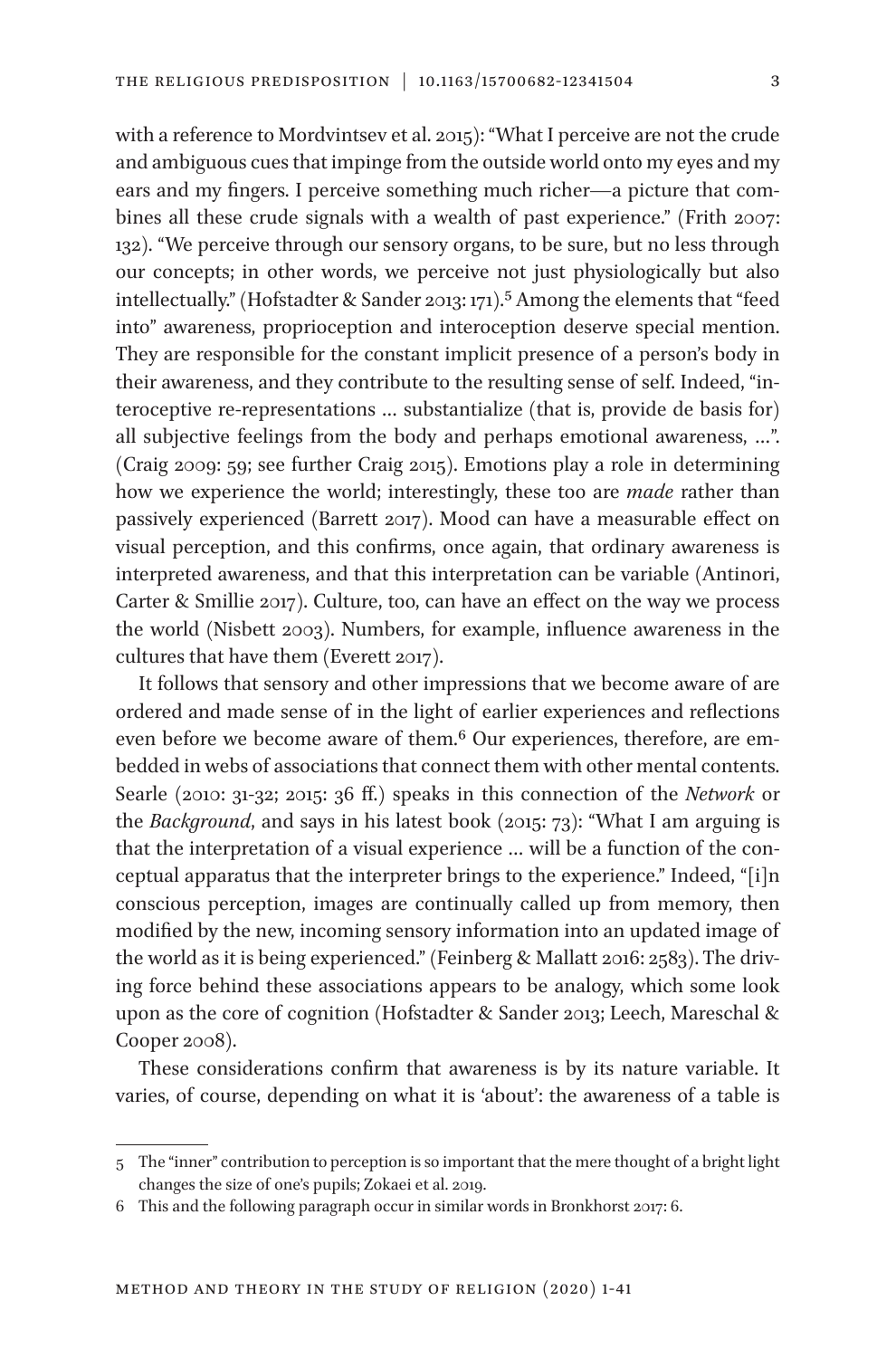with a reference to Mordvintsev et al. 2015): "What I perceive are not the crude and ambiguous cues that impinge from the outside world onto my eyes and my ears and my fingers. I perceive something much richer—a picture that combines all these crude signals with a wealth of past experience." (Frith 2007: 132). "We perceive through our sensory organs, to be sure, but no less through our concepts; in other words, we perceive not just physiologically but also intellectually." (Hofstadter & Sander 2013: 171).5 Among the elements that "feed into" awareness, proprioception and interoception deserve special mention. They are responsible for the constant implicit presence of a person's body in their awareness, and they contribute to the resulting sense of self. Indeed, "interoceptive re-representations … substantialize (that is, provide de basis for) all subjective feelings from the body and perhaps emotional awareness, …". (Craig 2009: 59; see further Craig 2015). Emotions play a role in determining how we experience the world; interestingly, these too are *made* rather than passively experienced (Barrett 2017). Mood can have a measurable effect on visual perception, and this confirms, once again, that ordinary awareness is interpreted awareness, and that this interpretation can be variable (Antinori, Carter & Smillie 2017). Culture, too, can have an effect on the way we process the world (Nisbett 2003). Numbers, for example, influence awareness in the cultures that have them (Everett 2017).

It follows that sensory and other impressions that we become aware of are ordered and made sense of in the light of earlier experiences and reflections even before we become aware of them.6 Our experiences, therefore, are embedded in webs of associations that connect them with other mental contents. Searle (2010: 31-32; 2015: 36 ff.) speaks in this connection of the *Network* or the *Background*, and says in his latest book (2015: 73): "What I am arguing is that the interpretation of a visual experience … will be a function of the conceptual apparatus that the interpreter brings to the experience." Indeed, "[i]n conscious perception, images are continually called up from memory, then modified by the new, incoming sensory information into an updated image of the world as it is being experienced." (Feinberg & Mallatt 2016: 2583). The driving force behind these associations appears to be analogy, which some look upon as the core of cognition (Hofstadter & Sander 2013; Leech, Mareschal & Cooper 2008).

These considerations confirm that awareness is by its nature variable. It varies, of course, depending on what it is 'about': the awareness of a table is

<sup>5</sup> The "inner" contribution to perception is so important that the mere thought of a bright light changes the size of one's pupils; Zokaei et al. 2019.

<sup>6</sup> This and the following paragraph occur in similar words in Bronkhorst 2017: 6.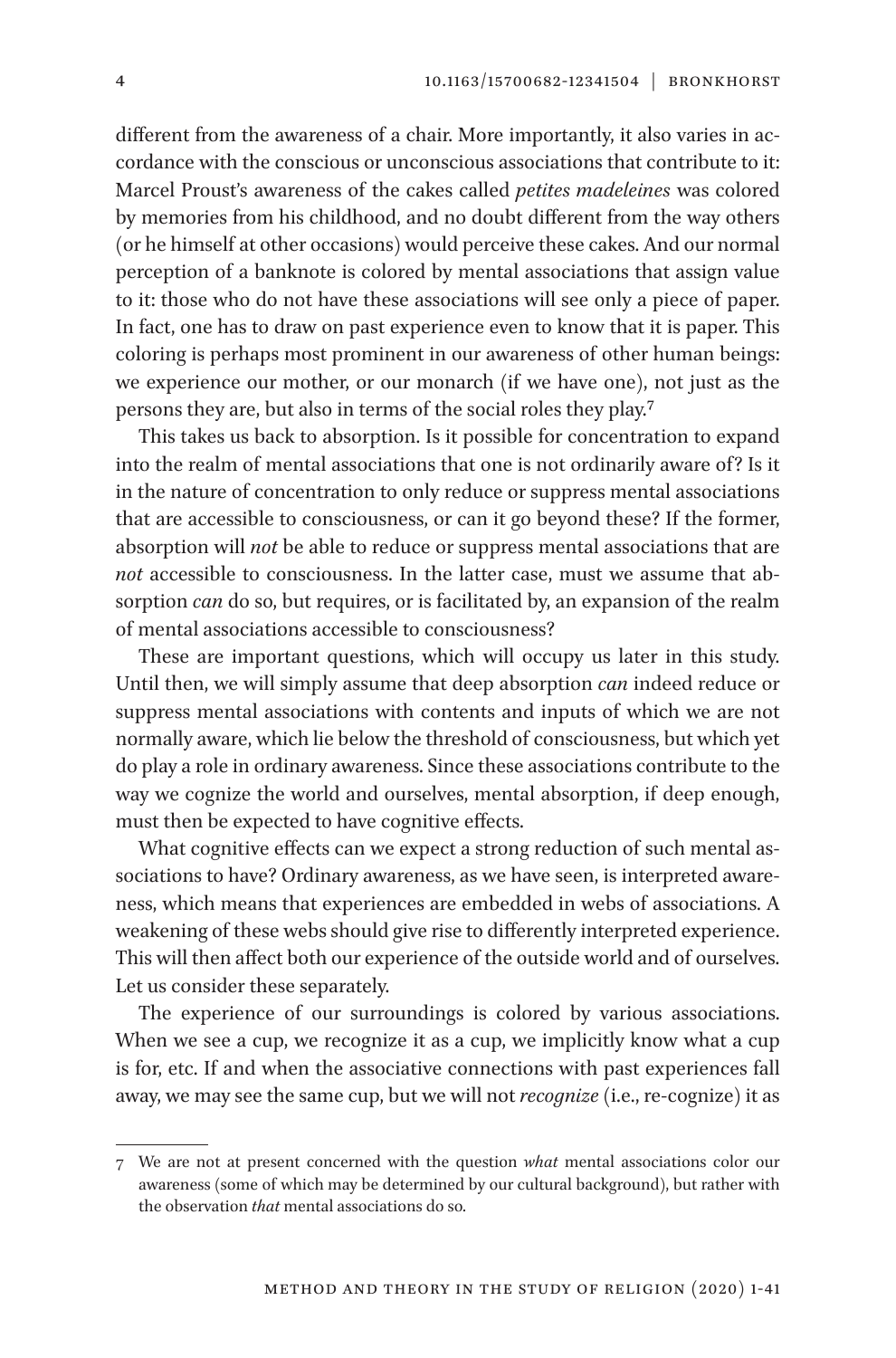different from the awareness of a chair. More importantly, it also varies in accordance with the conscious or unconscious associations that contribute to it: Marcel Proust's awareness of the cakes called *petites madeleines* was colored by memories from his childhood, and no doubt different from the way others (or he himself at other occasions) would perceive these cakes. And our normal perception of a banknote is colored by mental associations that assign value to it: those who do not have these associations will see only a piece of paper. In fact, one has to draw on past experience even to know that it is paper. This coloring is perhaps most prominent in our awareness of other human beings: we experience our mother, or our monarch (if we have one), not just as the persons they are, but also in terms of the social roles they play.7

This takes us back to absorption. Is it possible for concentration to expand into the realm of mental associations that one is not ordinarily aware of? Is it in the nature of concentration to only reduce or suppress mental associations that are accessible to consciousness, or can it go beyond these? If the former, absorption will *not* be able to reduce or suppress mental associations that are *not* accessible to consciousness. In the latter case, must we assume that absorption *can* do so, but requires, or is facilitated by, an expansion of the realm of mental associations accessible to consciousness?

These are important questions, which will occupy us later in this study. Until then, we will simply assume that deep absorption *can* indeed reduce or suppress mental associations with contents and inputs of which we are not normally aware, which lie below the threshold of consciousness, but which yet do play a role in ordinary awareness. Since these associations contribute to the way we cognize the world and ourselves, mental absorption, if deep enough, must then be expected to have cognitive effects.

What cognitive effects can we expect a strong reduction of such mental associations to have? Ordinary awareness, as we have seen, is interpreted awareness, which means that experiences are embedded in webs of associations. A weakening of these webs should give rise to differently interpreted experience. This will then affect both our experience of the outside world and of ourselves. Let us consider these separately.

The experience of our surroundings is colored by various associations. When we see a cup, we recognize it as a cup, we implicitly know what a cup is for, etc. If and when the associative connections with past experiences fall away, we may see the same cup, but we will not *recognize* (i.e., re-cognize) it as

<sup>7</sup> We are not at present concerned with the question *what* mental associations color our awareness (some of which may be determined by our cultural background), but rather with the observation *that* mental associations do so.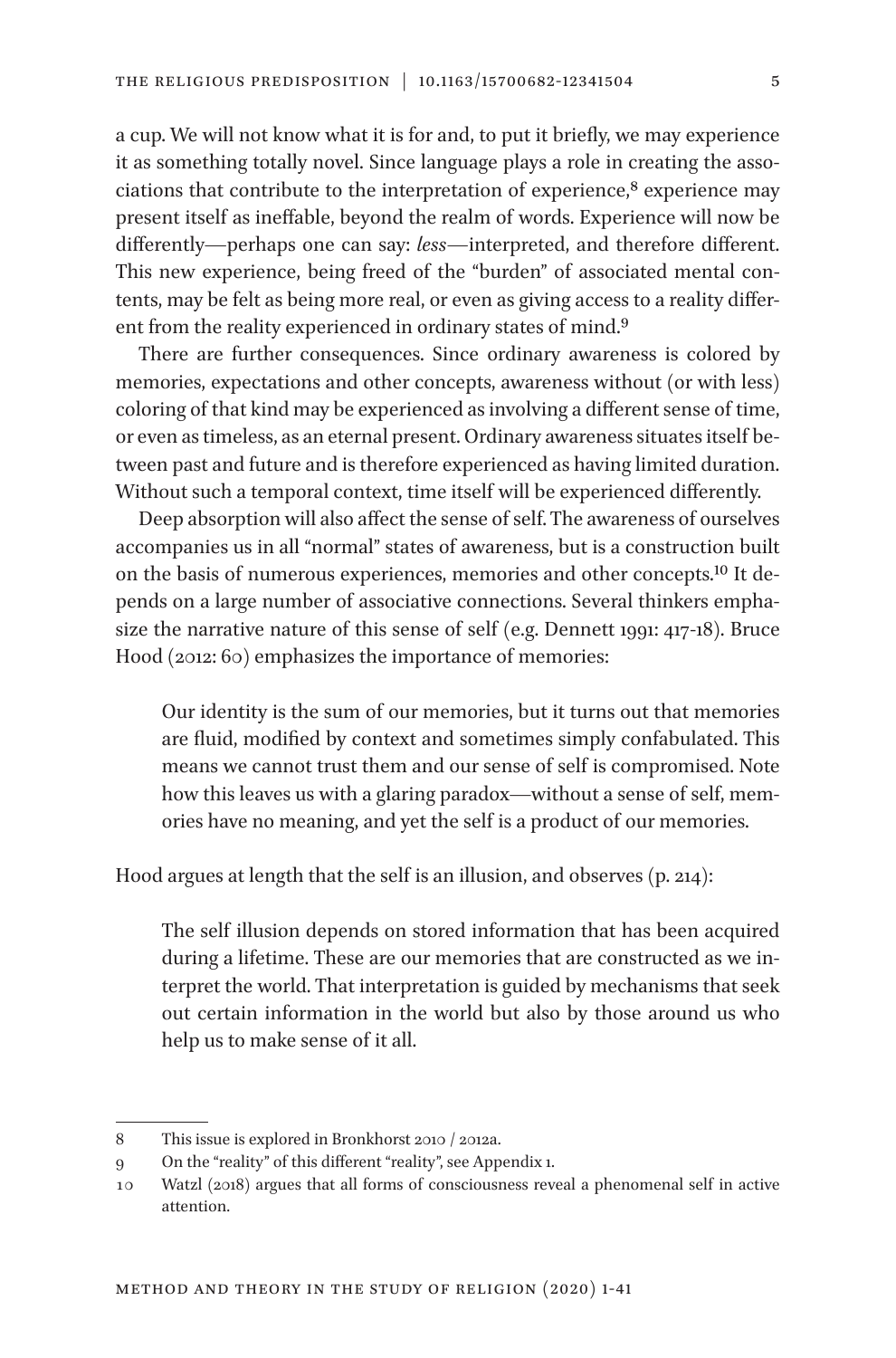a cup. We will not know what it is for and, to put it briefly, we may experience it as something totally novel. Since language plays a role in creating the associations that contribute to the interpretation of experience,<sup>8</sup> experience may present itself as ineffable, beyond the realm of words. Experience will now be differently—perhaps one can say: *less—*interpreted, and therefore different. This new experience, being freed of the "burden" of associated mental contents, may be felt as being more real, or even as giving access to a reality different from the reality experienced in ordinary states of mind.<sup>9</sup>

There are further consequences. Since ordinary awareness is colored by memories, expectations and other concepts, awareness without (or with less) coloring of that kind may be experienced as involving a different sense of time, or even as timeless, as an eternal present. Ordinary awareness situates itself between past and future and is therefore experienced as having limited duration. Without such a temporal context, time itself will be experienced differently.

Deep absorption will also affect the sense of self. The awareness of ourselves accompanies us in all "normal" states of awareness, but is a construction built on the basis of numerous experiences, memories and other concepts.10 It depends on a large number of associative connections. Several thinkers emphasize the narrative nature of this sense of self (e.g. Dennett 1991: 417-18). Bruce Hood (2012: 60) emphasizes the importance of memories:

Our identity is the sum of our memories, but it turns out that memories are fluid, modified by context and sometimes simply confabulated. This means we cannot trust them and our sense of self is compromised. Note how this leaves us with a glaring paradox—without a sense of self, memories have no meaning, and yet the self is a product of our memories.

Hood argues at length that the self is an illusion, and observes (p. 214):

The self illusion depends on stored information that has been acquired during a lifetime. These are our memories that are constructed as we interpret the world. That interpretation is guided by mechanisms that seek out certain information in the world but also by those around us who help us to make sense of it all.

<sup>8</sup> This issue is explored in Bronkhorst 2010 / 2012a.

<sup>9</sup> On the "reality" of this different "reality", see Appendix 1.

<sup>10</sup> Watzl (2018) argues that all forms of consciousness reveal a phenomenal self in active attention.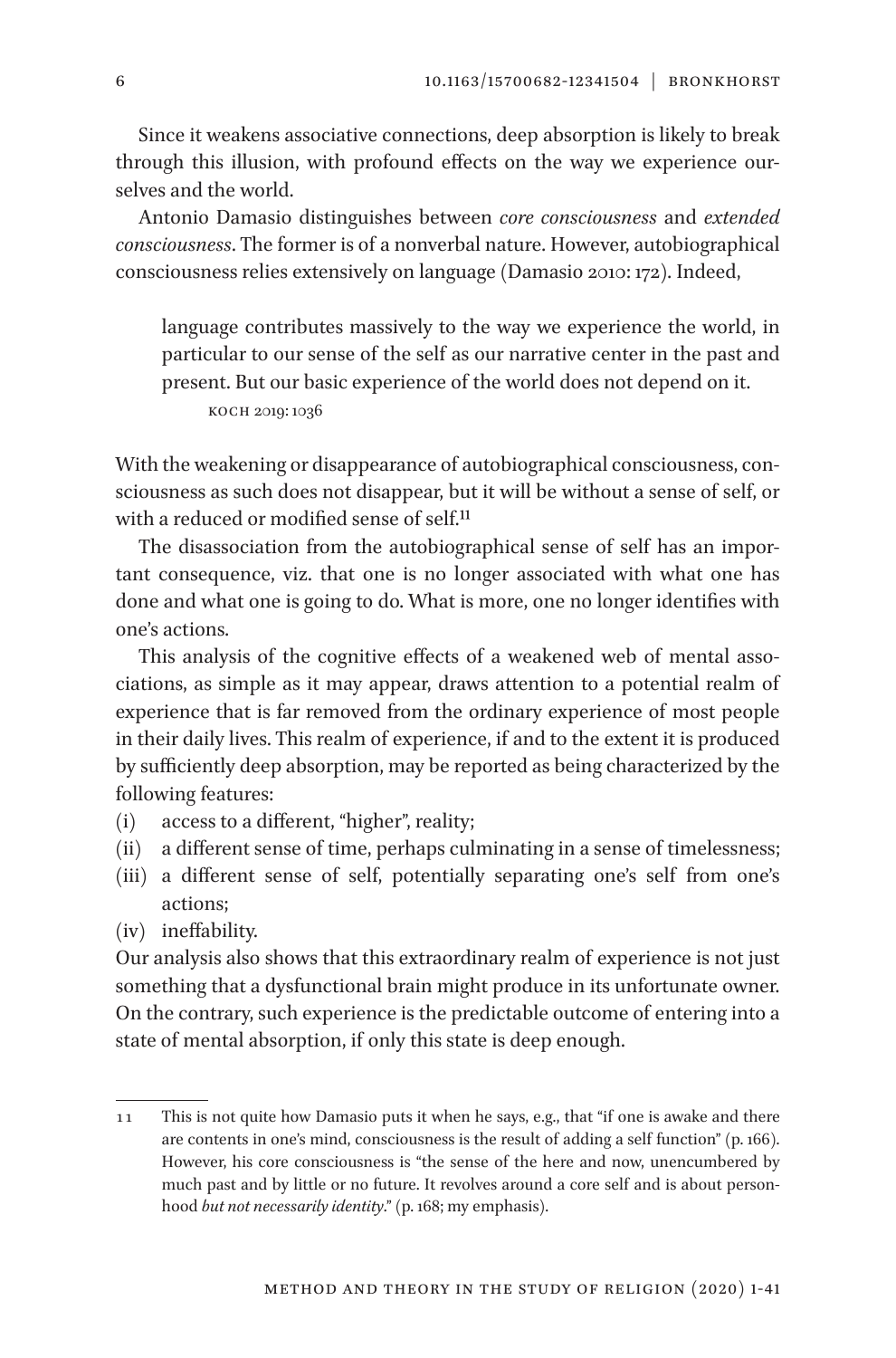Since it weakens associative connections, deep absorption is likely to break through this illusion, with profound effects on the way we experience ourselves and the world.

Antonio Damasio distinguishes between *core consciousness* and *extended consciousness*. The former is of a nonverbal nature. However, autobiographical consciousness relies extensively on language (Damasio 2010: 172). Indeed,

language contributes massively to the way we experience the world, in particular to our sense of the self as our narrative center in the past and present. But our basic experience of the world does not depend on it. KOCH 2019: 1036

With the weakening or disappearance of autobiographical consciousness, consciousness as such does not disappear, but it will be without a sense of self, or with a reduced or modified sense of self.<sup>11</sup>

The disassociation from the autobiographical sense of self has an important consequence, viz. that one is no longer associated with what one has done and what one is going to do. What is more, one no longer identifies with one's actions.

This analysis of the cognitive effects of a weakened web of mental associations, as simple as it may appear, draws attention to a potential realm of experience that is far removed from the ordinary experience of most people in their daily lives. This realm of experience, if and to the extent it is produced by sufficiently deep absorption, may be reported as being characterized by the following features:

- (i) access to a different, "higher", reality;
- (ii) a different sense of time, perhaps culminating in a sense of timelessness;
- (iii) a different sense of self, potentially separating one's self from one's actions;
- (iv) ineffability.

Our analysis also shows that this extraordinary realm of experience is not just something that a dysfunctional brain might produce in its unfortunate owner. On the contrary, such experience is the predictable outcome of entering into a state of mental absorption, if only this state is deep enough.

<sup>11</sup> This is not quite how Damasio puts it when he says, e.g., that "if one is awake and there are contents in one's mind, consciousness is the result of adding a self function" (p. 166). However, his core consciousness is "the sense of the here and now, unencumbered by much past and by little or no future. It revolves around a core self and is about personhood *but not necessarily identity*." (p. 168; my emphasis).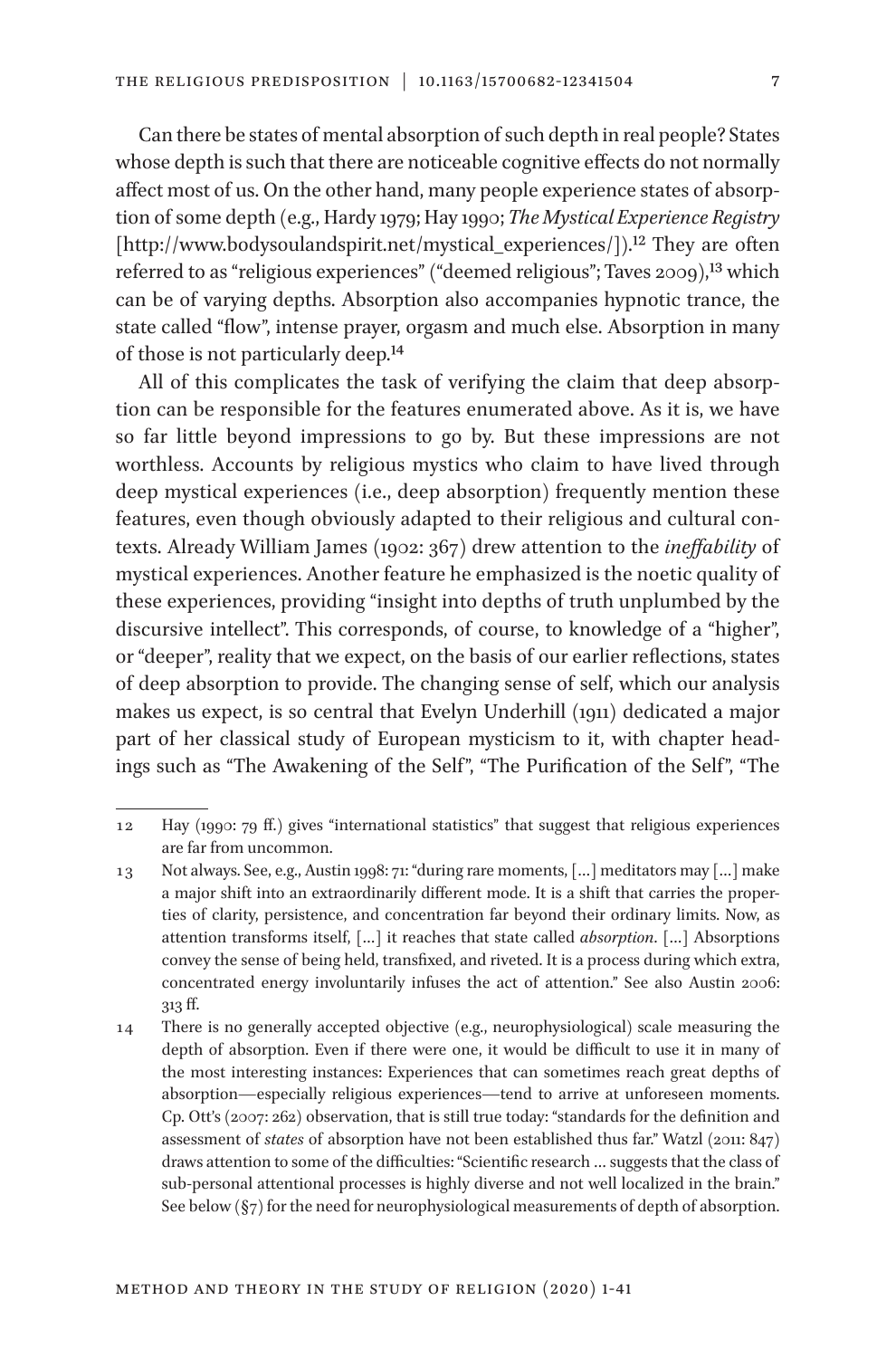Can there be states of mental absorption of such depth in real people? States whose depth is such that there are noticeable cognitive effects do not normally affect most of us. On the other hand, many people experience states of absorption of some depth (e.g., Hardy 1979; Hay 1990; *The Mystical Experience Registry* [http://www.bodysoulandspirit.net/mystical\_experiences/]).<sup>12</sup> They are often referred to as "religious experiences" ("deemed religious"; Taves 2009),<sup>13</sup> which can be of varying depths. Absorption also accompanies hypnotic trance, the state called "flow", intense prayer, orgasm and much else. Absorption in many of those is not particularly deep.14

All of this complicates the task of verifying the claim that deep absorption can be responsible for the features enumerated above. As it is, we have so far little beyond impressions to go by. But these impressions are not worthless. Accounts by religious mystics who claim to have lived through deep mystical experiences (i.e., deep absorption) frequently mention these features, even though obviously adapted to their religious and cultural contexts. Already William James (1902: 367) drew attention to the *ineffability* of mystical experiences. Another feature he emphasized is the noetic quality of these experiences, providing "insight into depths of truth unplumbed by the discursive intellect". This corresponds, of course, to knowledge of a "higher", or "deeper", reality that we expect, on the basis of our earlier reflections, states of deep absorption to provide. The changing sense of self, which our analysis makes us expect, is so central that Evelyn Underhill (1911) dedicated a major part of her classical study of European mysticism to it, with chapter headings such as "The Awakening of the Self", "The Purification of the Self", "The

<sup>12</sup> Hay (1990: 79 ff.) gives "international statistics" that suggest that religious experiences are far from uncommon.

<sup>13</sup> Not always. See, e.g., Austin 1998: 71: "during rare moments, […] meditators may […] make a major shift into an extraordinarily different mode. It is a shift that carries the properties of clarity, persistence, and concentration far beyond their ordinary limits. Now, as attention transforms itself, […] it reaches that state called *absorption*. […] Absorptions convey the sense of being held, transfixed, and riveted. It is a process during which extra, concentrated energy involuntarily infuses the act of attention." See also Austin 2006: 313 ff.

<sup>14</sup> There is no generally accepted objective (e.g., neurophysiological) scale measuring the depth of absorption. Even if there were one, it would be difficult to use it in many of the most interesting instances: Experiences that can sometimes reach great depths of absorption—especially religious experiences—tend to arrive at unforeseen moments. Cp. Ott's (2007: 262) observation, that is still true today: "standards for the definition and assessment of *states* of absorption have not been established thus far." Watzl (2011: 847) draws attention to some of the difficulties: "Scientific research … suggests that the class of sub-personal attentional processes is highly diverse and not well localized in the brain." See below  $(\frac{87}{7})$  for the need for neurophysiological measurements of depth of absorption.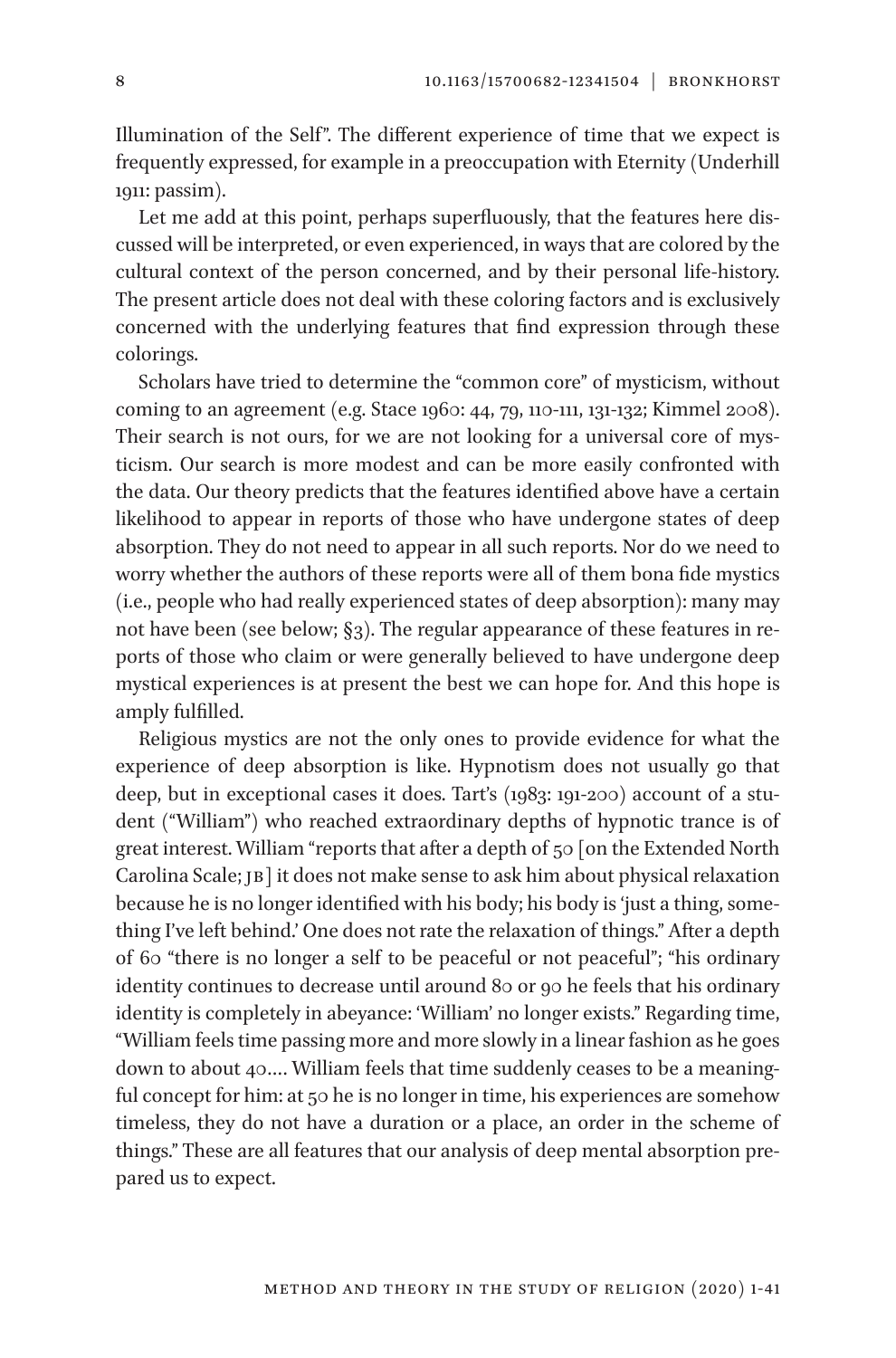Illumination of the Self". The different experience of time that we expect is frequently expressed, for example in a preoccupation with Eternity (Underhill 1911: passim).

Let me add at this point, perhaps superfluously, that the features here discussed will be interpreted, or even experienced, in ways that are colored by the cultural context of the person concerned, and by their personal life-history. The present article does not deal with these coloring factors and is exclusively concerned with the underlying features that find expression through these colorings.

Scholars have tried to determine the "common core" of mysticism, without coming to an agreement (e.g. Stace 1960: 44, 79, 110-111, 131-132; Kimmel 2008). Their search is not ours, for we are not looking for a universal core of mysticism. Our search is more modest and can be more easily confronted with the data. Our theory predicts that the features identified above have a certain likelihood to appear in reports of those who have undergone states of deep absorption. They do not need to appear in all such reports. Nor do we need to worry whether the authors of these reports were all of them bona fide mystics (i.e., people who had really experienced states of deep absorption): many may not have been (see below; §3). The regular appearance of these features in reports of those who claim or were generally believed to have undergone deep mystical experiences is at present the best we can hope for. And this hope is amply fulfilled.

Religious mystics are not the only ones to provide evidence for what the experience of deep absorption is like. Hypnotism does not usually go that deep, but in exceptional cases it does. Tart's (1983: 191-200) account of a student ("William") who reached extraordinary depths of hypnotic trance is of great interest. William "reports that after a depth of 50 [on the Extended North Carolina Scale; JB] it does not make sense to ask him about physical relaxation because he is no longer identified with his body; his body is 'just a thing, something I've left behind.' One does not rate the relaxation of things." After a depth of 60 "there is no longer a self to be peaceful or not peaceful"; "his ordinary identity continues to decrease until around 80 or 90 he feels that his ordinary identity is completely in abeyance: 'William' no longer exists." Regarding time, "William feels time passing more and more slowly in a linear fashion as he goes down to about 40…. William feels that time suddenly ceases to be a meaningful concept for him: at 50 he is no longer in time, his experiences are somehow timeless, they do not have a duration or a place, an order in the scheme of things." These are all features that our analysis of deep mental absorption prepared us to expect.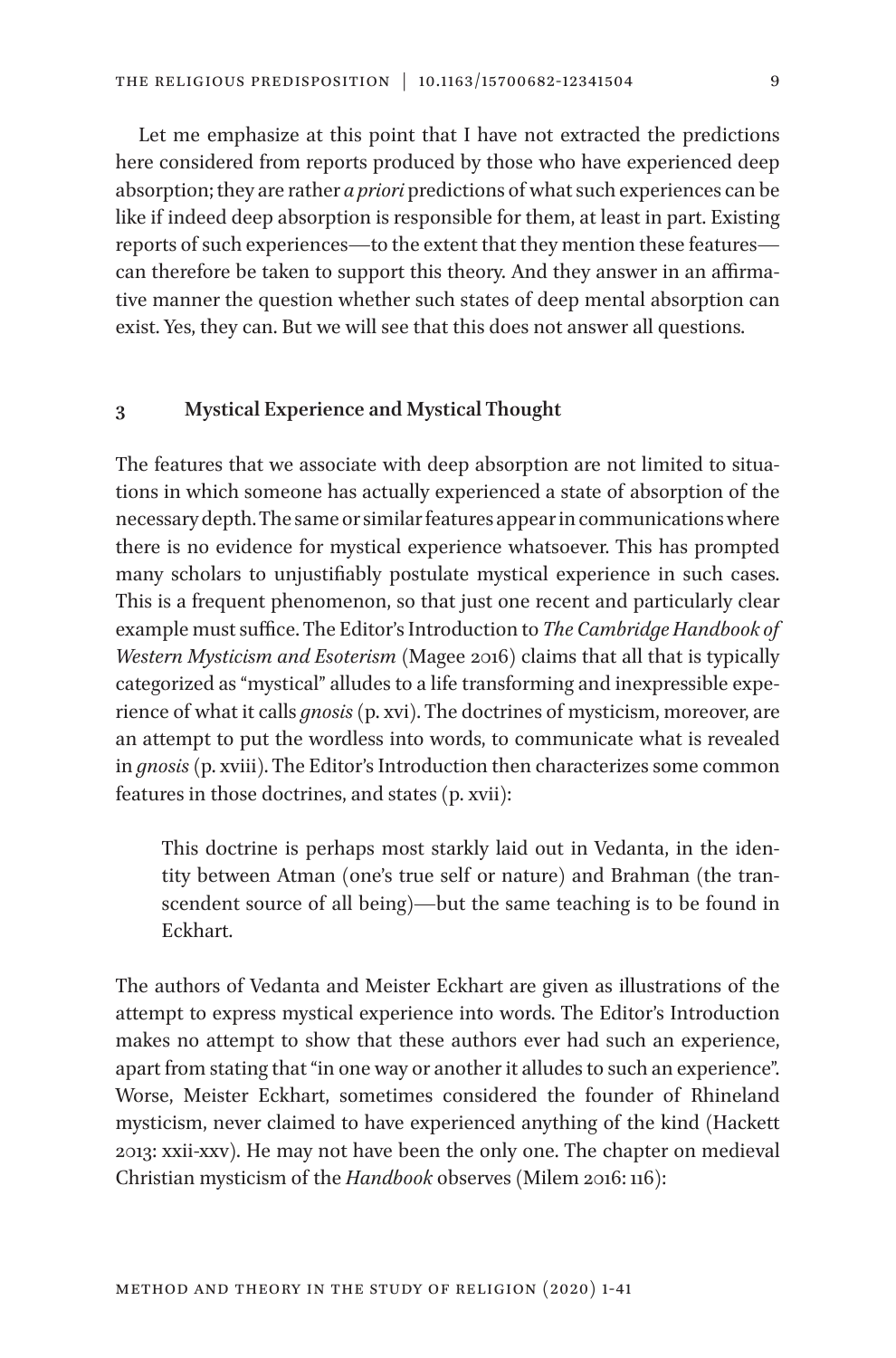Let me emphasize at this point that I have not extracted the predictions here considered from reports produced by those who have experienced deep absorption; they are rather *a priori* predictions of what such experiences can be like if indeed deep absorption is responsible for them, at least in part. Existing reports of such experiences—to the extent that they mention these features can therefore be taken to support this theory. And they answer in an affirmative manner the question whether such states of deep mental absorption can exist. Yes, they can. But we will see that this does not answer all questions.

### **3 Mystical Experience and Mystical Thought**

The features that we associate with deep absorption are not limited to situations in which someone has actually experienced a state of absorption of the necessary depth. The same or similar features appear in communications where there is no evidence for mystical experience whatsoever. This has prompted many scholars to unjustifiably postulate mystical experience in such cases. This is a frequent phenomenon, so that just one recent and particularly clear example must suffice. The Editor's Introduction to *The Cambridge Handbook of Western Mysticism and Esoterism* (Magee 2016) claims that all that is typically categorized as "mystical" alludes to a life transforming and inexpressible experience of what it calls *gnosis* (p. xvi). The doctrines of mysticism, moreover, are an attempt to put the wordless into words, to communicate what is revealed in *gnosis* (p. xviii). The Editor's Introduction then characterizes some common features in those doctrines, and states (p. xvii):

This doctrine is perhaps most starkly laid out in Vedanta, in the identity between Atman (one's true self or nature) and Brahman (the transcendent source of all being)—but the same teaching is to be found in Eckhart.

The authors of Vedanta and Meister Eckhart are given as illustrations of the attempt to express mystical experience into words. The Editor's Introduction makes no attempt to show that these authors ever had such an experience, apart from stating that "in one way or another it alludes to such an experience". Worse, Meister Eckhart, sometimes considered the founder of Rhineland mysticism, never claimed to have experienced anything of the kind (Hackett 2013: xxii-xxv). He may not have been the only one. The chapter on medieval Christian mysticism of the *Handbook* observes (Milem 2016: 116):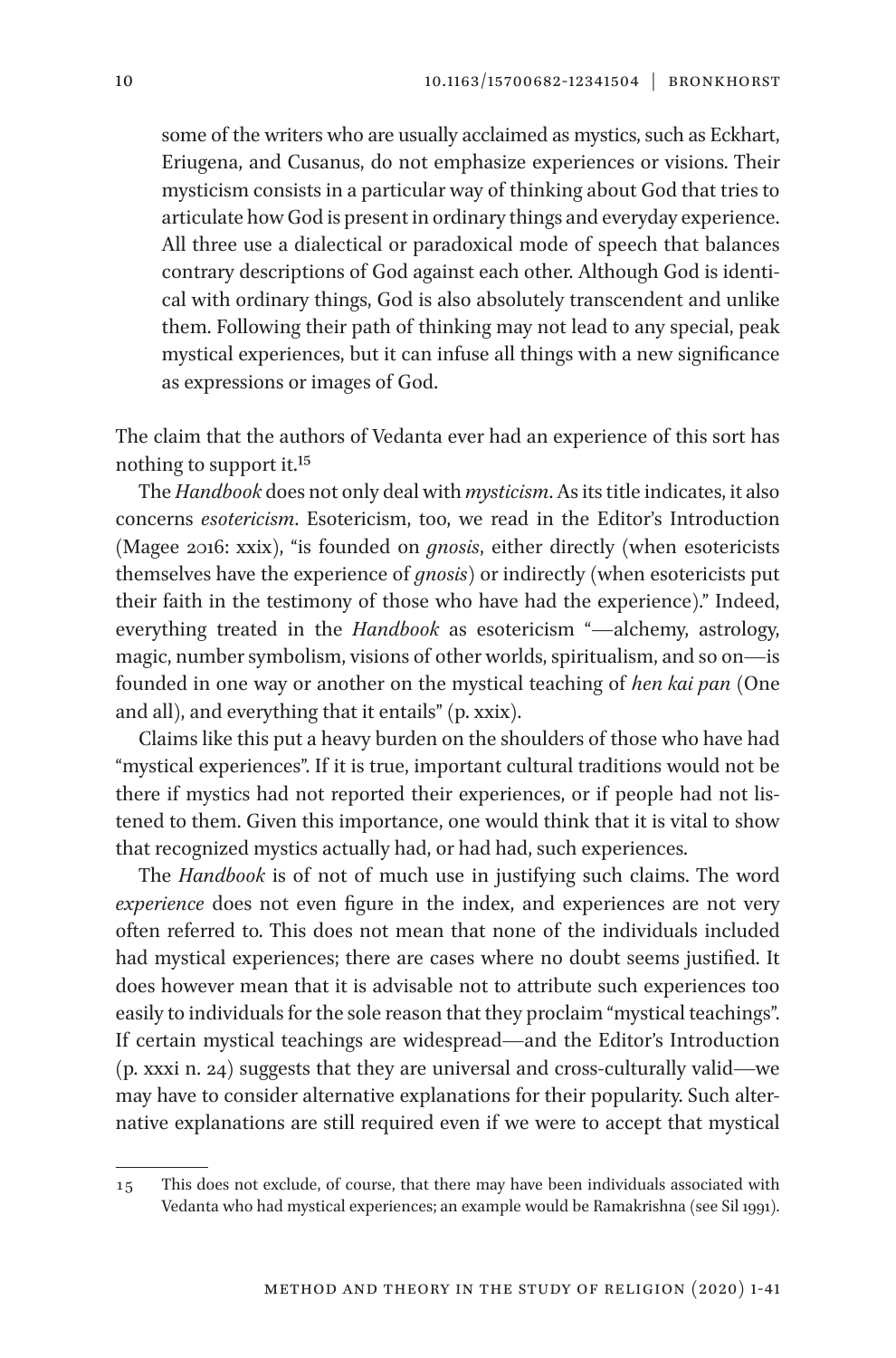some of the writers who are usually acclaimed as mystics, such as Eckhart, Eriugena, and Cusanus, do not emphasize experiences or visions. Their mysticism consists in a particular way of thinking about God that tries to articulate how God is present in ordinary things and everyday experience. All three use a dialectical or paradoxical mode of speech that balances contrary descriptions of God against each other. Although God is identical with ordinary things, God is also absolutely transcendent and unlike them. Following their path of thinking may not lead to any special, peak mystical experiences, but it can infuse all things with a new significance as expressions or images of God.

The claim that the authors of Vedanta ever had an experience of this sort has nothing to support it.15

The *Handbook* does not only deal with *mysticism*. As its title indicates, it also concerns *esotericism*. Esotericism, too, we read in the Editor's Introduction (Magee 2016: xxix), "is founded on *gnosis*, either directly (when esotericists themselves have the experience of *gnosis*) or indirectly (when esotericists put their faith in the testimony of those who have had the experience)." Indeed, everything treated in the *Handbook* as esotericism "—alchemy, astrology, magic, number symbolism, visions of other worlds, spiritualism, and so on—is founded in one way or another on the mystical teaching of *hen kai pan* (One and all), and everything that it entails" (p. xxix).

Claims like this put a heavy burden on the shoulders of those who have had "mystical experiences". If it is true, important cultural traditions would not be there if mystics had not reported their experiences, or if people had not listened to them. Given this importance, one would think that it is vital to show that recognized mystics actually had, or had had, such experiences.

The *Handbook* is of not of much use in justifying such claims. The word *experience* does not even figure in the index, and experiences are not very often referred to. This does not mean that none of the individuals included had mystical experiences; there are cases where no doubt seems justified. It does however mean that it is advisable not to attribute such experiences too easily to individuals for the sole reason that they proclaim "mystical teachings". If certain mystical teachings are widespread—and the Editor's Introduction (p. xxxi n. 24) suggests that they are universal and cross-culturally valid—we may have to consider alternative explanations for their popularity. Such alternative explanations are still required even if we were to accept that mystical

<sup>15</sup> This does not exclude, of course, that there may have been individuals associated with Vedanta who had mystical experiences; an example would be Ramakrishna (see Sil 1991).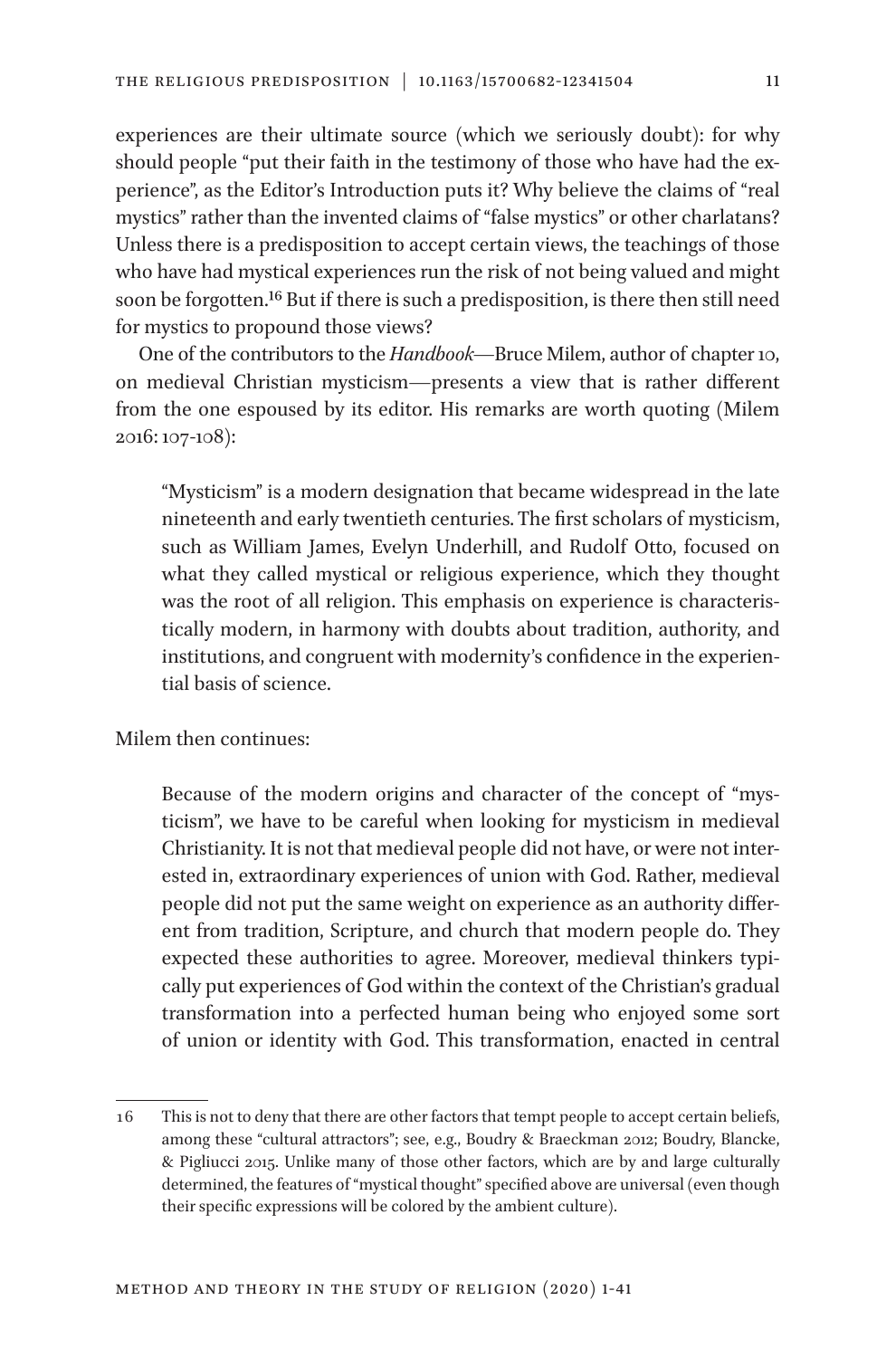experiences are their ultimate source (which we seriously doubt): for why should people "put their faith in the testimony of those who have had the experience", as the Editor's Introduction puts it? Why believe the claims of "real mystics" rather than the invented claims of "false mystics" or other charlatans? Unless there is a predisposition to accept certain views, the teachings of those who have had mystical experiences run the risk of not being valued and might soon be forgotten.16 But if there is such a predisposition, is there then still need for mystics to propound those views?

One of the contributors to the *Handbook—*Bruce Milem, author of chapter 10, on medieval Christian mysticism—presents a view that is rather different from the one espoused by its editor. His remarks are worth quoting (Milem 2016: 107-108):

"Mysticism" is a modern designation that became widespread in the late nineteenth and early twentieth centuries. The first scholars of mysticism, such as William James, Evelyn Underhill, and Rudolf Otto, focused on what they called mystical or religious experience, which they thought was the root of all religion. This emphasis on experience is characteristically modern, in harmony with doubts about tradition, authority, and institutions, and congruent with modernity's confidence in the experiential basis of science.

Milem then continues:

Because of the modern origins and character of the concept of "mysticism", we have to be careful when looking for mysticism in medieval Christianity. It is not that medieval people did not have, or were not interested in, extraordinary experiences of union with God. Rather, medieval people did not put the same weight on experience as an authority different from tradition, Scripture, and church that modern people do. They expected these authorities to agree. Moreover, medieval thinkers typically put experiences of God within the context of the Christian's gradual transformation into a perfected human being who enjoyed some sort of union or identity with God. This transformation, enacted in central

<sup>16</sup> This is not to deny that there are other factors that tempt people to accept certain beliefs, among these "cultural attractors"; see, e.g., Boudry & Braeckman 2012; Boudry, Blancke, & Pigliucci 2015. Unlike many of those other factors, which are by and large culturally determined, the features of "mystical thought" specified above are universal (even though their specific expressions will be colored by the ambient culture).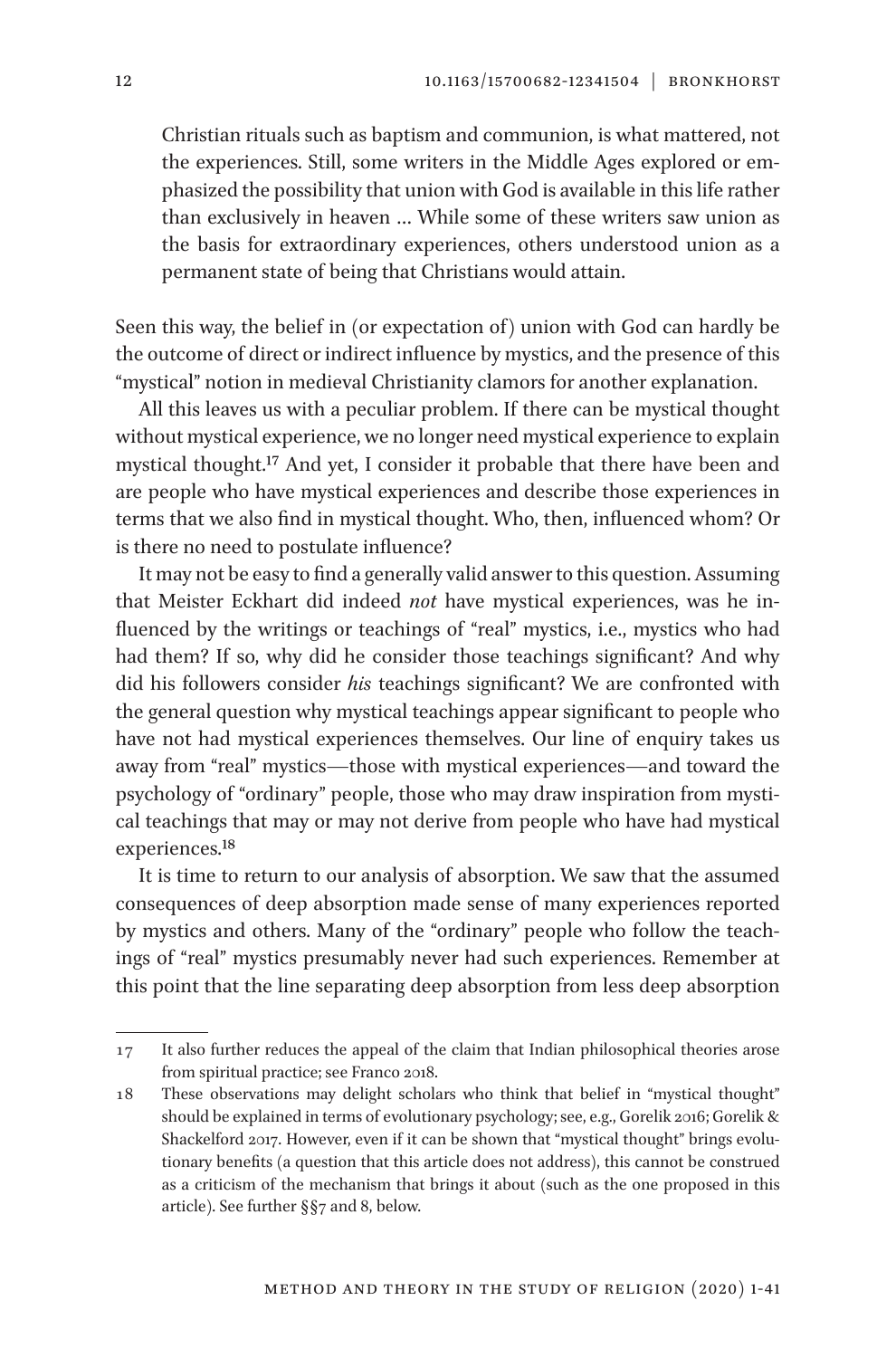Christian rituals such as baptism and communion, is what mattered, not the experiences. Still, some writers in the Middle Ages explored or emphasized the possibility that union with God is available in this life rather than exclusively in heaven … While some of these writers saw union as the basis for extraordinary experiences, others understood union as a permanent state of being that Christians would attain.

Seen this way, the belief in (or expectation of) union with God can hardly be the outcome of direct or indirect influence by mystics, and the presence of this "mystical" notion in medieval Christianity clamors for another explanation.

All this leaves us with a peculiar problem. If there can be mystical thought without mystical experience, we no longer need mystical experience to explain mystical thought.17 And yet, I consider it probable that there have been and are people who have mystical experiences and describe those experiences in terms that we also find in mystical thought. Who, then, influenced whom? Or is there no need to postulate influence?

It may not be easy to find a generally valid answer to this question. Assuming that Meister Eckhart did indeed *not* have mystical experiences, was he influenced by the writings or teachings of "real" mystics, i.e., mystics who had had them? If so, why did he consider those teachings significant? And why did his followers consider *his* teachings significant? We are confronted with the general question why mystical teachings appear significant to people who have not had mystical experiences themselves. Our line of enquiry takes us away from "real" mystics—those with mystical experiences—and toward the psychology of "ordinary" people, those who may draw inspiration from mystical teachings that may or may not derive from people who have had mystical experiences.18

It is time to return to our analysis of absorption. We saw that the assumed consequences of deep absorption made sense of many experiences reported by mystics and others. Many of the "ordinary" people who follow the teachings of "real" mystics presumably never had such experiences. Remember at this point that the line separating deep absorption from less deep absorption

<sup>17</sup> It also further reduces the appeal of the claim that Indian philosophical theories arose from spiritual practice; see Franco 2018.

<sup>18</sup> These observations may delight scholars who think that belief in "mystical thought" should be explained in terms of evolutionary psychology; see, e.g., Gorelik 2016; Gorelik & Shackelford 2017. However, even if it can be shown that "mystical thought" brings evolutionary benefits (a question that this article does not address), this cannot be construed as a criticism of the mechanism that brings it about (such as the one proposed in this article). See further §§7 and 8, below.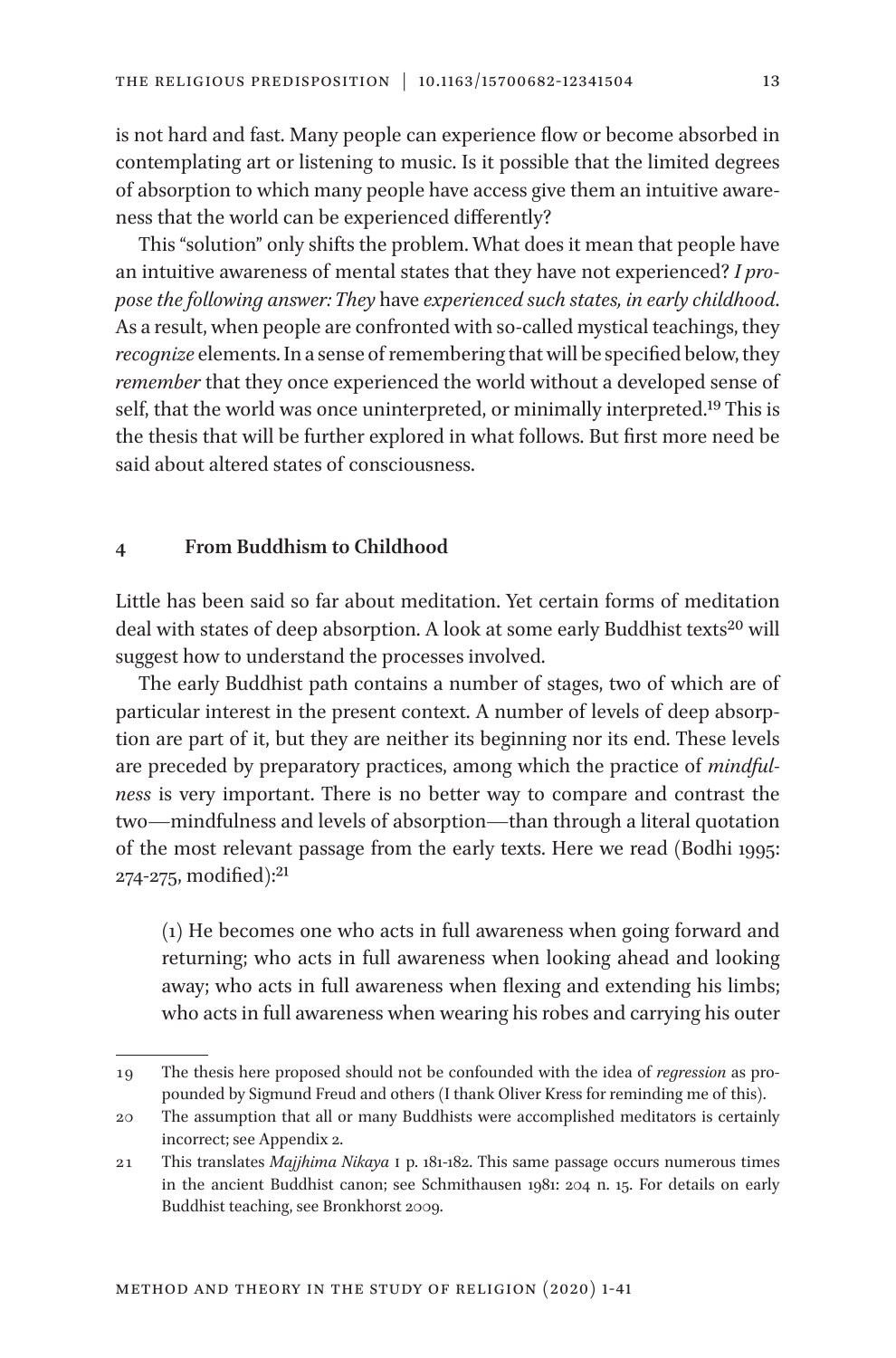is not hard and fast. Many people can experience flow or become absorbed in contemplating art or listening to music. Is it possible that the limited degrees of absorption to which many people have access give them an intuitive awareness that the world can be experienced differently?

This "solution" only shifts the problem. What does it mean that people have an intuitive awareness of mental states that they have not experienced? *I propose the following answer: They* have *experienced such states, in early childhood*. As a result, when people are confronted with so-called mystical teachings, they *recognize* elements. In a sense of remembering that will be specified below, they *remember* that they once experienced the world without a developed sense of self, that the world was once uninterpreted, or minimally interpreted.19 This is the thesis that will be further explored in what follows. But first more need be said about altered states of consciousness.

### **4 From Buddhism to Childhood**

Little has been said so far about meditation. Yet certain forms of meditation deal with states of deep absorption. A look at some early Buddhist texts<sup>20</sup> will suggest how to understand the processes involved.

The early Buddhist path contains a number of stages, two of which are of particular interest in the present context. A number of levels of deep absorption are part of it, but they are neither its beginning nor its end. These levels are preceded by preparatory practices, among which the practice of *mindfulness* is very important. There is no better way to compare and contrast the two—mindfulness and levels of absorption—than through a literal quotation of the most relevant passage from the early texts. Here we read (Bodhi 1995: 274-275, modified):21

(1) He becomes one who acts in full awareness when going forward and returning; who acts in full awareness when looking ahead and looking away; who acts in full awareness when flexing and extending his limbs; who acts in full awareness when wearing his robes and carrying his outer

<sup>19</sup> The thesis here proposed should not be confounded with the idea of *regression* as propounded by Sigmund Freud and others (I thank Oliver Kress for reminding me of this).

<sup>20</sup> The assumption that all or many Buddhists were accomplished meditators is certainly incorrect; see Appendix 2.

<sup>21</sup> This translates *Majjhima Nikaya* I p. 181-182. This same passage occurs numerous times in the ancient Buddhist canon; see Schmithausen 1981: 204 n. 15. For details on early Buddhist teaching, see Bronkhorst 2009.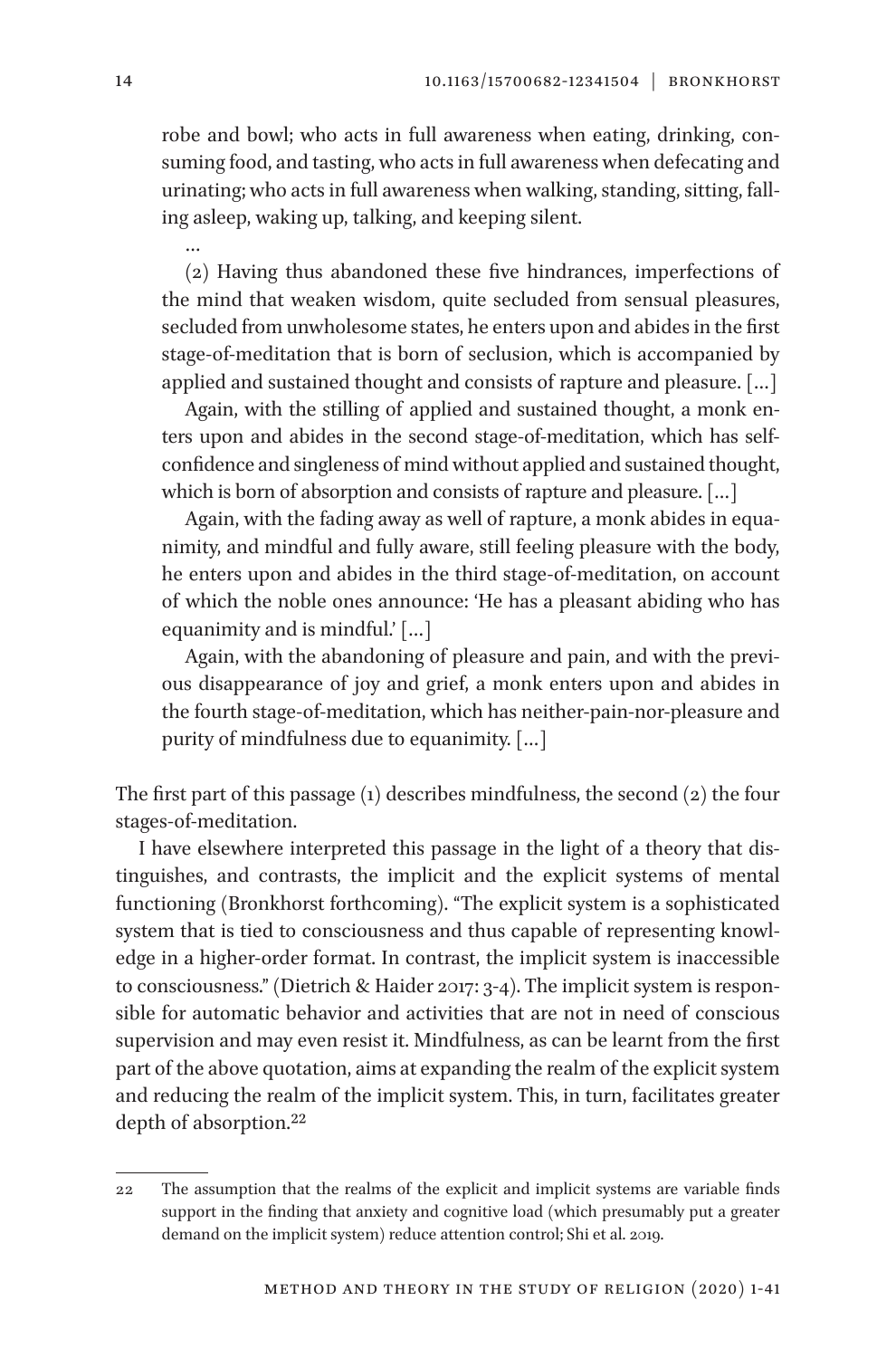robe and bowl; who acts in full awareness when eating, drinking, consuming food, and tasting, who acts in full awareness when defecating and urinating; who acts in full awareness when walking, standing, sitting, falling asleep, waking up, talking, and keeping silent.

… (2) Having thus abandoned these five hindrances, imperfections of the mind that weaken wisdom, quite secluded from sensual pleasures, secluded from unwholesome states, he enters upon and abides in the first stage-of-meditation that is born of seclusion, which is accompanied by applied and sustained thought and consists of rapture and pleasure. […]

Again, with the stilling of applied and sustained thought, a monk enters upon and abides in the second stage-of-meditation, which has selfconfidence and singleness of mind without applied and sustained thought, which is born of absorption and consists of rapture and pleasure. […]

Again, with the fading away as well of rapture, a monk abides in equanimity, and mindful and fully aware, still feeling pleasure with the body, he enters upon and abides in the third stage-of-meditation, on account of which the noble ones announce: 'He has a pleasant abiding who has equanimity and is mindful.' […]

Again, with the abandoning of pleasure and pain, and with the previous disappearance of joy and grief, a monk enters upon and abides in the fourth stage-of-meditation, which has neither-pain-nor-pleasure and purity of mindfulness due to equanimity. […]

The first part of this passage (1) describes mindfulness, the second (2) the four stages-of-meditation.

I have elsewhere interpreted this passage in the light of a theory that distinguishes, and contrasts, the implicit and the explicit systems of mental functioning (Bronkhorst forthcoming). "The explicit system is a sophisticated system that is tied to consciousness and thus capable of representing knowledge in a higher-order format. In contrast, the implicit system is inaccessible to consciousness." (Dietrich & Haider 2017: 3-4). The implicit system is responsible for automatic behavior and activities that are not in need of conscious supervision and may even resist it. Mindfulness, as can be learnt from the first part of the above quotation, aims at expanding the realm of the explicit system and reducing the realm of the implicit system. This, in turn, facilitates greater depth of absorption.<sup>22</sup>

<sup>22</sup> The assumption that the realms of the explicit and implicit systems are variable finds support in the finding that anxiety and cognitive load (which presumably put a greater demand on the implicit system) reduce attention control; Shi et al. 2019.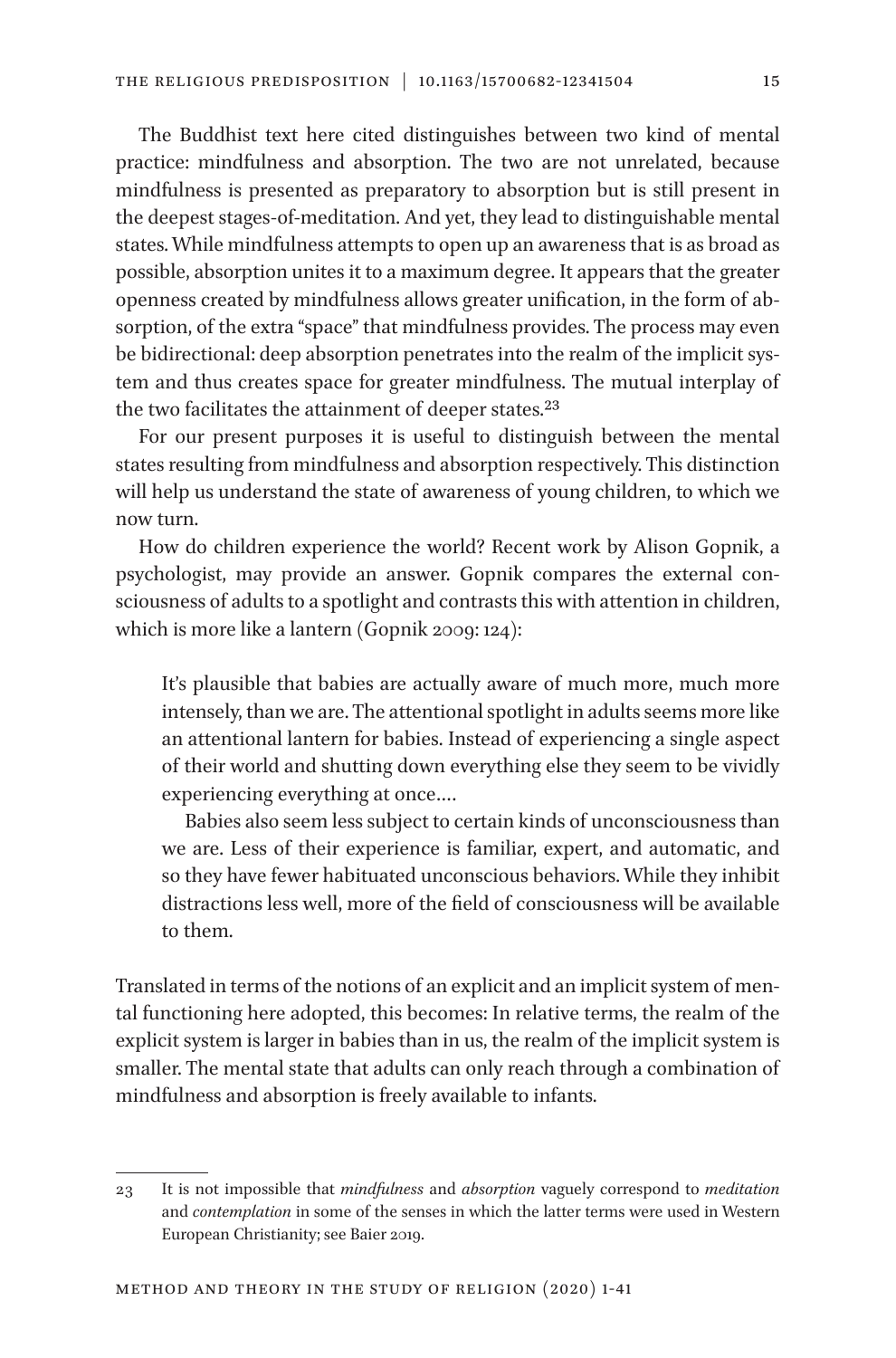the two facilitates the attainment of deeper states.<sup>23</sup>

The Buddhist text here cited distinguishes between two kind of mental practice: mindfulness and absorption. The two are not unrelated, because mindfulness is presented as preparatory to absorption but is still present in the deepest stages-of-meditation. And yet, they lead to distinguishable mental states. While mindfulness attempts to open up an awareness that is as broad as possible, absorption unites it to a maximum degree. It appears that the greater openness created by mindfulness allows greater unification, in the form of absorption, of the extra "space" that mindfulness provides. The process may even be bidirectional: deep absorption penetrates into the realm of the implicit system and thus creates space for greater mindfulness. The mutual interplay of

For our present purposes it is useful to distinguish between the mental states resulting from mindfulness and absorption respectively. This distinction will help us understand the state of awareness of young children, to which we now turn.

How do children experience the world? Recent work by Alison Gopnik, a psychologist, may provide an answer. Gopnik compares the external consciousness of adults to a spotlight and contrasts this with attention in children, which is more like a lantern (Gopnik 2009: 124):

It's plausible that babies are actually aware of much more, much more intensely, than we are. The attentional spotlight in adults seems more like an attentional lantern for babies. Instead of experiencing a single aspect of their world and shutting down everything else they seem to be vividly experiencing everything at once….

Babies also seem less subject to certain kinds of unconsciousness than we are. Less of their experience is familiar, expert, and automatic, and so they have fewer habituated unconscious behaviors. While they inhibit distractions less well, more of the field of consciousness will be available to them.

Translated in terms of the notions of an explicit and an implicit system of mental functioning here adopted, this becomes: In relative terms, the realm of the explicit system is larger in babies than in us, the realm of the implicit system is smaller. The mental state that adults can only reach through a combination of mindfulness and absorption is freely available to infants.

<sup>23</sup> It is not impossible that *mindfulness* and *absorption* vaguely correspond to *meditation* and *contemplation* in some of the senses in which the latter terms were used in Western European Christianity; see Baier 2019.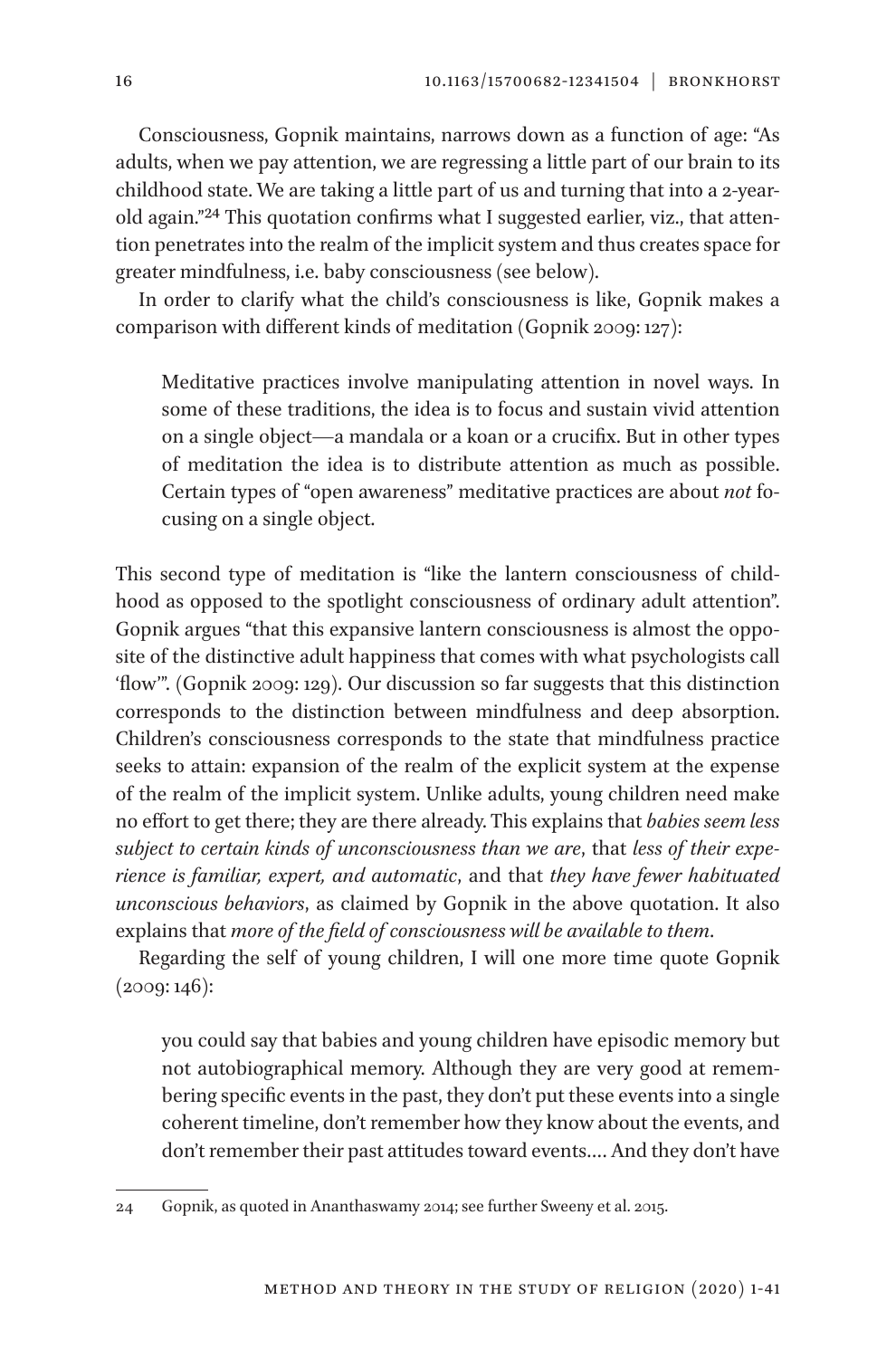Consciousness, Gopnik maintains, narrows down as a function of age: "As adults, when we pay attention, we are regressing a little part of our brain to its childhood state. We are taking a little part of us and turning that into a 2-yearold again."24 This quotation confirms what I suggested earlier, viz., that attention penetrates into the realm of the implicit system and thus creates space for greater mindfulness, i.e. baby consciousness (see below).

In order to clarify what the child's consciousness is like, Gopnik makes a comparison with different kinds of meditation (Gopnik 2009: 127):

Meditative practices involve manipulating attention in novel ways. In some of these traditions, the idea is to focus and sustain vivid attention on a single object—a mandala or a koan or a crucifix. But in other types of meditation the idea is to distribute attention as much as possible. Certain types of "open awareness" meditative practices are about *not* focusing on a single object.

This second type of meditation is "like the lantern consciousness of childhood as opposed to the spotlight consciousness of ordinary adult attention". Gopnik argues "that this expansive lantern consciousness is almost the opposite of the distinctive adult happiness that comes with what psychologists call 'flow'". (Gopnik 2009: 129). Our discussion so far suggests that this distinction corresponds to the distinction between mindfulness and deep absorption. Children's consciousness corresponds to the state that mindfulness practice seeks to attain: expansion of the realm of the explicit system at the expense of the realm of the implicit system. Unlike adults, young children need make no effort to get there; they are there already. This explains that *babies seem less subject to certain kinds of unconsciousness than we are*, that *less of their experience is familiar, expert, and automatic*, and that *they have fewer habituated unconscious behaviors*, as claimed by Gopnik in the above quotation. It also explains that *more of the field of consciousness will be available to them*.

Regarding the self of young children, I will one more time quote Gopnik  $(2009:146):$ 

you could say that babies and young children have episodic memory but not autobiographical memory. Although they are very good at remembering specific events in the past, they don't put these events into a single coherent timeline, don't remember how they know about the events, and don't remember their past attitudes toward events…. And they don't have

<sup>24</sup> Gopnik, as quoted in Ananthaswamy 2014; see further Sweeny et al. 2015.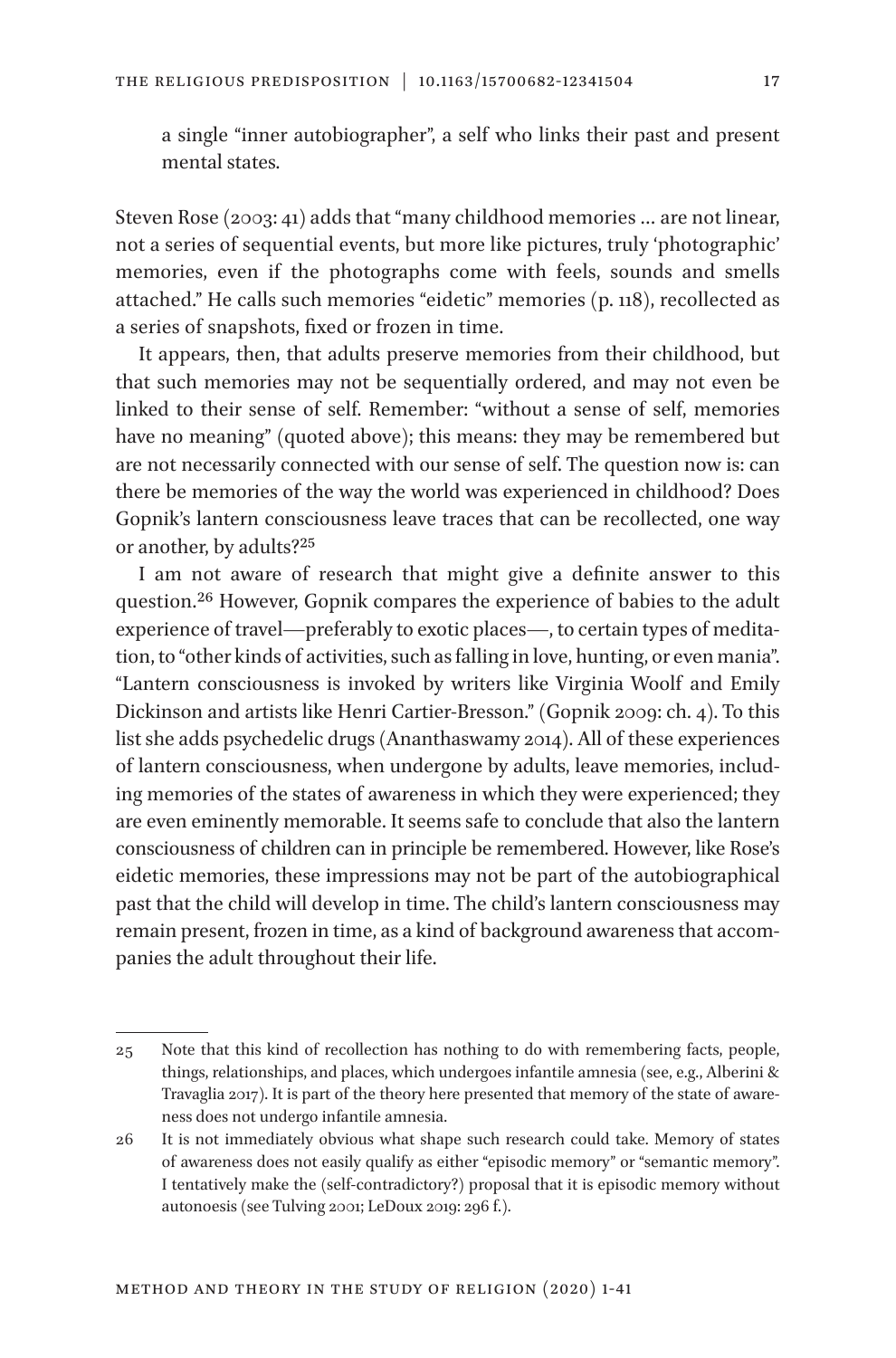a single "inner autobiographer", a self who links their past and present mental states.

Steven Rose (2003: 41) adds that "many childhood memories … are not linear, not a series of sequential events, but more like pictures, truly 'photographic' memories, even if the photographs come with feels, sounds and smells attached." He calls such memories "eidetic" memories (p. 118), recollected as a series of snapshots, fixed or frozen in time.

It appears, then, that adults preserve memories from their childhood, but that such memories may not be sequentially ordered, and may not even be linked to their sense of self. Remember: "without a sense of self, memories have no meaning" (quoted above); this means: they may be remembered but are not necessarily connected with our sense of self. The question now is: can there be memories of the way the world was experienced in childhood? Does Gopnik's lantern consciousness leave traces that can be recollected, one way or another, by adults?25

I am not aware of research that might give a definite answer to this question.26 However, Gopnik compares the experience of babies to the adult experience of travel—preferably to exotic places—, to certain types of meditation, to "other kinds of activities, such as falling in love, hunting, or even mania". "Lantern consciousness is invoked by writers like Virginia Woolf and Emily Dickinson and artists like Henri Cartier-Bresson." (Gopnik 2009: ch. 4). To this list she adds psychedelic drugs (Ananthaswamy 2014). All of these experiences of lantern consciousness, when undergone by adults, leave memories, including memories of the states of awareness in which they were experienced; they are even eminently memorable. It seems safe to conclude that also the lantern consciousness of children can in principle be remembered. However, like Rose's eidetic memories, these impressions may not be part of the autobiographical past that the child will develop in time. The child's lantern consciousness may remain present, frozen in time, as a kind of background awareness that accompanies the adult throughout their life.

<sup>25</sup> Note that this kind of recollection has nothing to do with remembering facts, people, things, relationships, and places, which undergoes infantile amnesia (see, e.g., Alberini & Travaglia 2017). It is part of the theory here presented that memory of the state of awareness does not undergo infantile amnesia.

<sup>26</sup> It is not immediately obvious what shape such research could take. Memory of states of awareness does not easily qualify as either "episodic memory" or "semantic memory". I tentatively make the (self-contradictory?) proposal that it is episodic memory without autonoesis (see Tulving 2001; LeDoux 2019: 296 f.).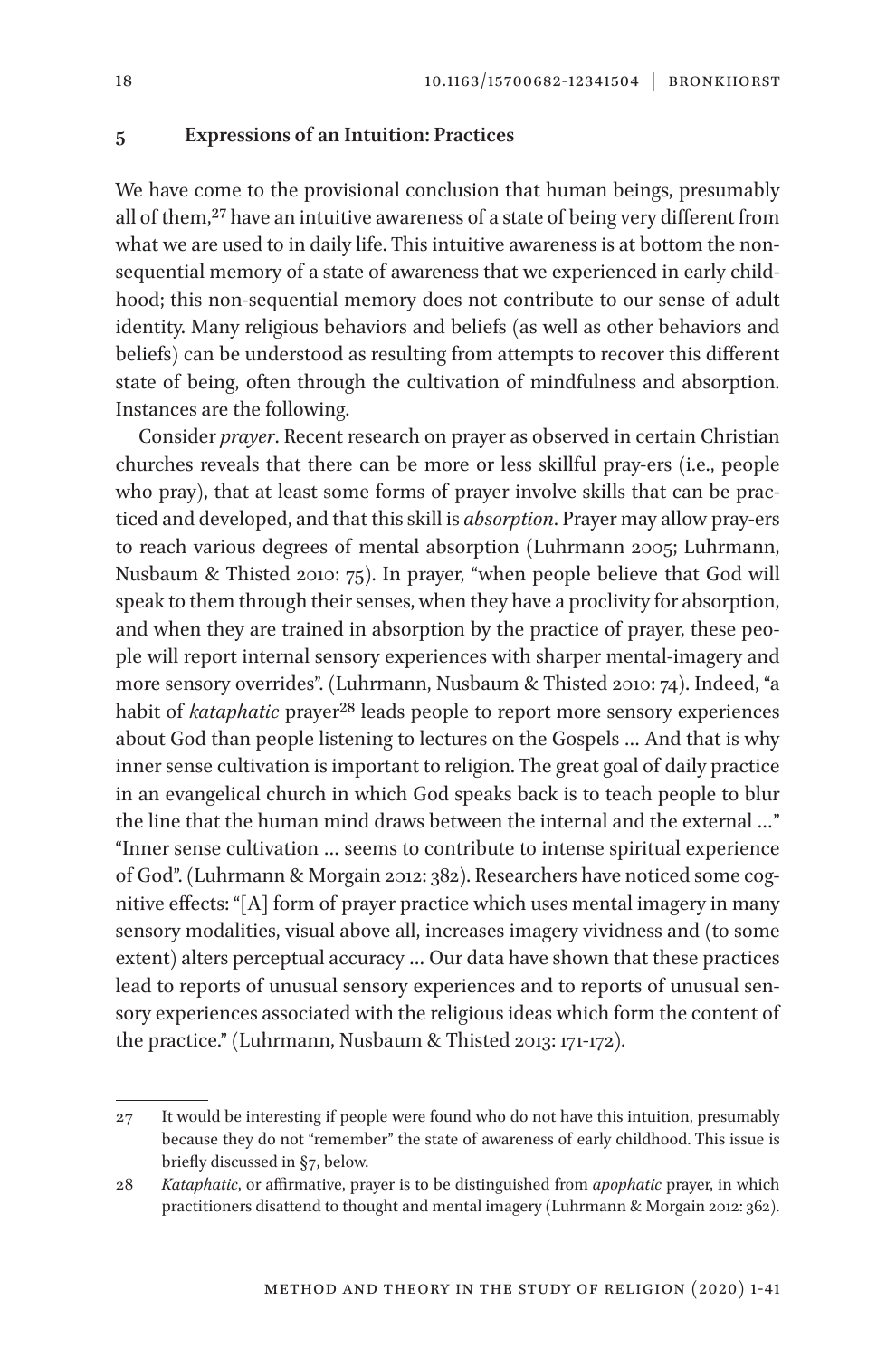#### **5 Expressions of an Intuition: Practices**

We have come to the provisional conclusion that human beings, presumably all of them,<sup>27</sup> have an intuitive awareness of a state of being very different from what we are used to in daily life. This intuitive awareness is at bottom the nonsequential memory of a state of awareness that we experienced in early childhood; this non-sequential memory does not contribute to our sense of adult identity. Many religious behaviors and beliefs (as well as other behaviors and beliefs) can be understood as resulting from attempts to recover this different state of being, often through the cultivation of mindfulness and absorption. Instances are the following.

Consider *prayer*. Recent research on prayer as observed in certain Christian churches reveals that there can be more or less skillful pray-ers (i.e., people who pray), that at least some forms of prayer involve skills that can be practiced and developed, and that this skill is *absorption*. Prayer may allow pray-ers to reach various degrees of mental absorption (Luhrmann 2005; Luhrmann, Nusbaum & Thisted 2010: 75). In prayer, "when people believe that God will speak to them through their senses, when they have a proclivity for absorption, and when they are trained in absorption by the practice of prayer, these people will report internal sensory experiences with sharper mental-imagery and more sensory overrides". (Luhrmann, Nusbaum & Thisted 2010: 74). Indeed, "a habit of *kataphatic* prayer<sup>28</sup> leads people to report more sensory experiences about God than people listening to lectures on the Gospels … And that is why inner sense cultivation is important to religion. The great goal of daily practice in an evangelical church in which God speaks back is to teach people to blur the line that the human mind draws between the internal and the external …" "Inner sense cultivation … seems to contribute to intense spiritual experience of God". (Luhrmann & Morgain 2012: 382). Researchers have noticed some cognitive effects: "[A] form of prayer practice which uses mental imagery in many sensory modalities, visual above all, increases imagery vividness and (to some extent) alters perceptual accuracy … Our data have shown that these practices lead to reports of unusual sensory experiences and to reports of unusual sensory experiences associated with the religious ideas which form the content of the practice." (Luhrmann, Nusbaum & Thisted 2013: 171-172).

<sup>27</sup> It would be interesting if people were found who do not have this intuition, presumably because they do not "remember" the state of awareness of early childhood. This issue is briefly discussed in §7, below.

<sup>28</sup>  *Kataphatic*, or affirmative, prayer is to be distinguished from *apophatic* prayer, in which practitioners disattend to thought and mental imagery (Luhrmann & Morgain 2012: 362).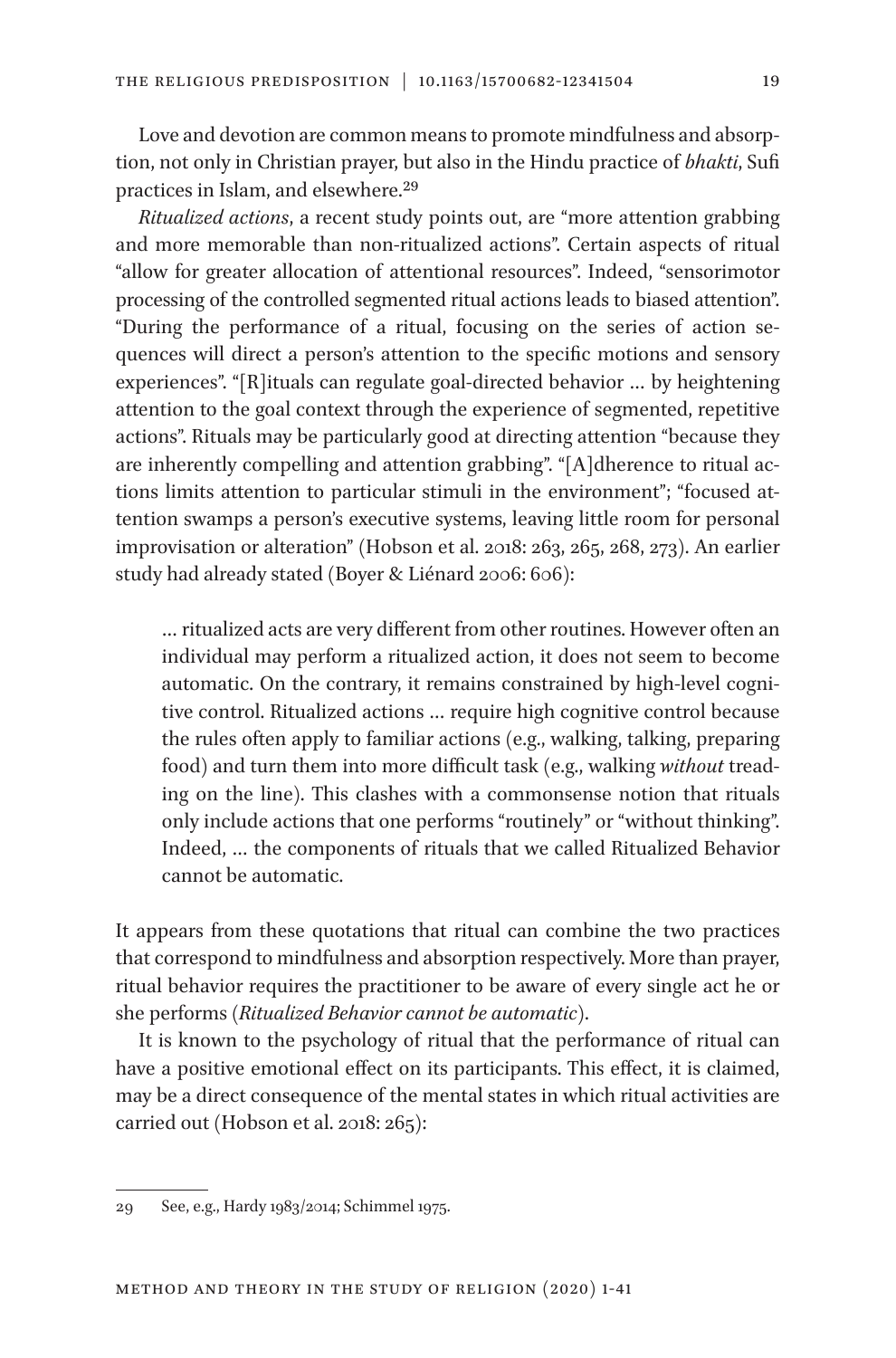Love and devotion are common means to promote mindfulness and absorption, not only in Christian prayer, but also in the Hindu practice of *bhakti*, Sufi practices in Islam, and elsewhere.29

*Ritualized actions*, a recent study points out, are "more attention grabbing and more memorable than non-ritualized actions". Certain aspects of ritual "allow for greater allocation of attentional resources". Indeed, "sensorimotor processing of the controlled segmented ritual actions leads to biased attention". "During the performance of a ritual, focusing on the series of action sequences will direct a person's attention to the specific motions and sensory experiences". "[R]ituals can regulate goal-directed behavior … by heightening attention to the goal context through the experience of segmented, repetitive actions". Rituals may be particularly good at directing attention "because they are inherently compelling and attention grabbing". "[A]dherence to ritual actions limits attention to particular stimuli in the environment"; "focused attention swamps a person's executive systems, leaving little room for personal improvisation or alteration" (Hobson et al. 2018: 263, 265, 268, 273). An earlier study had already stated (Boyer & Liénard 2006: 606):

… ritualized acts are very different from other routines. However often an individual may perform a ritualized action, it does not seem to become automatic. On the contrary, it remains constrained by high-level cognitive control. Ritualized actions … require high cognitive control because the rules often apply to familiar actions (e.g., walking, talking, preparing food) and turn them into more difficult task (e.g., walking *without* treading on the line). This clashes with a commonsense notion that rituals only include actions that one performs "routinely" or "without thinking". Indeed, … the components of rituals that we called Ritualized Behavior cannot be automatic.

It appears from these quotations that ritual can combine the two practices that correspond to mindfulness and absorption respectively. More than prayer, ritual behavior requires the practitioner to be aware of every single act he or she performs (*Ritualized Behavior cannot be automatic*).

It is known to the psychology of ritual that the performance of ritual can have a positive emotional effect on its participants. This effect, it is claimed, may be a direct consequence of the mental states in which ritual activities are carried out (Hobson et al. 2018: 265):

<sup>29</sup> See, e.g., Hardy 1983/2014; Schimmel 1975.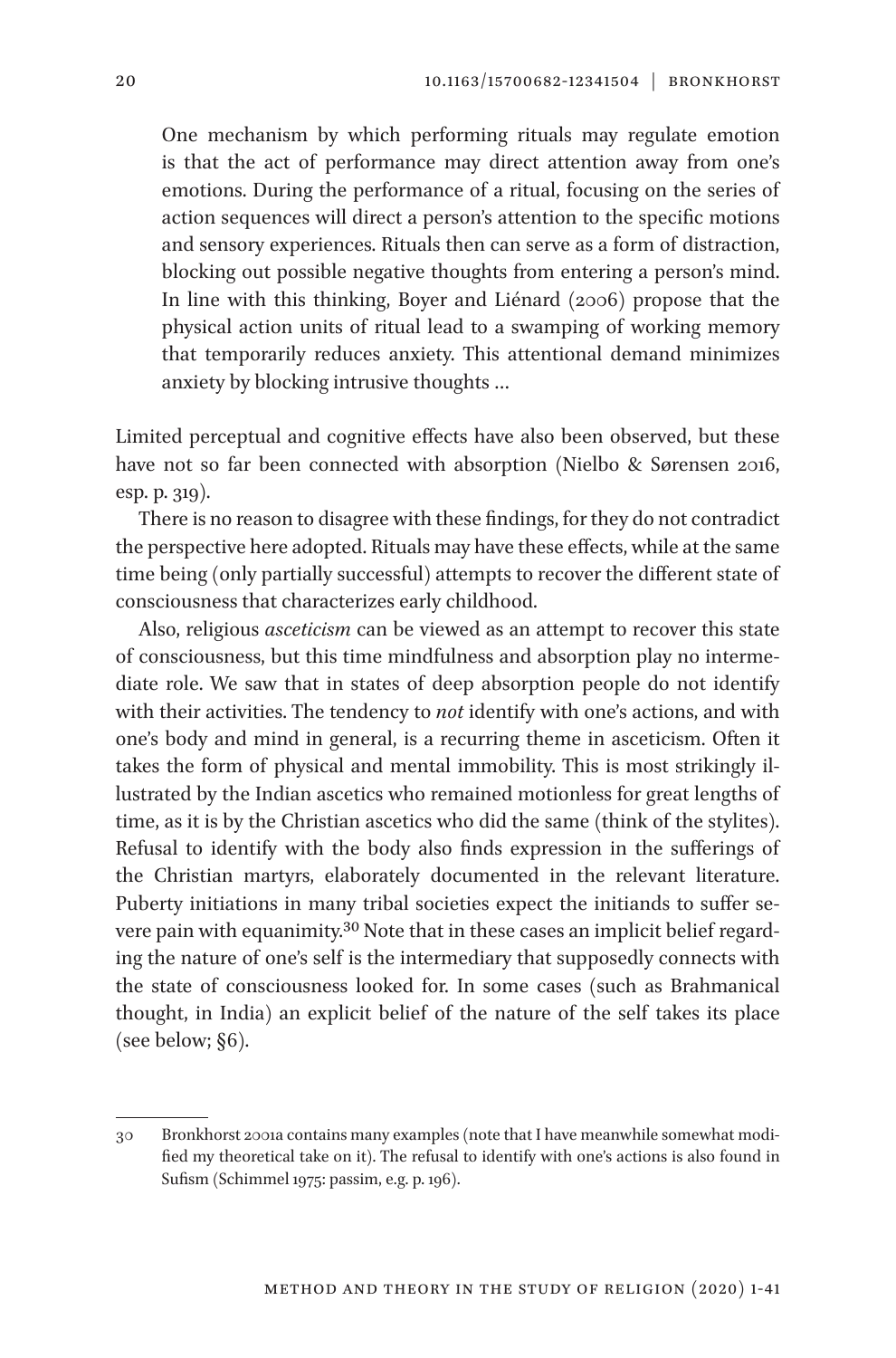One mechanism by which performing rituals may regulate emotion is that the act of performance may direct attention away from one's emotions. During the performance of a ritual, focusing on the series of action sequences will direct a person's attention to the specific motions and sensory experiences. Rituals then can serve as a form of distraction, blocking out possible negative thoughts from entering a person's mind. In line with this thinking, Boyer and Liénard (2006) propose that the physical action units of ritual lead to a swamping of working memory that temporarily reduces anxiety. This attentional demand minimizes anxiety by blocking intrusive thoughts …

Limited perceptual and cognitive effects have also been observed, but these have not so far been connected with absorption (Nielbo & Sørensen 2016, esp. p. 319).

There is no reason to disagree with these findings, for they do not contradict the perspective here adopted. Rituals may have these effects, while at the same time being (only partially successful) attempts to recover the different state of consciousness that characterizes early childhood.

Also, religious *asceticism* can be viewed as an attempt to recover this state of consciousness, but this time mindfulness and absorption play no intermediate role. We saw that in states of deep absorption people do not identify with their activities. The tendency to *not* identify with one's actions, and with one's body and mind in general, is a recurring theme in asceticism. Often it takes the form of physical and mental immobility. This is most strikingly illustrated by the Indian ascetics who remained motionless for great lengths of time, as it is by the Christian ascetics who did the same (think of the stylites). Refusal to identify with the body also finds expression in the sufferings of the Christian martyrs, elaborately documented in the relevant literature. Puberty initiations in many tribal societies expect the initiands to suffer severe pain with equanimity.30 Note that in these cases an implicit belief regarding the nature of one's self is the intermediary that supposedly connects with the state of consciousness looked for. In some cases (such as Brahmanical thought, in India) an explicit belief of the nature of the self takes its place (see below; §6).

<sup>30</sup> Bronkhorst 2001a contains many examples (note that I have meanwhile somewhat modified my theoretical take on it). The refusal to identify with one's actions is also found in Sufism (Schimmel 1975: passim, e.g. p. 196).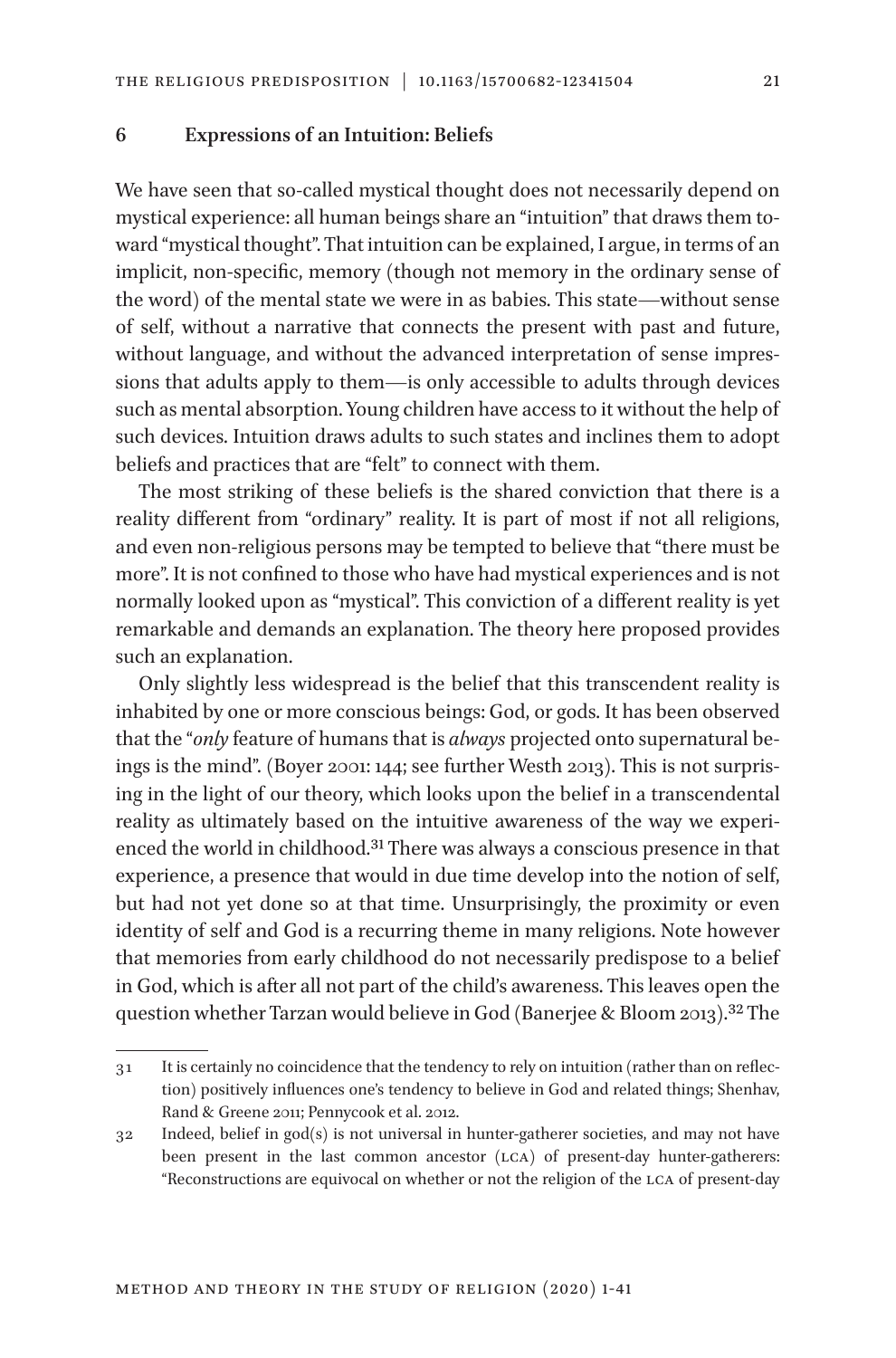#### **6 Expressions of an Intuition: Beliefs**

We have seen that so-called mystical thought does not necessarily depend on mystical experience: all human beings share an "intuition" that draws them toward "mystical thought". That intuition can be explained, I argue, in terms of an implicit, non-specific, memory (though not memory in the ordinary sense of the word) of the mental state we were in as babies. This state—without sense of self, without a narrative that connects the present with past and future, without language, and without the advanced interpretation of sense impressions that adults apply to them—is only accessible to adults through devices such as mental absorption. Young children have access to it without the help of such devices. Intuition draws adults to such states and inclines them to adopt beliefs and practices that are "felt" to connect with them.

The most striking of these beliefs is the shared conviction that there is a reality different from "ordinary" reality. It is part of most if not all religions, and even non-religious persons may be tempted to believe that "there must be more". It is not confined to those who have had mystical experiences and is not normally looked upon as "mystical". This conviction of a different reality is yet remarkable and demands an explanation. The theory here proposed provides such an explanation.

Only slightly less widespread is the belief that this transcendent reality is inhabited by one or more conscious beings: God, or gods. It has been observed that the "*only* feature of humans that is *always* projected onto supernatural beings is the mind". (Boyer 2001: 144; see further Westh 2013). This is not surprising in the light of our theory, which looks upon the belief in a transcendental reality as ultimately based on the intuitive awareness of the way we experienced the world in childhood.<sup>31</sup> There was always a conscious presence in that experience, a presence that would in due time develop into the notion of self, but had not yet done so at that time. Unsurprisingly, the proximity or even identity of self and God is a recurring theme in many religions. Note however that memories from early childhood do not necessarily predispose to a belief in God, which is after all not part of the child's awareness. This leaves open the question whether Tarzan would believe in God (Banerjee & Bloom 2013).<sup>32</sup> The

<sup>31</sup> It is certainly no coincidence that the tendency to rely on intuition (rather than on reflection) positively influences one's tendency to believe in God and related things; Shenhav, Rand & Greene 2011; Pennycook et al. 2012.

<sup>32</sup> Indeed, belief in god(s) is not universal in hunter-gatherer societies, and may not have been present in the last common ancestor (LCA) of present-day hunter-gatherers: "Reconstructions are equivocal on whether or not the religion of the LCA of present-day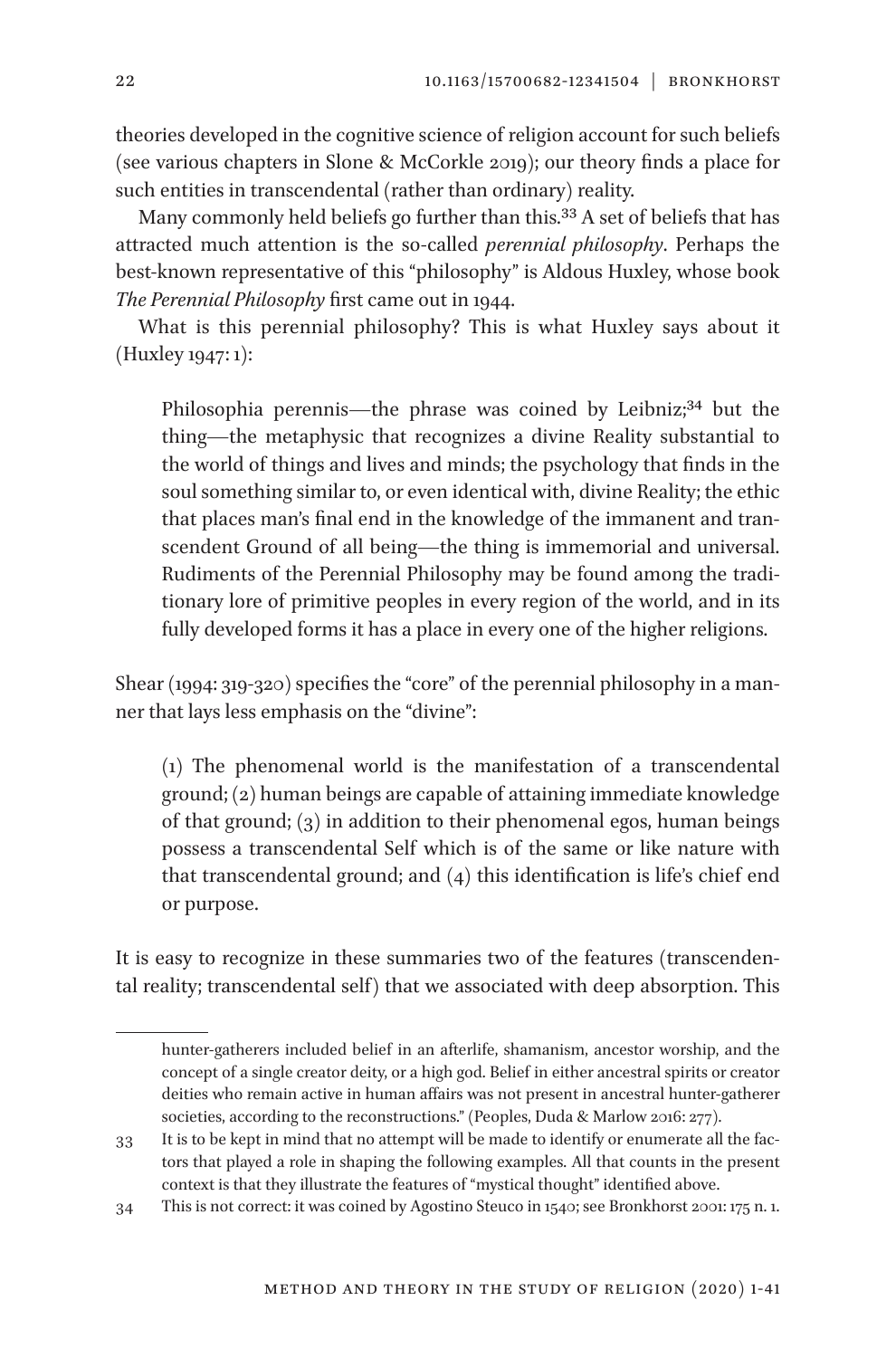theories developed in the cognitive science of religion account for such beliefs (see various chapters in Slone & McCorkle 2019); our theory finds a place for such entities in transcendental (rather than ordinary) reality.

Many commonly held beliefs go further than this.33 A set of beliefs that has attracted much attention is the so-called *perennial philosophy*. Perhaps the best-known representative of this "philosophy" is Aldous Huxley, whose book *The Perennial Philosophy* first came out in 1944.

What is this perennial philosophy? This is what Huxley says about it (Huxley 1947: 1):

Philosophia perennis—the phrase was coined by Leibniz;<sup>34</sup> but the thing—the metaphysic that recognizes a divine Reality substantial to the world of things and lives and minds; the psychology that finds in the soul something similar to, or even identical with, divine Reality; the ethic that places man's final end in the knowledge of the immanent and transcendent Ground of all being—the thing is immemorial and universal. Rudiments of the Perennial Philosophy may be found among the traditionary lore of primitive peoples in every region of the world, and in its fully developed forms it has a place in every one of the higher religions.

Shear (1994: 319-320) specifies the "core" of the perennial philosophy in a manner that lays less emphasis on the "divine":

(1) The phenomenal world is the manifestation of a transcendental ground; (2) human beings are capable of attaining immediate knowledge of that ground; (3) in addition to their phenomenal egos, human beings possess a transcendental Self which is of the same or like nature with that transcendental ground; and (4) this identification is life's chief end or purpose.

It is easy to recognize in these summaries two of the features (transcendental reality; transcendental self) that we associated with deep absorption. This

hunter-gatherers included belief in an afterlife, shamanism, ancestor worship, and the concept of a single creator deity, or a high god. Belief in either ancestral spirits or creator deities who remain active in human affairs was not present in ancestral hunter-gatherer societies, according to the reconstructions." (Peoples, Duda & Marlow 2016: 277).

<sup>33</sup> It is to be kept in mind that no attempt will be made to identify or enumerate all the factors that played a role in shaping the following examples. All that counts in the present context is that they illustrate the features of "mystical thought" identified above.

<sup>34</sup> This is not correct: it was coined by Agostino Steuco in 1540; see Bronkhorst 2001: 175 n. 1.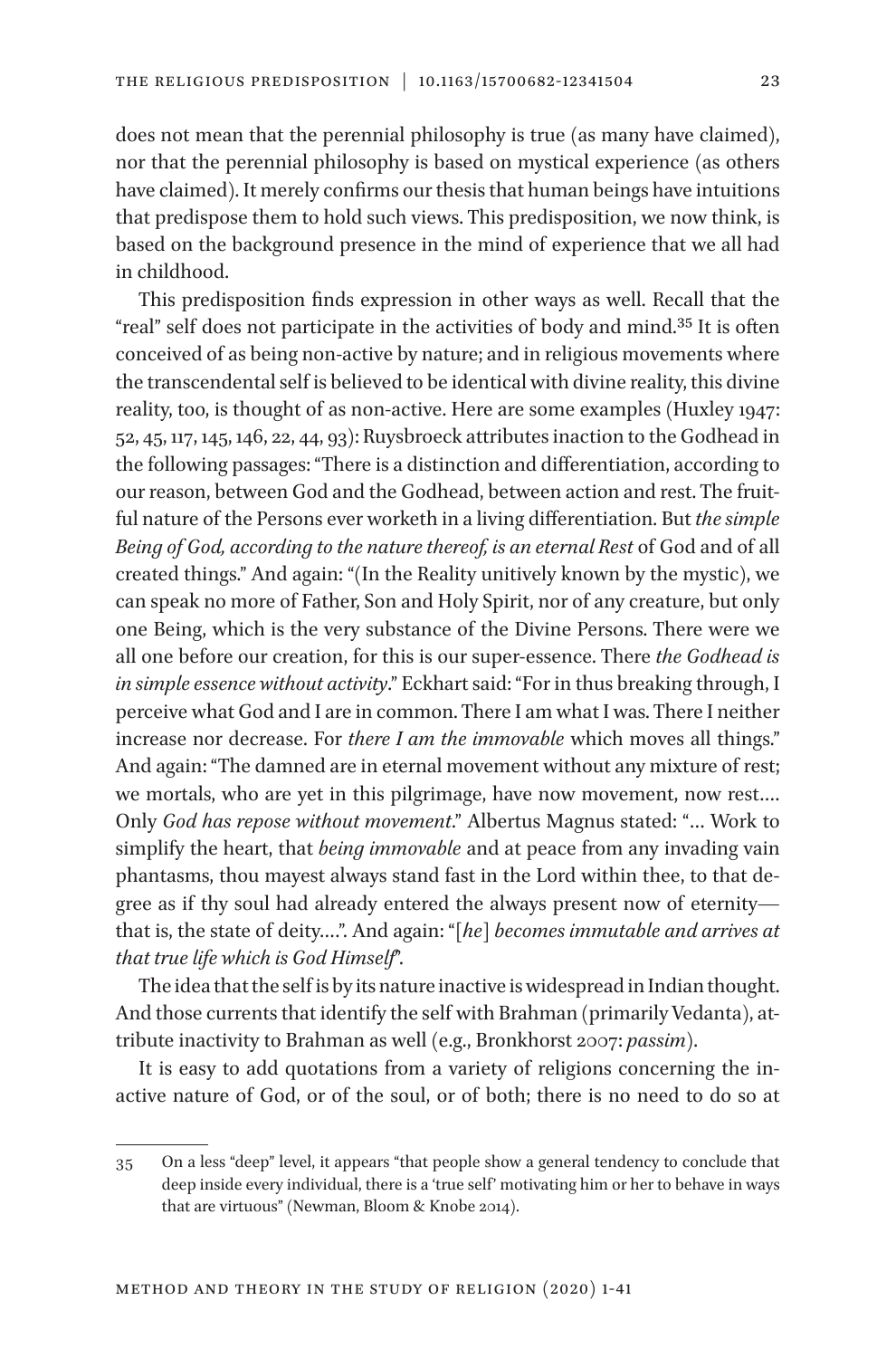does not mean that the perennial philosophy is true (as many have claimed), nor that the perennial philosophy is based on mystical experience (as others have claimed). It merely confirms our thesis that human beings have intuitions that predispose them to hold such views. This predisposition, we now think, is based on the background presence in the mind of experience that we all had in childhood.

This predisposition finds expression in other ways as well. Recall that the "real" self does not participate in the activities of body and mind.35 It is often conceived of as being non-active by nature; and in religious movements where the transcendental self is believed to be identical with divine reality, this divine reality, too, is thought of as non-active. Here are some examples (Huxley 1947: 52, 45, 117, 145, 146, 22, 44, 93): Ruysbroeck attributes inaction to the Godhead in the following passages: "There is a distinction and differentiation, according to our reason, between God and the Godhead, between action and rest. The fruitful nature of the Persons ever worketh in a living differentiation. But *the simple Being of God, according to the nature thereof, is an eternal Rest* of God and of all created things." And again: "(In the Reality unitively known by the mystic), we can speak no more of Father, Son and Holy Spirit, nor of any creature, but only one Being, which is the very substance of the Divine Persons. There were we all one before our creation, for this is our super-essence. There *the Godhead is in simple essence without activity*." Eckhart said: "For in thus breaking through, I perceive what God and I are in common. There I am what I was. There I neither increase nor decrease. For *there I am the immovable* which moves all things." And again: "The damned are in eternal movement without any mixture of rest; we mortals, who are yet in this pilgrimage, have now movement, now rest…. Only *God has repose without movement*." Albertus Magnus stated: "… Work to simplify the heart, that *being immovable* and at peace from any invading vain phantasms, thou mayest always stand fast in the Lord within thee, to that degree as if thy soul had already entered the always present now of eternity that is, the state of deity….". And again: "*[he] becomes immutable and arrives at that true life which is God Himself*".

The idea that the self is by its nature inactive is widespread in Indian thought. And those currents that identify the self with Brahman (primarily Vedanta), attribute inactivity to Brahman as well (e.g., Bronkhorst 2007: *passim*).

It is easy to add quotations from a variety of religions concerning the inactive nature of God, or of the soul, or of both; there is no need to do so at

<sup>35</sup> On a less "deep" level, it appears "that people show a general tendency to conclude that deep inside every individual, there is a 'true self' motivating him or her to behave in ways that are virtuous" (Newman, Bloom & Knobe 2014).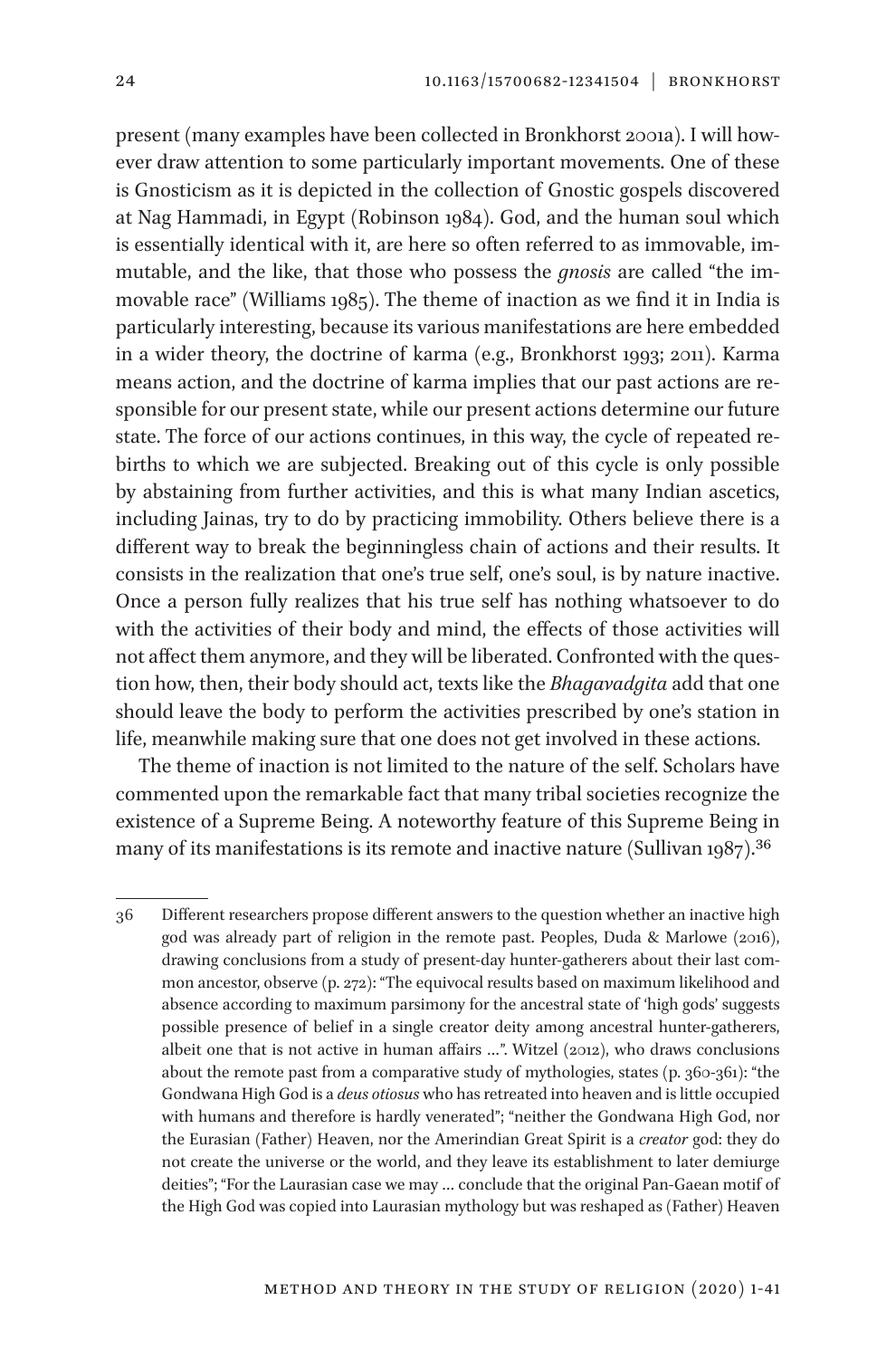present (many examples have been collected in Bronkhorst 2001a). I will however draw attention to some particularly important movements. One of these is Gnosticism as it is depicted in the collection of Gnostic gospels discovered at Nag Hammadi, in Egypt (Robinson 1984). God, and the human soul which is essentially identical with it, are here so often referred to as immovable, immutable, and the like, that those who possess the *gnosis* are called "the immovable race" (Williams 1985). The theme of inaction as we find it in India is particularly interesting, because its various manifestations are here embedded in a wider theory, the doctrine of karma (e.g., Bronkhorst 1993; 2011). Karma means action, and the doctrine of karma implies that our past actions are responsible for our present state, while our present actions determine our future state. The force of our actions continues, in this way, the cycle of repeated rebirths to which we are subjected. Breaking out of this cycle is only possible by abstaining from further activities, and this is what many Indian ascetics, including Jainas, try to do by practicing immobility. Others believe there is a different way to break the beginningless chain of actions and their results. It consists in the realization that one's true self, one's soul, is by nature inactive. Once a person fully realizes that his true self has nothing whatsoever to do with the activities of their body and mind, the effects of those activities will not affect them anymore, and they will be liberated. Confronted with the question how, then, their body should act, texts like the *Bhagavadgita* add that one should leave the body to perform the activities prescribed by one's station in life, meanwhile making sure that one does not get involved in these actions.

The theme of inaction is not limited to the nature of the self. Scholars have commented upon the remarkable fact that many tribal societies recognize the existence of a Supreme Being. A noteworthy feature of this Supreme Being in many of its manifestations is its remote and inactive nature (Sullivan 1987).<sup>36</sup>

<sup>36</sup> Different researchers propose different answers to the question whether an inactive high god was already part of religion in the remote past. Peoples, Duda & Marlowe (2016), drawing conclusions from a study of present-day hunter-gatherers about their last common ancestor, observe (p. 272): "The equivocal results based on maximum likelihood and absence according to maximum parsimony for the ancestral state of 'high gods' suggests possible presence of belief in a single creator deity among ancestral hunter-gatherers, albeit one that is not active in human affairs …". Witzel (2012), who draws conclusions about the remote past from a comparative study of mythologies, states (p. 360-361): "the Gondwana High God is a *deus otiosus* who has retreated into heaven and is little occupied with humans and therefore is hardly venerated"; "neither the Gondwana High God, nor the Eurasian (Father) Heaven, nor the Amerindian Great Spirit is a *creator* god: they do not create the universe or the world, and they leave its establishment to later demiurge deities"; "For the Laurasian case we may … conclude that the original Pan-Gaean motif of the High God was copied into Laurasian mythology but was reshaped as (Father) Heaven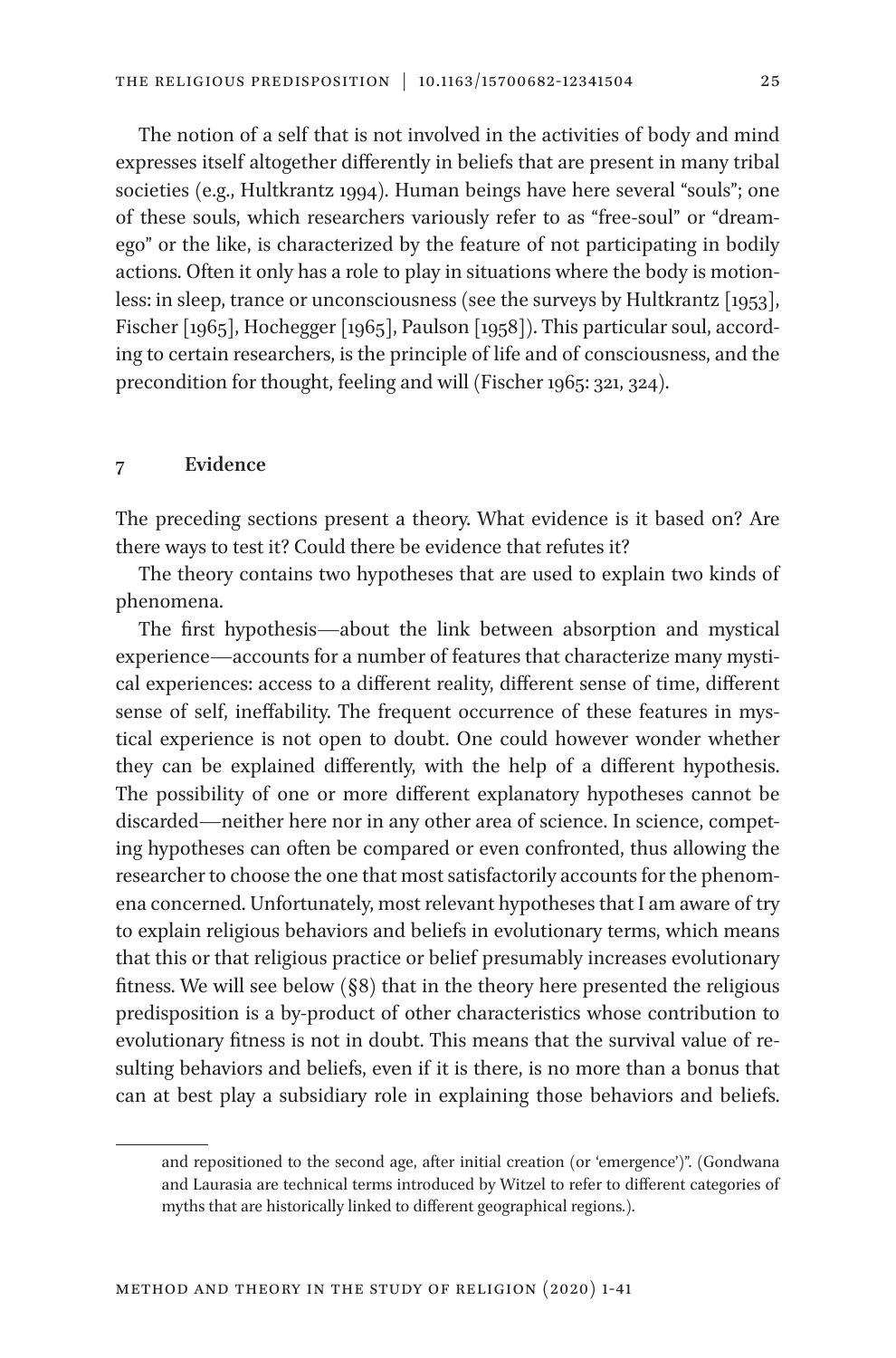The notion of a self that is not involved in the activities of body and mind expresses itself altogether differently in beliefs that are present in many tribal societies (e.g., Hultkrantz 1994). Human beings have here several "souls"; one of these souls, which researchers variously refer to as "free-soul" or "dreamego" or the like, is characterized by the feature of not participating in bodily actions. Often it only has a role to play in situations where the body is motionless: in sleep, trance or unconsciousness (see the surveys by Hultkrantz [1953], Fischer [1965], Hochegger [1965], Paulson [1958]). This particular soul, according to certain researchers, is the principle of life and of consciousness, and the precondition for thought, feeling and will (Fischer 1965: 321, 324).

## **7 Evidence**

The preceding sections present a theory. What evidence is it based on? Are there ways to test it? Could there be evidence that refutes it?

The theory contains two hypotheses that are used to explain two kinds of phenomena.

The first hypothesis—about the link between absorption and mystical experience—accounts for a number of features that characterize many mystical experiences: access to a different reality, different sense of time, different sense of self, ineffability. The frequent occurrence of these features in mystical experience is not open to doubt. One could however wonder whether they can be explained differently, with the help of a different hypothesis. The possibility of one or more different explanatory hypotheses cannot be discarded—neither here nor in any other area of science. In science, competing hypotheses can often be compared or even confronted, thus allowing the researcher to choose the one that most satisfactorily accounts for the phenomena concerned. Unfortunately, most relevant hypotheses that I am aware of try to explain religious behaviors and beliefs in evolutionary terms, which means that this or that religious practice or belief presumably increases evolutionary fitness. We will see below (§8) that in the theory here presented the religious predisposition is a by-product of other characteristics whose contribution to evolutionary fitness is not in doubt. This means that the survival value of resulting behaviors and beliefs, even if it is there, is no more than a bonus that can at best play a subsidiary role in explaining those behaviors and beliefs.

and repositioned to the second age, after initial creation (or 'emergence')". (Gondwana and Laurasia are technical terms introduced by Witzel to refer to different categories of myths that are historically linked to different geographical regions.).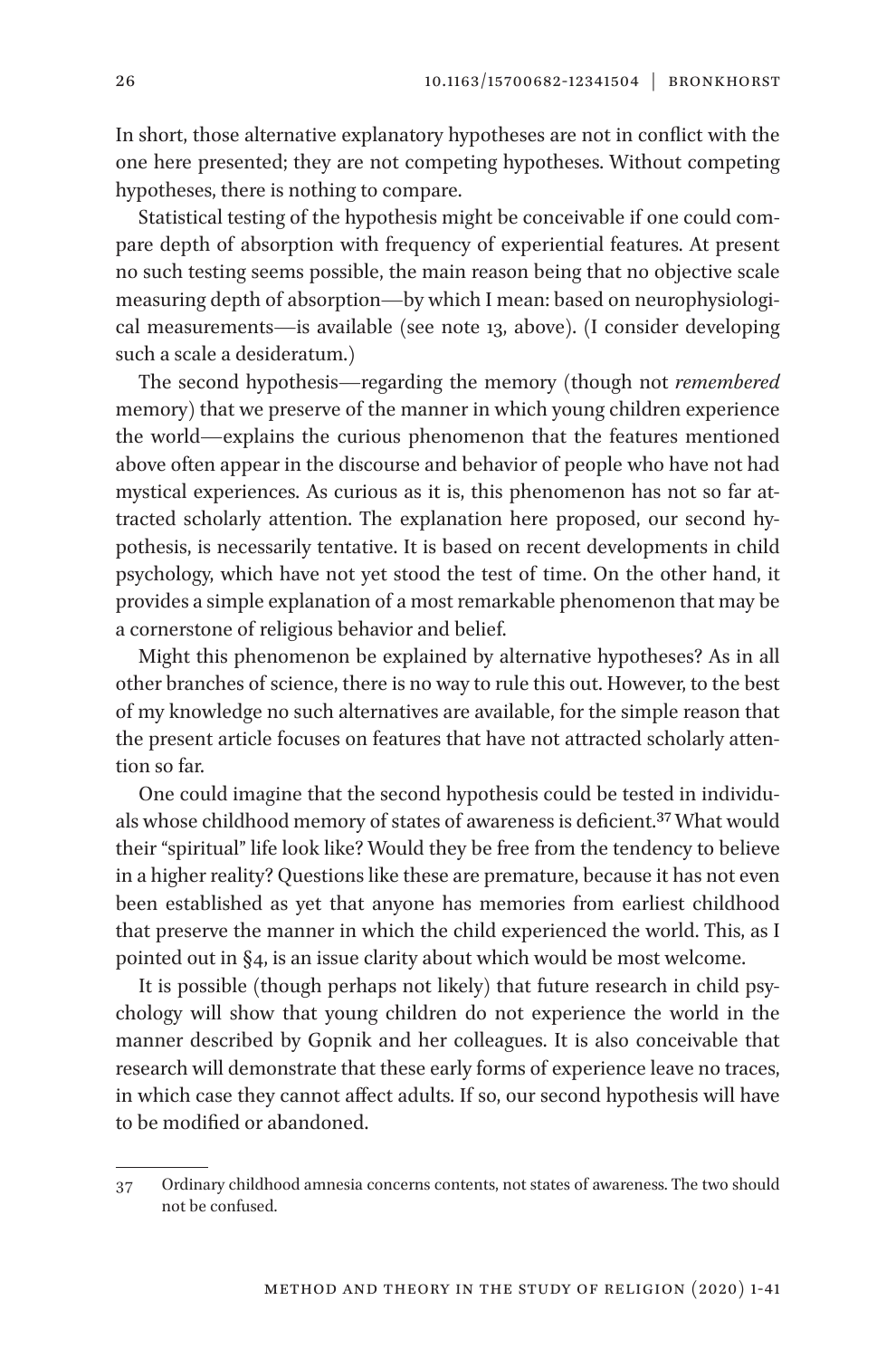In short, those alternative explanatory hypotheses are not in conflict with the one here presented; they are not competing hypotheses. Without competing hypotheses, there is nothing to compare.

Statistical testing of the hypothesis might be conceivable if one could compare depth of absorption with frequency of experiential features. At present no such testing seems possible, the main reason being that no objective scale measuring depth of absorption—by which I mean: based on neurophysiological measurements—is available (see note 13, above). (I consider developing such a scale a desideratum.)

The second hypothesis—regarding the memory (though not *remembered* memory) that we preserve of the manner in which young children experience the world—explains the curious phenomenon that the features mentioned above often appear in the discourse and behavior of people who have not had mystical experiences. As curious as it is, this phenomenon has not so far attracted scholarly attention. The explanation here proposed, our second hypothesis, is necessarily tentative. It is based on recent developments in child psychology, which have not yet stood the test of time. On the other hand, it provides a simple explanation of a most remarkable phenomenon that may be a cornerstone of religious behavior and belief.

Might this phenomenon be explained by alternative hypotheses? As in all other branches of science, there is no way to rule this out. However, to the best of my knowledge no such alternatives are available, for the simple reason that the present article focuses on features that have not attracted scholarly attention so far.

One could imagine that the second hypothesis could be tested in individuals whose childhood memory of states of awareness is deficient.37 What would their "spiritual" life look like? Would they be free from the tendency to believe in a higher reality? Questions like these are premature, because it has not even been established as yet that anyone has memories from earliest childhood that preserve the manner in which the child experienced the world. This, as I pointed out in §4, is an issue clarity about which would be most welcome.

It is possible (though perhaps not likely) that future research in child psychology will show that young children do not experience the world in the manner described by Gopnik and her colleagues. It is also conceivable that research will demonstrate that these early forms of experience leave no traces, in which case they cannot affect adults. If so, our second hypothesis will have to be modified or abandoned.

<sup>37</sup> Ordinary childhood amnesia concerns contents, not states of awareness. The two should not be confused.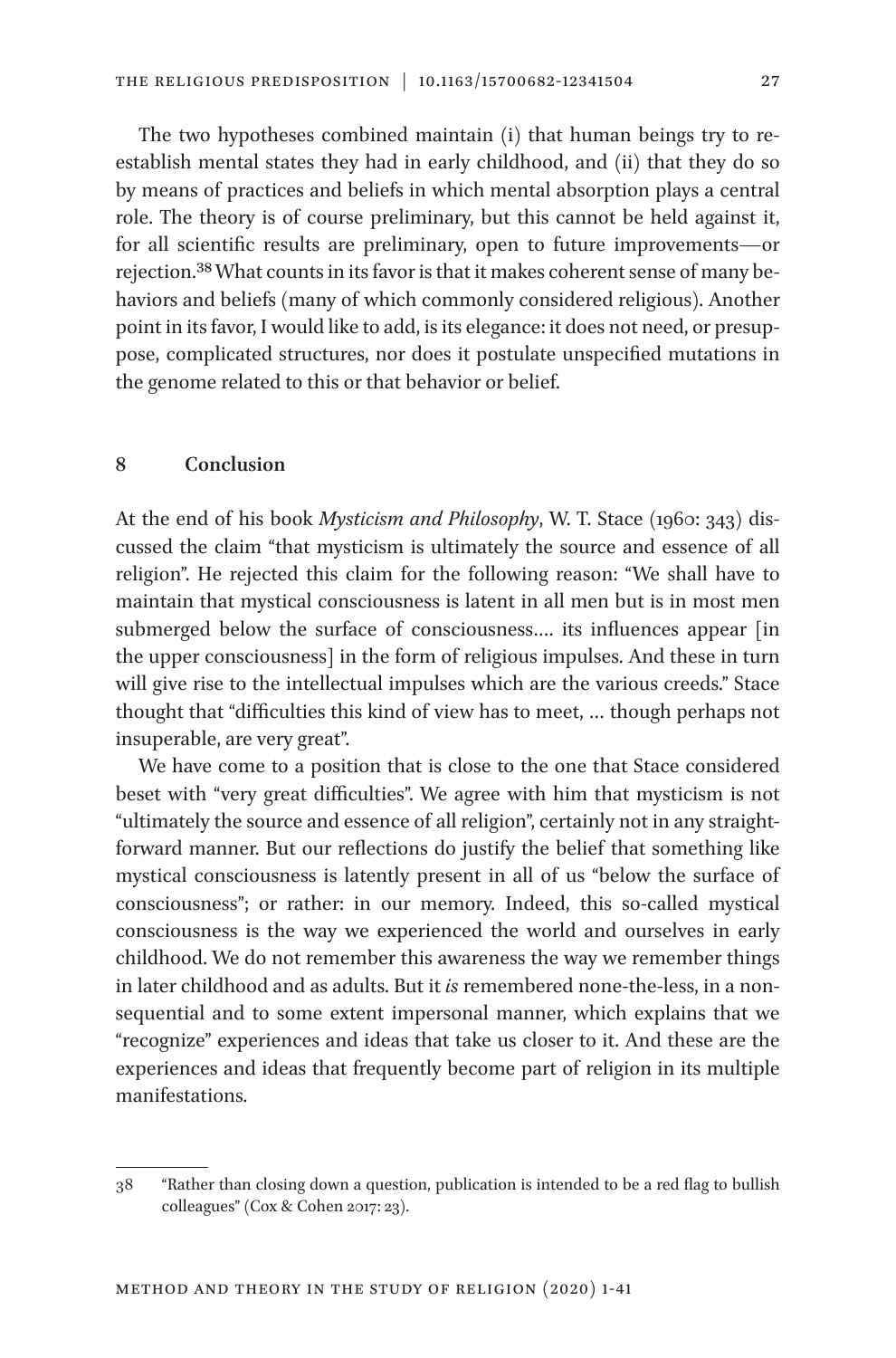The two hypotheses combined maintain (i) that human beings try to reestablish mental states they had in early childhood, and (ii) that they do so by means of practices and beliefs in which mental absorption plays a central role. The theory is of course preliminary, but this cannot be held against it, for all scientific results are preliminary, open to future improvements—or rejection.38 What counts in its favor is that it makes coherent sense of many behaviors and beliefs (many of which commonly considered religious). Another point in its favor, I would like to add, is its elegance: it does not need, or presuppose, complicated structures, nor does it postulate unspecified mutations in the genome related to this or that behavior or belief.

#### **8 Conclusion**

At the end of his book *Mysticism and Philosophy*, W. T. Stace (1960: 343) discussed the claim "that mysticism is ultimately the source and essence of all religion". He rejected this claim for the following reason: "We shall have to maintain that mystical consciousness is latent in all men but is in most men submerged below the surface of consciousness…. its influences appear [in the upper consciousness] in the form of religious impulses. And these in turn will give rise to the intellectual impulses which are the various creeds." Stace thought that "difficulties this kind of view has to meet, … though perhaps not insuperable, are very great".

We have come to a position that is close to the one that Stace considered beset with "very great difficulties". We agree with him that mysticism is not "ultimately the source and essence of all religion", certainly not in any straightforward manner. But our reflections do justify the belief that something like mystical consciousness is latently present in all of us "below the surface of consciousness"; or rather: in our memory. Indeed, this so-called mystical consciousness is the way we experienced the world and ourselves in early childhood. We do not remember this awareness the way we remember things in later childhood and as adults. But it *is* remembered none-the-less, in a nonsequential and to some extent impersonal manner, which explains that we "recognize" experiences and ideas that take us closer to it. And these are the experiences and ideas that frequently become part of religion in its multiple manifestations.

<sup>38 &</sup>quot;Rather than closing down a question, publication is intended to be a red flag to bullish colleagues" (Cox & Cohen 2017: 23).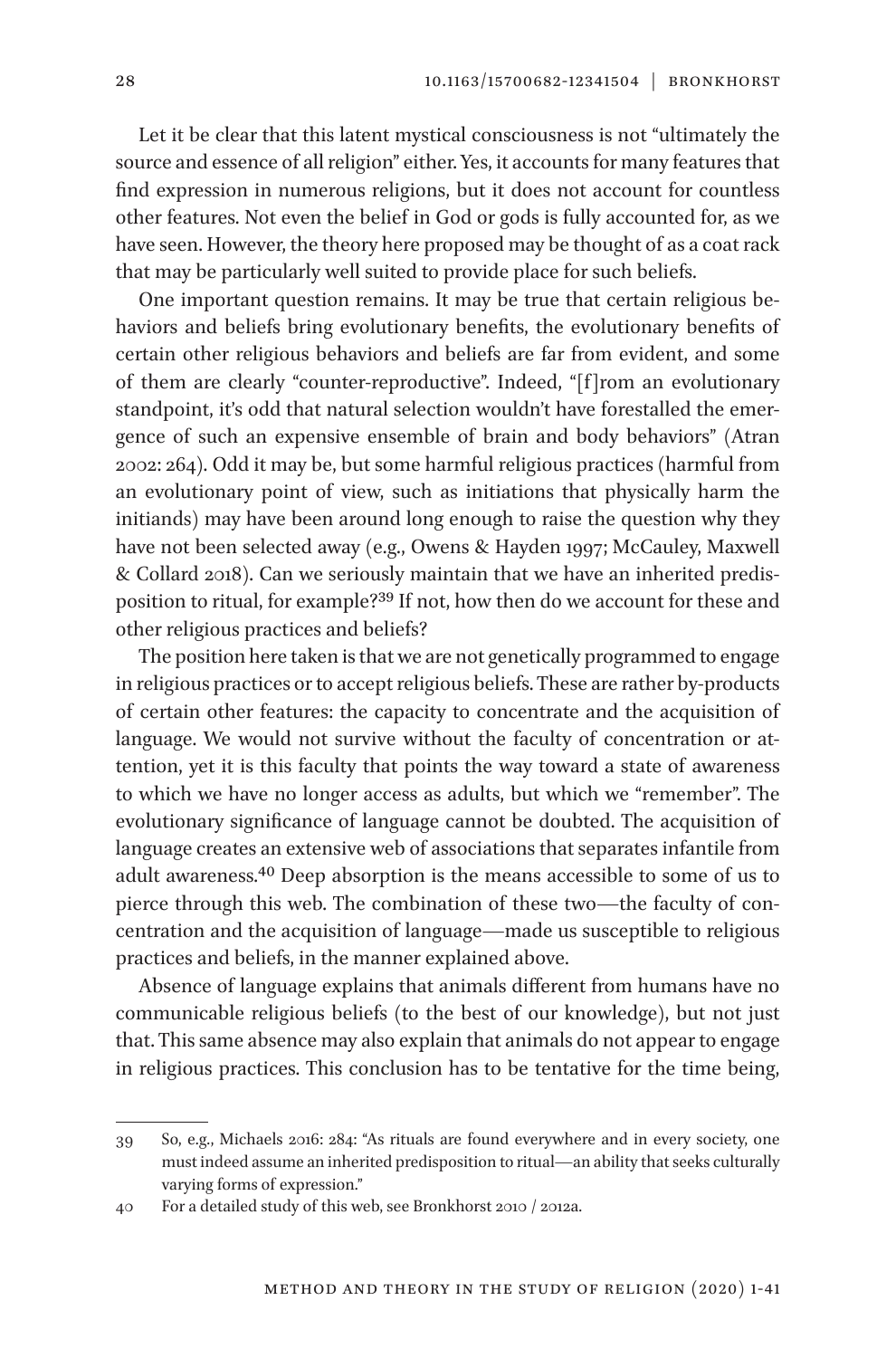Let it be clear that this latent mystical consciousness is not "ultimately the source and essence of all religion" either. Yes, it accounts for many features that find expression in numerous religions, but it does not account for countless other features. Not even the belief in God or gods is fully accounted for, as we have seen. However, the theory here proposed may be thought of as a coat rack that may be particularly well suited to provide place for such beliefs.

One important question remains. It may be true that certain religious behaviors and beliefs bring evolutionary benefits, the evolutionary benefits of certain other religious behaviors and beliefs are far from evident, and some of them are clearly "counter-reproductive". Indeed, "[f]rom an evolutionary standpoint, it's odd that natural selection wouldn't have forestalled the emergence of such an expensive ensemble of brain and body behaviors" (Atran 2002: 264). Odd it may be, but some harmful religious practices (harmful from an evolutionary point of view, such as initiations that physically harm the initiands) may have been around long enough to raise the question why they have not been selected away (e.g., Owens & Hayden 1997; McCauley, Maxwell & Collard 2018). Can we seriously maintain that we have an inherited predisposition to ritual, for example?39 If not, how then do we account for these and other religious practices and beliefs?

The position here taken is that we are not genetically programmed to engage in religious practices or to accept religious beliefs. These are rather by-products of certain other features: the capacity to concentrate and the acquisition of language. We would not survive without the faculty of concentration or attention, yet it is this faculty that points the way toward a state of awareness to which we have no longer access as adults, but which we "remember". The evolutionary significance of language cannot be doubted. The acquisition of language creates an extensive web of associations that separates infantile from adult awareness.40 Deep absorption is the means accessible to some of us to pierce through this web. The combination of these two—the faculty of concentration and the acquisition of language—made us susceptible to religious practices and beliefs, in the manner explained above.

Absence of language explains that animals different from humans have no communicable religious beliefs (to the best of our knowledge), but not just that. This same absence may also explain that animals do not appear to engage in religious practices. This conclusion has to be tentative for the time being,

<sup>39</sup> So, e.g., Michaels 2016: 284: "As rituals are found everywhere and in every society, one must indeed assume an inherited predisposition to ritual—an ability that seeks culturally varying forms of expression."

<sup>40</sup> For a detailed study of this web, see Bronkhorst 2010 / 2012a.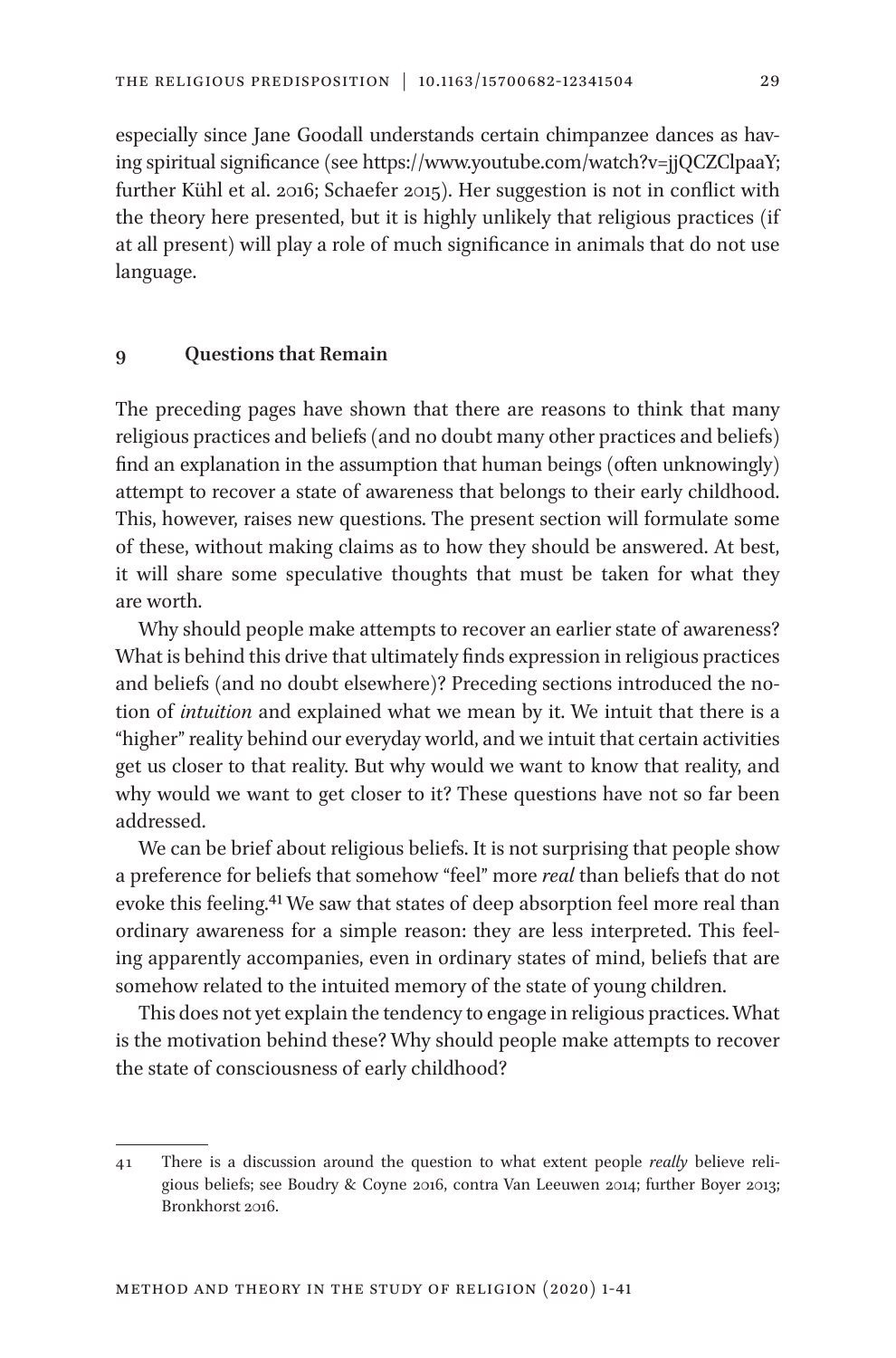especially since Jane Goodall understands certain chimpanzee dances as having spiritual significance (see https://www.youtube.com/watch?v=jjQCZClpaaY; further Kühl et al. 2016; Schaefer 2015). Her suggestion is not in conflict with the theory here presented, but it is highly unlikely that religious practices (if at all present) will play a role of much significance in animals that do not use language.

#### **9 Questions that Remain**

The preceding pages have shown that there are reasons to think that many religious practices and beliefs (and no doubt many other practices and beliefs) find an explanation in the assumption that human beings (often unknowingly) attempt to recover a state of awareness that belongs to their early childhood. This, however, raises new questions. The present section will formulate some of these, without making claims as to how they should be answered. At best, it will share some speculative thoughts that must be taken for what they are worth.

Why should people make attempts to recover an earlier state of awareness? What is behind this drive that ultimately finds expression in religious practices and beliefs (and no doubt elsewhere)? Preceding sections introduced the notion of *intuition* and explained what we mean by it. We intuit that there is a "higher" reality behind our everyday world, and we intuit that certain activities get us closer to that reality. But why would we want to know that reality, and why would we want to get closer to it? These questions have not so far been addressed.

We can be brief about religious beliefs. It is not surprising that people show a preference for beliefs that somehow "feel" more *real* than beliefs that do not evoke this feeling.<sup>41</sup> We saw that states of deep absorption feel more real than ordinary awareness for a simple reason: they are less interpreted. This feeling apparently accompanies, even in ordinary states of mind, beliefs that are somehow related to the intuited memory of the state of young children.

This does not yet explain the tendency to engage in religious practices. What is the motivation behind these? Why should people make attempts to recover the state of consciousness of early childhood?

<sup>41</sup> There is a discussion around the question to what extent people *really* believe religious beliefs; see Boudry & Coyne 2016, contra Van Leeuwen 2014; further Boyer 2013; Bronkhorst 2016.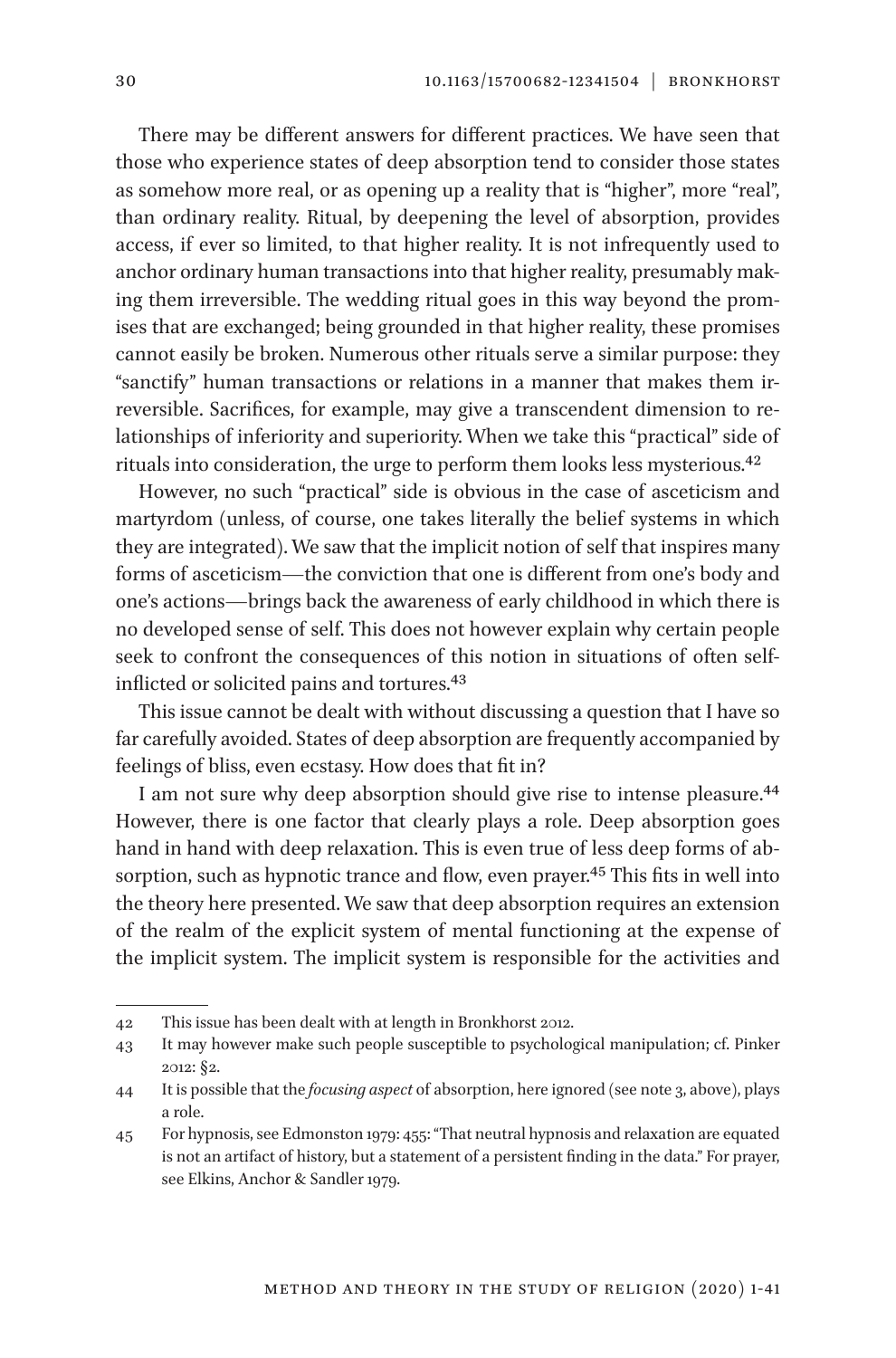There may be different answers for different practices. We have seen that those who experience states of deep absorption tend to consider those states as somehow more real, or as opening up a reality that is "higher", more "real", than ordinary reality. Ritual, by deepening the level of absorption, provides access, if ever so limited, to that higher reality. It is not infrequently used to anchor ordinary human transactions into that higher reality, presumably making them irreversible. The wedding ritual goes in this way beyond the promises that are exchanged; being grounded in that higher reality, these promises cannot easily be broken. Numerous other rituals serve a similar purpose: they "sanctify" human transactions or relations in a manner that makes them irreversible. Sacrifices, for example, may give a transcendent dimension to relationships of inferiority and superiority. When we take this "practical" side of rituals into consideration, the urge to perform them looks less mysterious.42

However, no such "practical" side is obvious in the case of asceticism and martyrdom (unless, of course, one takes literally the belief systems in which they are integrated). We saw that the implicit notion of self that inspires many forms of asceticism—the conviction that one is different from one's body and one's actions—brings back the awareness of early childhood in which there is no developed sense of self. This does not however explain why certain people seek to confront the consequences of this notion in situations of often selfinflicted or solicited pains and tortures.43

This issue cannot be dealt with without discussing a question that I have so far carefully avoided. States of deep absorption are frequently accompanied by feelings of bliss, even ecstasy. How does that fit in?

I am not sure why deep absorption should give rise to intense pleasure.44 However, there is one factor that clearly plays a role. Deep absorption goes hand in hand with deep relaxation. This is even true of less deep forms of absorption, such as hypnotic trance and flow, even prayer.45 This fits in well into the theory here presented. We saw that deep absorption requires an extension of the realm of the explicit system of mental functioning at the expense of the implicit system. The implicit system is responsible for the activities and

<sup>42</sup> This issue has been dealt with at length in Bronkhorst 2012.

<sup>43</sup> It may however make such people susceptible to psychological manipulation; cf. Pinker 2012: §2.

<sup>44</sup> It is possible that the *focusing aspect* of absorption, here ignored (see note 3, above), plays a role.

<sup>45</sup> For hypnosis, see Edmonston 1979: 455: "That neutral hypnosis and relaxation are equated is not an artifact of history, but a statement of a persistent finding in the data." For prayer, see Elkins, Anchor & Sandler 1979.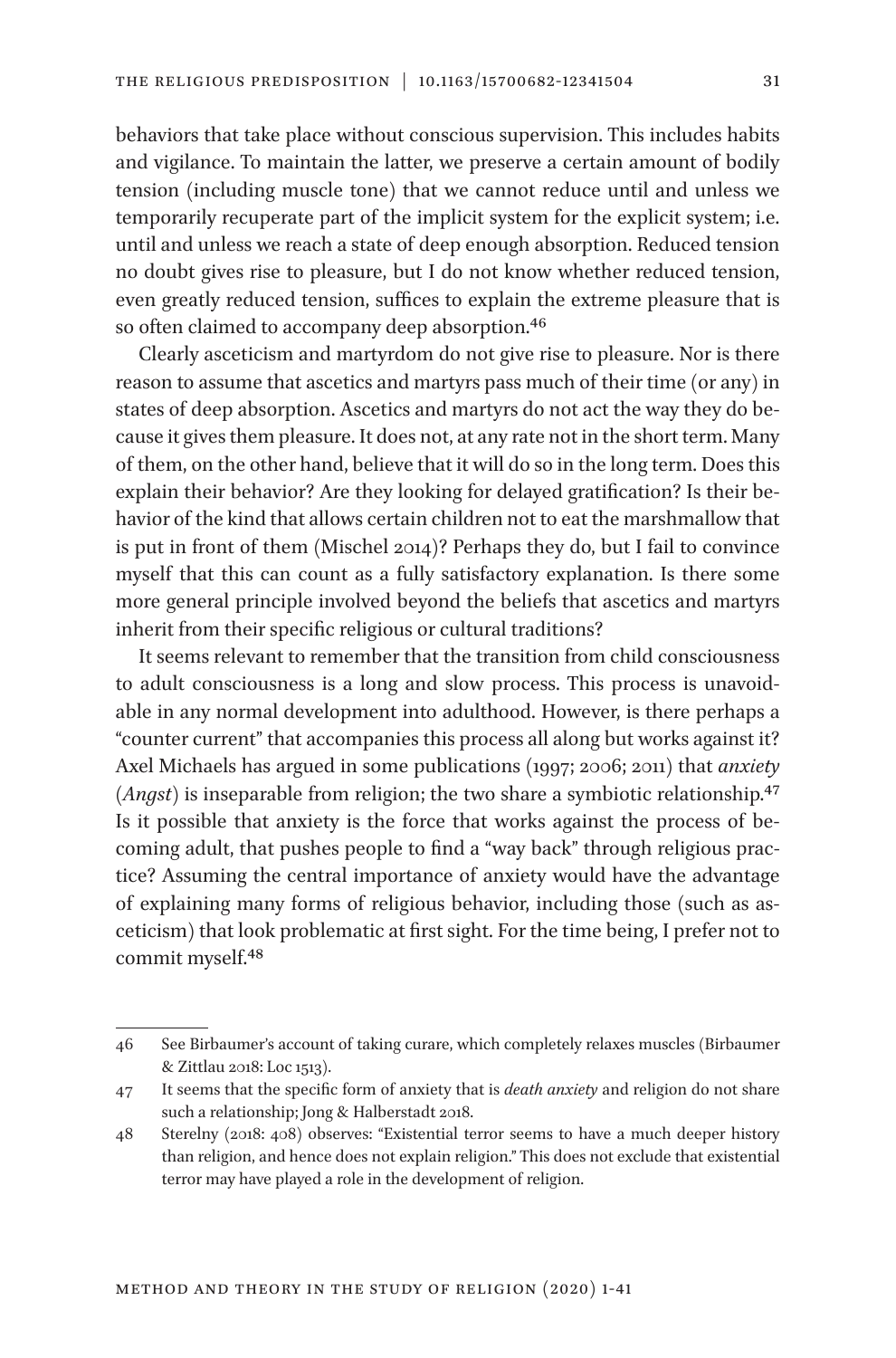behaviors that take place without conscious supervision. This includes habits and vigilance. To maintain the latter, we preserve a certain amount of bodily tension (including muscle tone) that we cannot reduce until and unless we temporarily recuperate part of the implicit system for the explicit system; i.e. until and unless we reach a state of deep enough absorption. Reduced tension no doubt gives rise to pleasure, but I do not know whether reduced tension, even greatly reduced tension, suffices to explain the extreme pleasure that is so often claimed to accompany deep absorption.46

Clearly asceticism and martyrdom do not give rise to pleasure. Nor is there reason to assume that ascetics and martyrs pass much of their time (or any) in states of deep absorption. Ascetics and martyrs do not act the way they do because it gives them pleasure. It does not, at any rate not in the short term. Many of them, on the other hand, believe that it will do so in the long term. Does this explain their behavior? Are they looking for delayed gratification? Is their behavior of the kind that allows certain children not to eat the marshmallow that is put in front of them (Mischel 2014)? Perhaps they do, but I fail to convince myself that this can count as a fully satisfactory explanation. Is there some more general principle involved beyond the beliefs that ascetics and martyrs inherit from their specific religious or cultural traditions?

It seems relevant to remember that the transition from child consciousness to adult consciousness is a long and slow process. This process is unavoidable in any normal development into adulthood. However, is there perhaps a "counter current" that accompanies this process all along but works against it? Axel Michaels has argued in some publications (1997; 2006; 2011) that *anxiety* (*Angst*) is inseparable from religion; the two share a symbiotic relationship.47 Is it possible that anxiety is the force that works against the process of becoming adult, that pushes people to find a "way back" through religious practice? Assuming the central importance of anxiety would have the advantage of explaining many forms of religious behavior, including those (such as asceticism) that look problematic at first sight. For the time being, I prefer not to commit myself.48

<sup>46</sup> See Birbaumer's account of taking curare, which completely relaxes muscles (Birbaumer & Zittlau 2018: Loc 1513).

<sup>47</sup> It seems that the specific form of anxiety that is *death anxiety* and religion do not share such a relationship; Jong & Halberstadt 2018.

<sup>48</sup> Sterelny (2018: 408) observes: "Existential terror seems to have a much deeper history than religion, and hence does not explain religion." This does not exclude that existential terror may have played a role in the development of religion.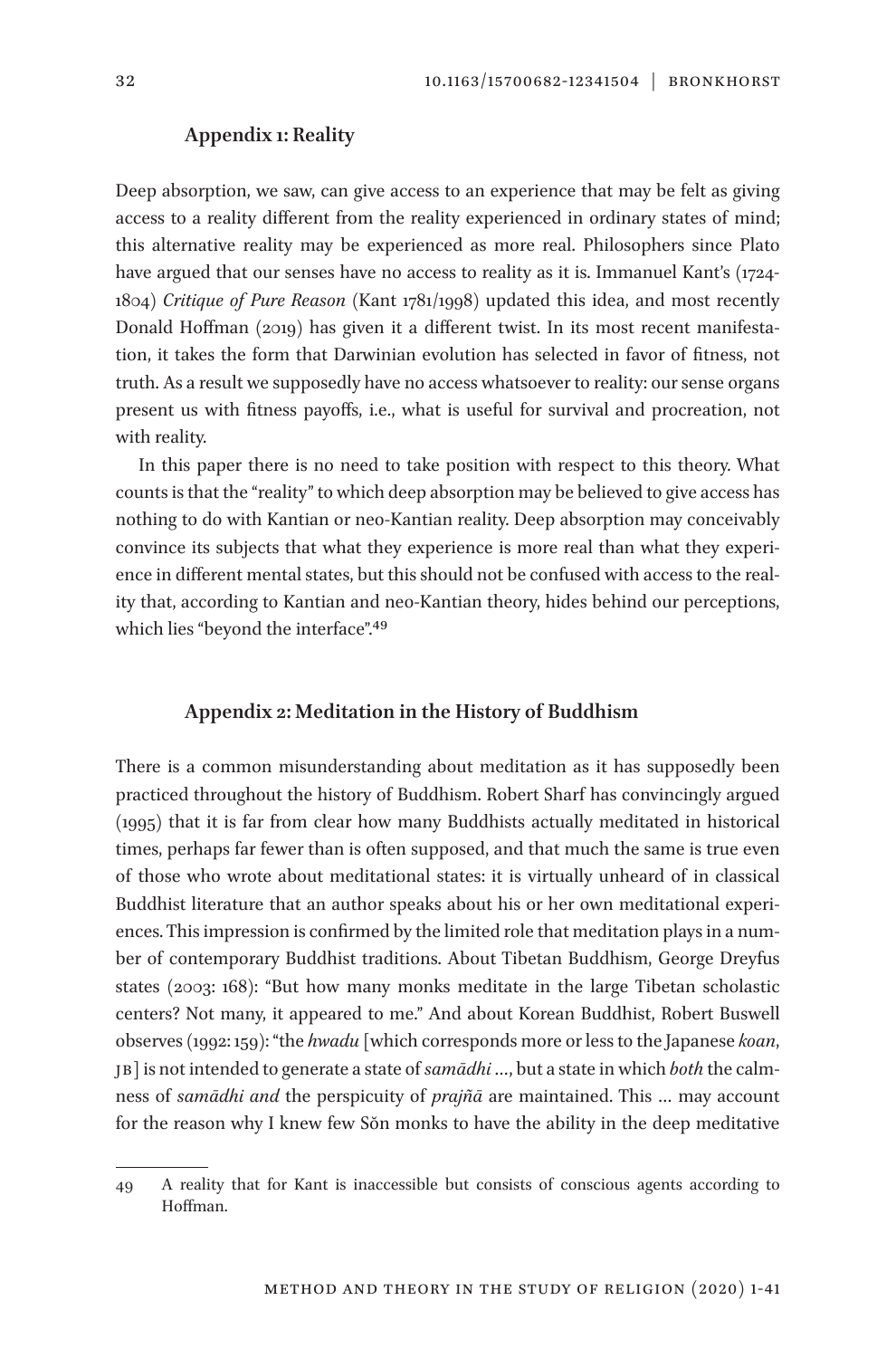#### **Appendix 1: Reality**

Deep absorption, we saw, can give access to an experience that may be felt as giving access to a reality different from the reality experienced in ordinary states of mind; this alternative reality may be experienced as more real. Philosophers since Plato have argued that our senses have no access to reality as it is. Immanuel Kant's (1724- 1804) *Critique of Pure Reason* (Kant 1781/1998) updated this idea, and most recently Donald Hoffman (2019) has given it a different twist. In its most recent manifestation, it takes the form that Darwinian evolution has selected in favor of fitness, not truth. As a result we supposedly have no access whatsoever to reality: our sense organs present us with fitness payoffs, i.e., what is useful for survival and procreation, not with reality.

In this paper there is no need to take position with respect to this theory. What counts is that the "reality" to which deep absorption may be believed to give access has nothing to do with Kantian or neo-Kantian reality. Deep absorption may conceivably convince its subjects that what they experience is more real than what they experience in different mental states, but this should not be confused with access to the reality that, according to Kantian and neo-Kantian theory, hides behind our perceptions, which lies "beyond the interface".49

#### **Appendix 2: Meditation in the History of Buddhism**

There is a common misunderstanding about meditation as it has supposedly been practiced throughout the history of Buddhism. Robert Sharf has convincingly argued (1995) that it is far from clear how many Buddhists actually meditated in historical times, perhaps far fewer than is often supposed, and that much the same is true even of those who wrote about meditational states: it is virtually unheard of in classical Buddhist literature that an author speaks about his or her own meditational experiences. This impression is confirmed by the limited role that meditation plays in a number of contemporary Buddhist traditions. About Tibetan Buddhism, George Dreyfus states (2003: 168): "But how many monks meditate in the large Tibetan scholastic centers? Not many, it appeared to me." And about Korean Buddhist, Robert Buswell observes (1992: 159): "the *hwadu* [which corresponds more or less to the Japanese *koan*, JB] is not intended to generate a state of *samādhi* …, but a state in which *both* the calmness of *samādhi and* the perspicuity of *prajñā* are maintained. This … may account for the reason why I knew few Sŏn monks to have the ability in the deep meditative

<sup>49</sup> A reality that for Kant is inaccessible but consists of conscious agents according to Hoffman.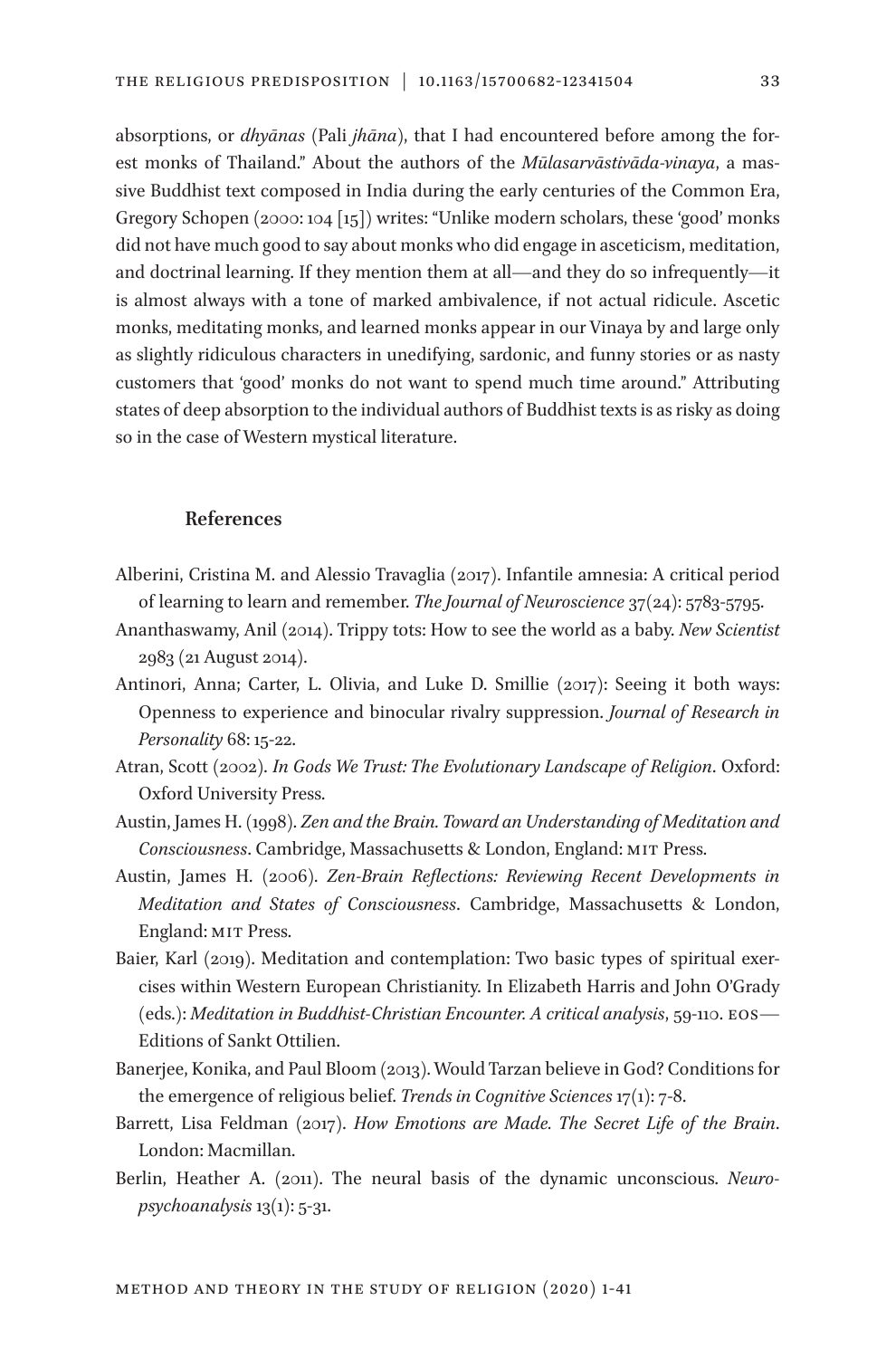absorptions, or *dhyānas* (Pali *jhāna*), that I had encountered before among the forest monks of Thailand." About the authors of the *Mūlasarvāstivāda-vinaya*, a massive Buddhist text composed in India during the early centuries of the Common Era, Gregory Schopen (2000: 104 [15]) writes: "Unlike modern scholars, these 'good' monks did not have much good to say about monks who did engage in asceticism, meditation, and doctrinal learning. If they mention them at all—and they do so infrequently—it is almost always with a tone of marked ambivalence, if not actual ridicule. Ascetic monks, meditating monks, and learned monks appear in our Vinaya by and large only as slightly ridiculous characters in unedifying, sardonic, and funny stories or as nasty customers that 'good' monks do not want to spend much time around." Attributing states of deep absorption to the individual authors of Buddhist texts is as risky as doing so in the case of Western mystical literature.

#### **References**

- Alberini, Cristina M. and Alessio Travaglia (2017). Infantile amnesia: A critical period of learning to learn and remember. *The Journal of Neuroscience* 37(24): 5783-5795.
- Ananthaswamy, Anil (2014). Trippy tots: How to see the world as a baby. *New Scientist* 2983 (21 August 2014).
- Antinori, Anna; Carter, L. Olivia, and Luke D. Smillie (2017): Seeing it both ways: Openness to experience and binocular rivalry suppression. *Journal of Research in Personality* 68: 15-22.
- Atran, Scott (2002). *In Gods We Trust: The Evolutionary Landscape of Religion*. Oxford: Oxford University Press.
- Austin, James H. (1998). *Zen and the Brain. Toward an Understanding of Meditation and Consciousness*. Cambridge, Massachusetts & London, England: MIT Press.
- Austin, James H. (2006). *Zen-Brain Reflections: Reviewing Recent Developments in Meditation and States of Consciousness*. Cambridge, Massachusetts & London, England: MIT Press.
- Baier, Karl (2019). Meditation and contemplation: Two basic types of spiritual exercises within Western European Christianity. In Elizabeth Harris and John O'Grady (eds.): *Meditation in Buddhist-Christian Encounter. A critical analysis*, 59-110. EOS— Editions of Sankt Ottilien.
- Banerjee, Konika, and Paul Bloom (2013). Would Tarzan believe in God? Conditions for the emergence of religious belief. *Trends in Cognitive Sciences* 17(1): 7-8.
- Barrett, Lisa Feldman (2017). *How Emotions are Made. The Secret Life of the Brain*. London: Macmillan.
- Berlin, Heather A. (2011). The neural basis of the dynamic unconscious. *Neuropsychoanalysis* 13(1): 5-31.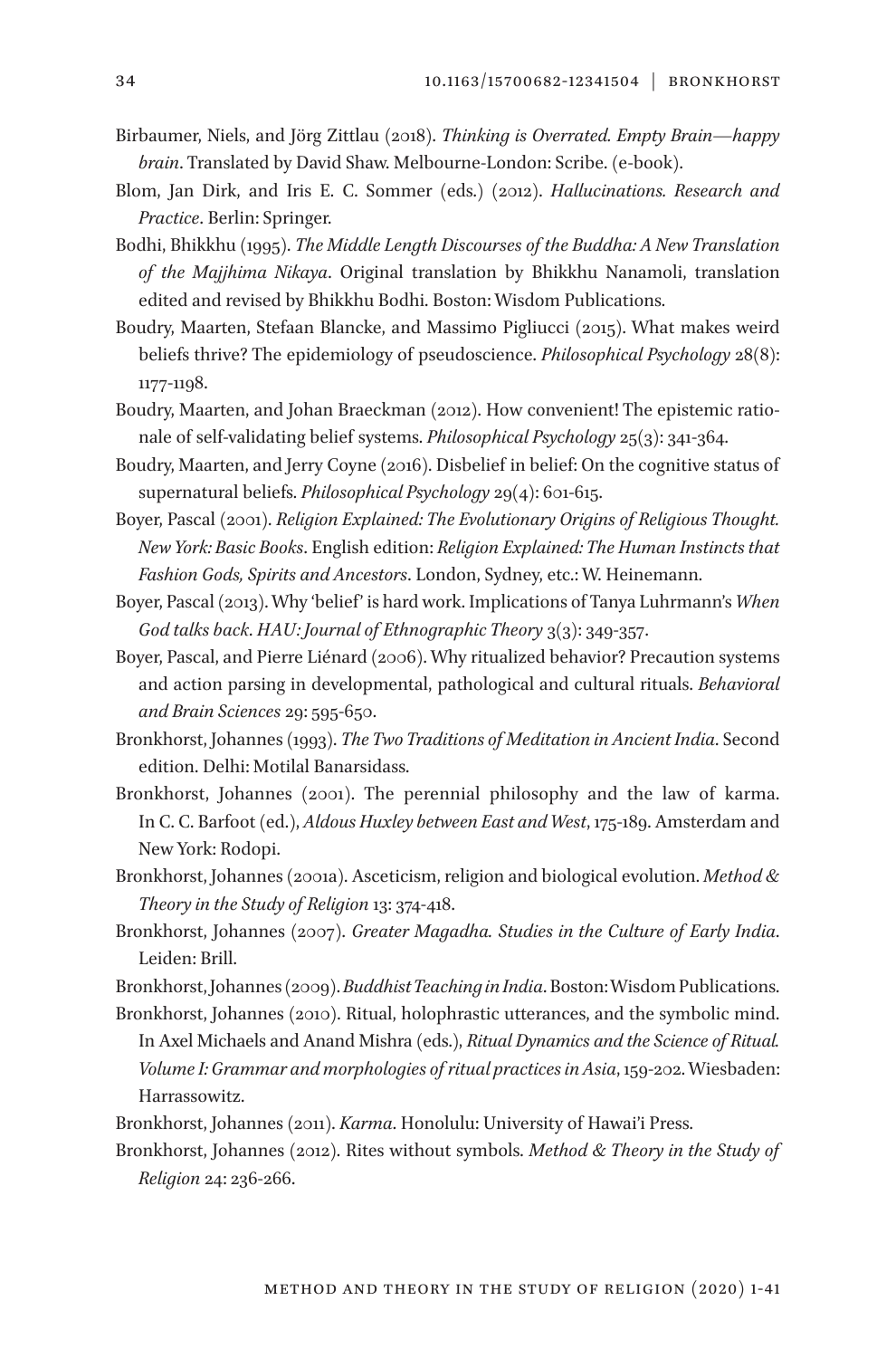- Birbaumer, Niels, and Jörg Zittlau (2018). *Thinking is Overrated. Empty Brain—happy brain*. Translated by David Shaw. Melbourne-London: Scribe. (e-book).
- Blom, Jan Dirk, and Iris E. C. Sommer (eds.) (2012). *Hallucinations. Research and Practice*. Berlin: Springer.
- Bodhi, Bhikkhu (1995). *The Middle Length Discourses of the Buddha: A New Translation of the Majjhima Nikaya*. Original translation by Bhikkhu Nanamoli, translation edited and revised by Bhikkhu Bodhi. Boston: Wisdom Publications.
- Boudry, Maarten, Stefaan Blancke, and Massimo Pigliucci (2015). What makes weird beliefs thrive? The epidemiology of pseudoscience. *Philosophical Psychology* 28(8): 1177-1198.
- Boudry, Maarten, and Johan Braeckman (2012). How convenient! The epistemic rationale of self-validating belief systems. *Philosophical Psychology* 25(3): 341-364.
- Boudry, Maarten, and Jerry Coyne (2016). Disbelief in belief: On the cognitive status of supernatural beliefs. *Philosophical Psychology* 29(4): 601-615.
- Boyer, Pascal (2001). *Religion Explained: The Evolutionary Origins of Religious Thought. New York: Basic Books*. English edition: *Religion Explained: The Human Instincts that Fashion Gods, Spirits and Ancestors*. London, Sydney, etc.: W. Heinemann.
- Boyer, Pascal (2013). Why 'belief' is hard work. Implications of Tanya Luhrmann's *When God talks back*. *HAU: Journal of Ethnographic Theory* 3(3): 349-357.
- Boyer, Pascal, and Pierre Liénard (2006). Why ritualized behavior? Precaution systems and action parsing in developmental, pathological and cultural rituals. *Behavioral and Brain Sciences* 29: 595-650.
- Bronkhorst, Johannes (1993). *The Two Traditions of Meditation in Ancient India*. Second edition. Delhi: Motilal Banarsidass.
- Bronkhorst, Johannes (2001). The perennial philosophy and the law of karma. In C. C. Barfoot (ed.), *Aldous Huxley between East and West*, 175-189. Amsterdam and New York: Rodopi.
- Bronkhorst, Johannes (2001a). Asceticism, religion and biological evolution. *Method & Theory in the Study of Religion* 13: 374-418.
- Bronkhorst, Johannes (2007). *Greater Magadha. Studies in the Culture of Early India*. Leiden: Brill.
- Bronkhorst, Johannes (2009). *Buddhist Teaching in India*. Boston: Wisdom Publications.
- Bronkhorst, Johannes (2010). Ritual, holophrastic utterances, and the symbolic mind. In Axel Michaels and Anand Mishra (eds.), *Ritual Dynamics and the Science of Ritual. Volume I: Grammar and morphologies of ritual practices in Asia*, 159-202. Wiesbaden: Harrassowitz.
- Bronkhorst, Johannes (2011). *Karma*. Honolulu: University of Hawai'i Press.
- Bronkhorst, Johannes (2012). Rites without symbols. *Method & Theory in the Study of Religion* 24: 236-266.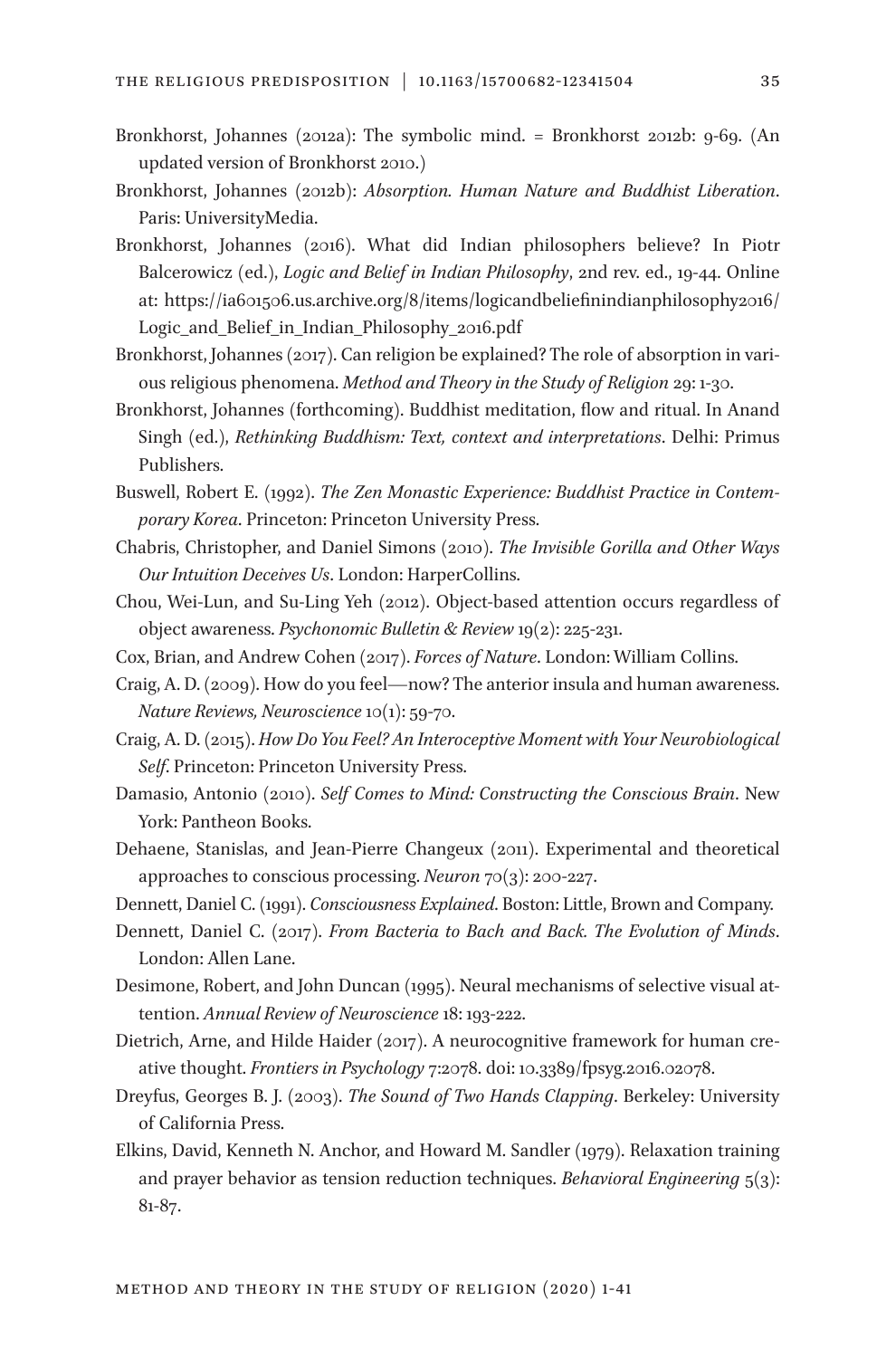- Bronkhorst, Johannes (2012a): The symbolic mind. = Bronkhorst 2012b: 9-69. (An updated version of Bronkhorst 2010.)
- Bronkhorst, Johannes (2012b): *Absorption. Human Nature and Buddhist Liberation*. Paris: UniversityMedia.
- Bronkhorst, Johannes (2016). What did Indian philosophers believe? In Piotr Balcerowicz (ed.), *Logic and Belief in Indian Philosophy*, 2nd rev. ed., 19-44. Online at: https://ia601506.us.archive.org/8/items/logicandbeliefinindianphilosophy2016/ Logic\_and\_Belief\_in\_Indian\_Philosophy\_2016.pdf
- Bronkhorst, Johannes (2017). Can religion be explained? The role of absorption in various religious phenomena. *Method and Theory in the Study of Religion* 29: 1-30.
- Bronkhorst, Johannes (forthcoming). Buddhist meditation, flow and ritual. In Anand Singh (ed.), *Rethinking Buddhism: Text, context and interpretations*. Delhi: Primus Publishers.
- Buswell, Robert E. (1992). *The Zen Monastic Experience: Buddhist Practice in Contemporary Korea*. Princeton: Princeton University Press.
- Chabris, Christopher, and Daniel Simons (2010). *The Invisible Gorilla and Other Ways Our Intuition Deceives Us*. London: HarperCollins.
- Chou, Wei-Lun, and Su-Ling Yeh (2012). Object-based attention occurs regardless of object awareness. *Psychonomic Bulletin & Review* 19(2): 225-231.
- Cox, Brian, and Andrew Cohen (2017). *Forces of Nature*. London: William Collins.
- Craig, A. D. (2009). How do you feel—now? The anterior insula and human awareness. *Nature Reviews, Neuroscience* 10(1): 59-70.
- Craig, A. D. (2015). *How Do You Feel? An Interoceptive Moment with Your Neurobiological Self*. Princeton: Princeton University Press.
- Damasio, Antonio (2010). *Self Comes to Mind: Constructing the Conscious Brain*. New York: Pantheon Books.
- Dehaene, Stanislas, and Jean-Pierre Changeux (2011). Experimental and theoretical approaches to conscious processing. *Neuron* 70(3): 200-227.
- Dennett, Daniel C. (1991). *Consciousness Explained*. Boston: Little, Brown and Company.
- Dennett, Daniel C. (2017). *From Bacteria to Bach and Back. The Evolution of Minds*. London: Allen Lane.
- Desimone, Robert, and John Duncan (1995). Neural mechanisms of selective visual attention. *Annual Review of Neuroscience* 18: 193-222.
- Dietrich, Arne, and Hilde Haider (2017). A neurocognitive framework for human creative thought. *Frontiers in Psychology* 7:2078. doi: 10.3389/fpsyg.2016.02078.
- Dreyfus, Georges B. J. (2003). *The Sound of Two Hands Clapping*. Berkeley: University of California Press.
- Elkins, David, Kenneth N. Anchor, and Howard M. Sandler (1979). Relaxation training and prayer behavior as tension reduction techniques. *Behavioral Engineering* 5(3): 81-87.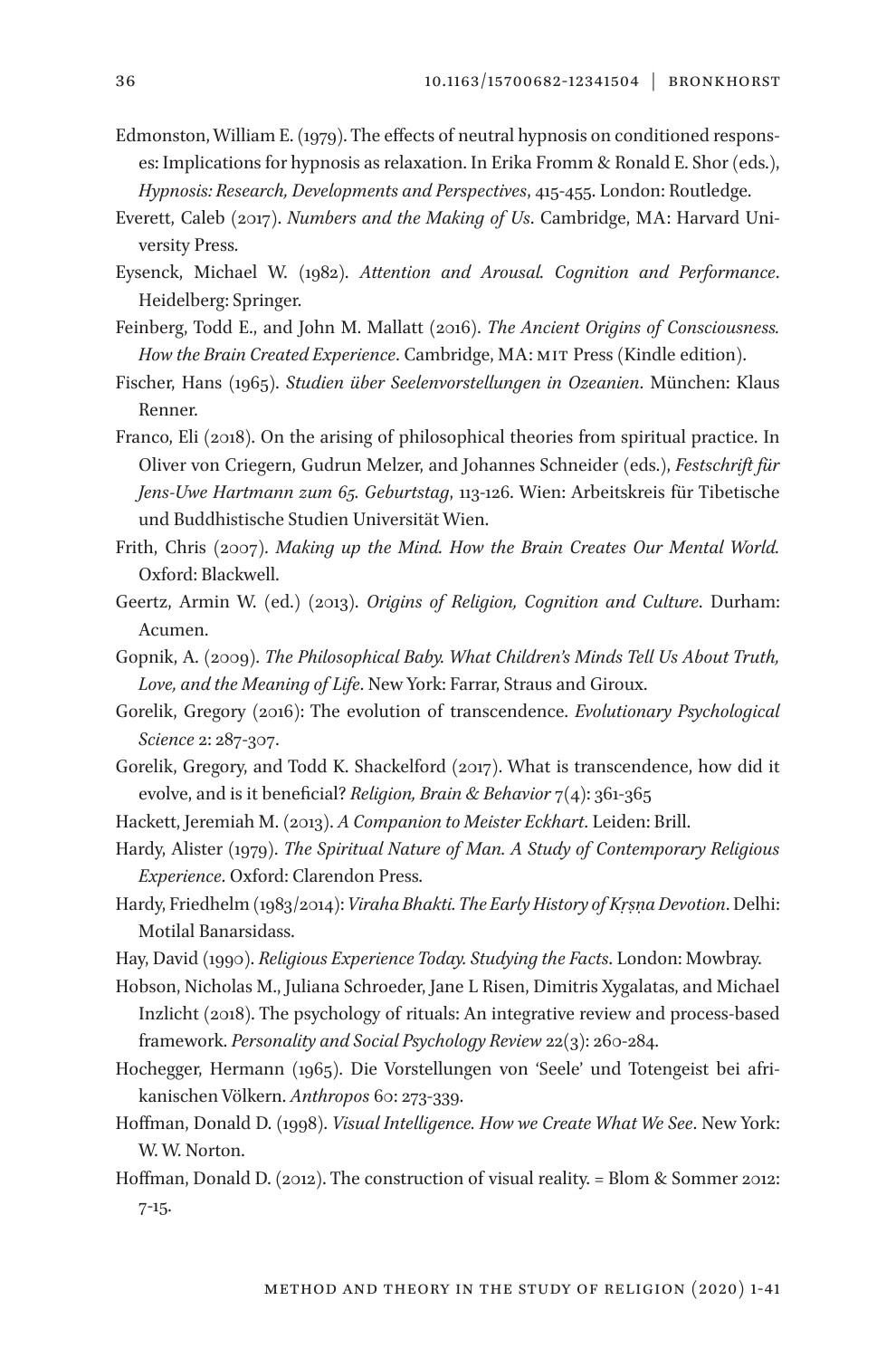- Edmonston, William E. (1979). The effects of neutral hypnosis on conditioned responses: Implications for hypnosis as relaxation. In Erika Fromm & Ronald E. Shor (eds.), *Hypnosis: Research, Developments and Perspectives*, 415-455. London: Routledge.
- Everett, Caleb (2017). *Numbers and the Making of Us*. Cambridge, MA: Harvard University Press.
- Eysenck, Michael W. (1982). *Attention and Arousal. Cognition and Performance*. Heidelberg: Springer.
- Feinberg, Todd E., and John M. Mallatt (2016). *The Ancient Origins of Consciousness. How the Brain Created Experience*. Cambridge, MA: MIT Press (Kindle edition).
- Fischer, Hans (1965). *Studien über Seelenvorstellungen in Ozeanien*. München: Klaus Renner.
- Franco, Eli (2018). On the arising of philosophical theories from spiritual practice. In Oliver von Criegern, Gudrun Melzer, and Johannes Schneider (eds.), *Festschrift für Jens-Uwe Hartmann zum 65. Geburtstag*, 113-126. Wien: Arbeitskreis für Tibetische und Buddhistische Studien Universität Wien.
- Frith, Chris (2007). *Making up the Mind. How the Brain Creates Our Mental World.* Oxford: Blackwell.
- Geertz, Armin W. (ed.) (2013). *Origins of Religion, Cognition and Culture*. Durham: Acumen.
- Gopnik, A. (2009). *The Philosophical Baby. What Children's Minds Tell Us About Truth, Love, and the Meaning of Life*. New York: Farrar, Straus and Giroux.
- Gorelik, Gregory (2016): The evolution of transcendence. *Evolutionary Psychological Science* 2: 287-307.
- Gorelik, Gregory, and Todd K. Shackelford (2017). What is transcendence, how did it evolve, and is it beneficial? *Religion, Brain & Behavior* 7(4): 361-365
- Hackett, Jeremiah M. (2013). *A Companion to Meister Eckhart*. Leiden: Brill.
- Hardy, Alister (1979). *The Spiritual Nature of Man. A Study of Contemporary Religious Experience*. Oxford: Clarendon Press.
- Hardy, Friedhelm (1983/2014): *Viraha Bhakti. The Early History of Kṛṣṇa Devotion*. Delhi: Motilal Banarsidass.
- Hay, David (1990). *Religious Experience Today. Studying the Facts*. London: Mowbray.
- Hobson, Nicholas M., Juliana Schroeder, Jane L Risen, Dimitris Xygalatas, and Michael Inzlicht (2018). The psychology of rituals: An integrative review and process-based framework. *Personality and Social Psychology Review* 22(3): 260-284.
- Hochegger, Hermann (1965). Die Vorstellungen von 'Seele' und Totengeist bei afrikanischen Völkern. *Anthropos* 60: 273-339.
- Hoffman, Donald D. (1998). *Visual Intelligence. How we Create What We See*. New York: W. W. Norton.
- Hoffman, Donald D. (2012). The construction of visual reality. = Blom & Sommer 2012: 7-15.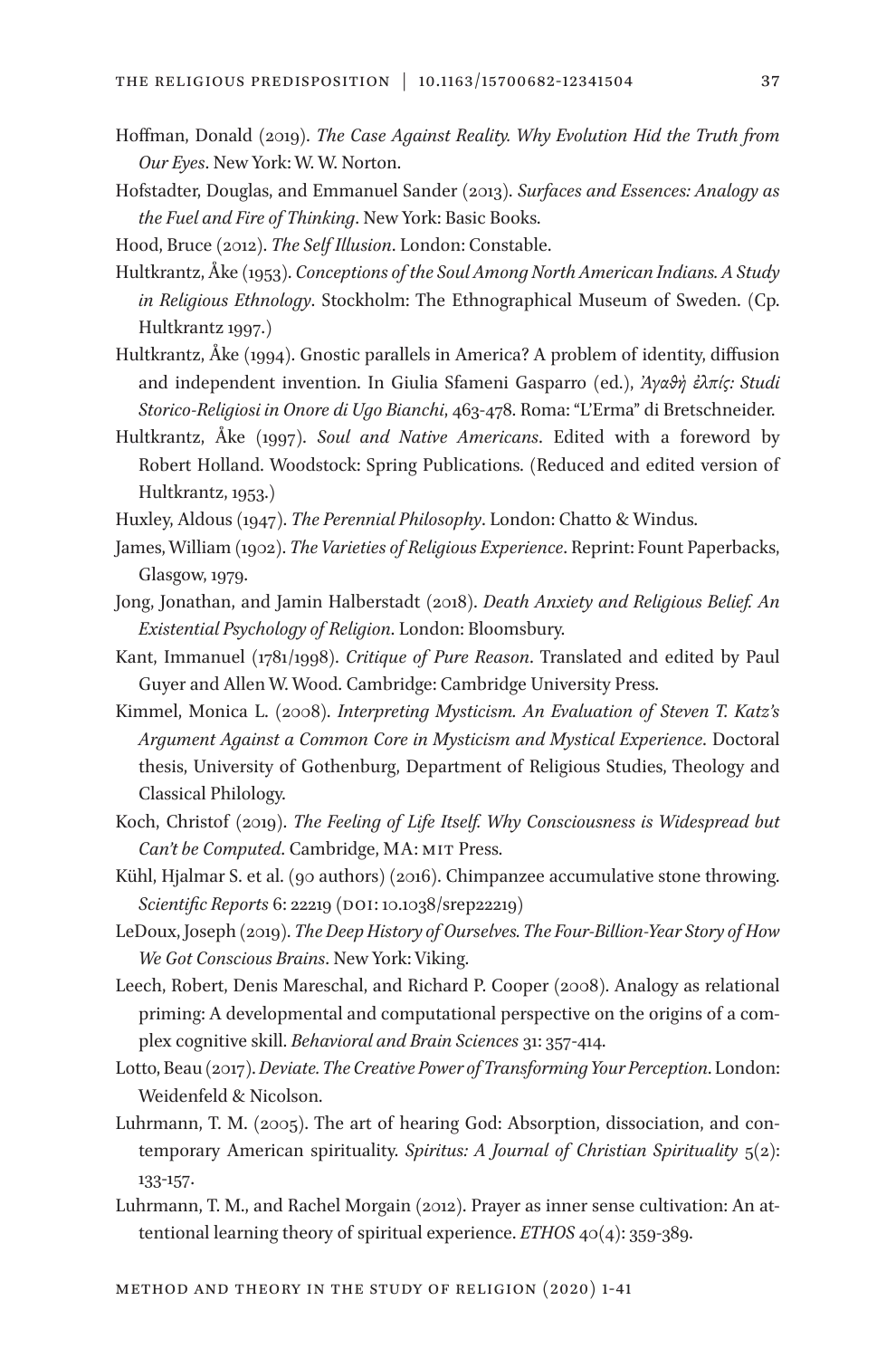- Hoffman, Donald (2019). *The Case Against Reality. Why Evolution Hid the Truth from Our Eyes*. New York: W. W. Norton.
- Hofstadter, Douglas, and Emmanuel Sander (2013). *Surfaces and Essences: Analogy as the Fuel and Fire of Thinking*. New York: Basic Books.
- Hood, Bruce (2012). *The Self Illusion*. London: Constable.
- Hultkrantz, Åke (1953). *Conceptions of the Soul Among North American Indians. A Study in Religious Ethnology*. Stockholm: The Ethnographical Museum of Sweden. (Cp. Hultkrantz 1997.)
- Hultkrantz, Åke (1994). Gnostic parallels in America? A problem of identity, diffusion and independent invention. In Giulia Sfameni Gasparro (ed.), *Ἀγαθὴ ἐλπίς: Studi Storico-Religiosi in Onore di Ugo Bianchi*, 463-478. Roma: "L'Erma" di Bretschneider.
- Hultkrantz, Åke (1997). *Soul and Native Americans*. Edited with a foreword by Robert Holland. Woodstock: Spring Publications. (Reduced and edited version of Hultkrantz, 1953.)
- Huxley, Aldous (1947). *The Perennial Philosophy*. London: Chatto & Windus.
- James, William (1902). *The Varieties of Religious Experience*. Reprint: Fount Paperbacks, Glasgow, 1979.
- Jong, Jonathan, and Jamin Halberstadt (2018). *Death Anxiety and Religious Belief. An Existential Psychology of Religion*. London: Bloomsbury.
- Kant, Immanuel (1781/1998). *Critique of Pure Reason*. Translated and edited by Paul Guyer and Allen W. Wood. Cambridge: Cambridge University Press.
- Kimmel, Monica L. (2008). *Interpreting Mysticism. An Evaluation of Steven T. Katz's Argument Against a Common Core in Mysticism and Mystical Experience*. Doctoral thesis, University of Gothenburg, Department of Religious Studies, Theology and Classical Philology.
- Koch, Christof (2019). *The Feeling of Life Itself. Why Consciousness is Widespread but Can't be Computed*. Cambridge, MA: MIT Press.
- Kühl, Hjalmar S. et al. (90 authors) (2016). Chimpanzee accumulative stone throwing. *Scientific Reports* 6: 22219 (DOI: 10.1038/srep22219)
- LeDoux, Joseph (2019). *The Deep History of Ourselves. The Four-Billion-Year Story of How We Got Conscious Brains*. New York: Viking.
- Leech, Robert, Denis Mareschal, and Richard P. Cooper (2008). Analogy as relational priming: A developmental and computational perspective on the origins of a complex cognitive skill. *Behavioral and Brain Sciences* 31: 357-414.
- Lotto, Beau (2017). *Deviate. The Creative Power of Transforming Your Perception*. London: Weidenfeld & Nicolson.
- Luhrmann, T. M. (2005). The art of hearing God: Absorption, dissociation, and contemporary American spirituality. *Spiritus: A Journal of Christian Spirituality* 5(2): 133-157.
- Luhrmann, T. M., and Rachel Morgain (2012). Prayer as inner sense cultivation: An attentional learning theory of spiritual experience. *ETHOS* 40(4): 359-389.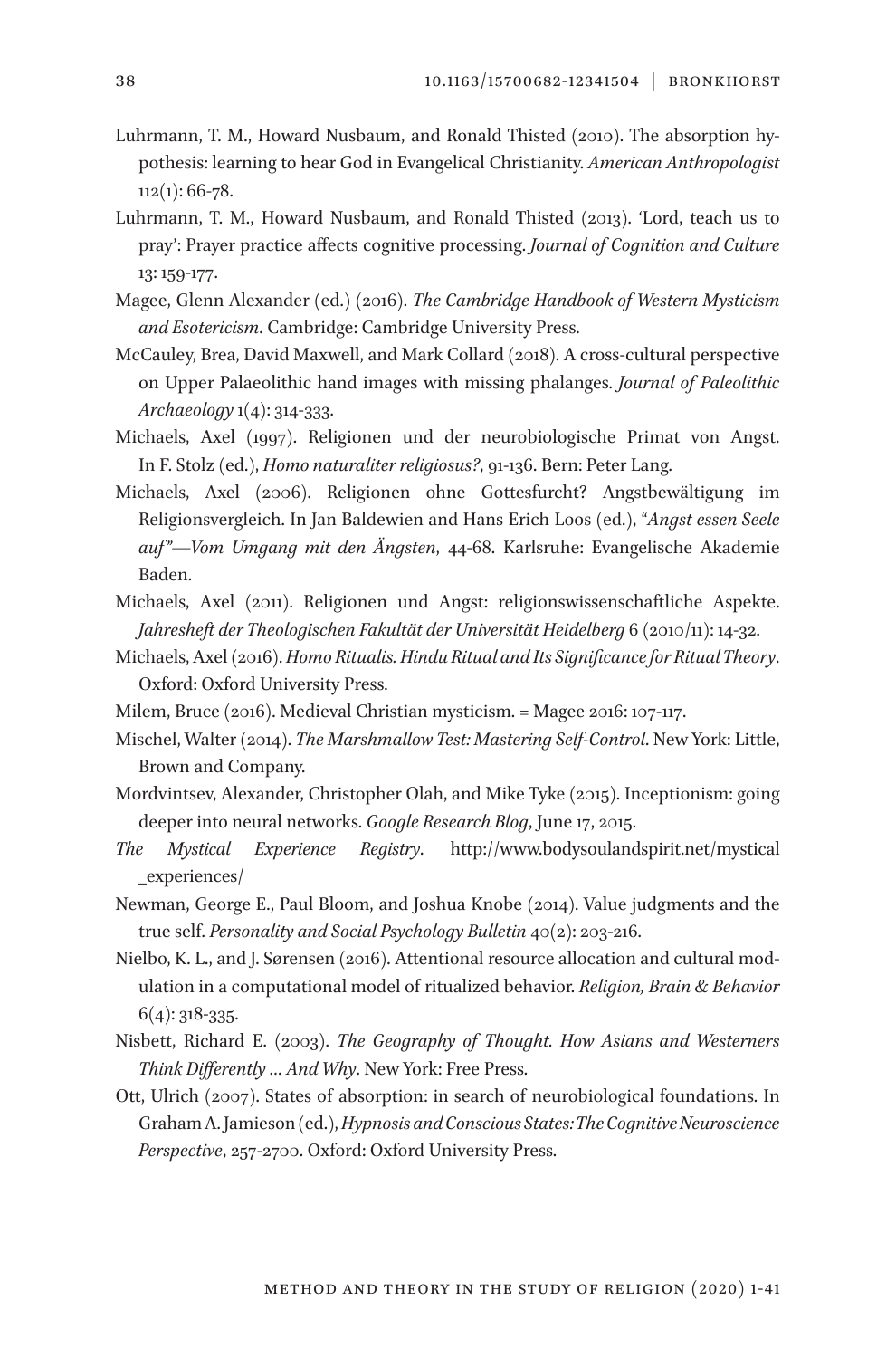- Luhrmann, T. M., Howard Nusbaum, and Ronald Thisted (2010). The absorption hypothesis: learning to hear God in Evangelical Christianity. *American Anthropologist* 112(1): 66-78.
- Luhrmann, T. M., Howard Nusbaum, and Ronald Thisted (2013). 'Lord, teach us to pray': Prayer practice affects cognitive processing. *Journal of Cognition and Culture* 13: 159-177.
- Magee, Glenn Alexander (ed.) (2016). *The Cambridge Handbook of Western Mysticism and Esotericism*. Cambridge: Cambridge University Press.
- McCauley, Brea, David Maxwell, and Mark Collard (2018). A cross-cultural perspective on Upper Palaeolithic hand images with missing phalanges. *Journal of Paleolithic Archaeology* 1(4): 314-333.
- Michaels, Axel (1997). Religionen und der neurobiologische Primat von Angst. In F. Stolz (ed.), *Homo naturaliter religiosus?*, 91-136. Bern: Peter Lang.
- Michaels, Axel (2006). Religionen ohne Gottesfurcht? Angstbewältigung im Religionsvergleich. In Jan Baldewien and Hans Erich Loos (ed.), "*Angst essen Seele auf"—Vom Umgang mit den Ängsten*, 44-68. Karlsruhe: Evangelische Akademie Baden.
- Michaels, Axel (2011). Religionen und Angst: religionswissenschaftliche Aspekte. *Jahresheft der Theologischen Fakultät der Universität Heidelberg* 6 (2010/11): 14-32.
- Michaels, Axel (2016). *Homo Ritualis. Hindu Ritual and Its Significance for Ritual Theory*. Oxford: Oxford University Press.
- Milem, Bruce (2016). Medieval Christian mysticism. = Magee 2016: 107-117.
- Mischel, Walter (2014). *The Marshmallow Test: Mastering Self-Control*. New York: Little, Brown and Company.
- Mordvintsev, Alexander, Christopher Olah, and Mike Tyke (2015). Inceptionism: going deeper into neural networks. *Google Research Blog*, June 17, 2015.
- *The Mystical Experience Registry*. http://www.bodysoulandspirit.net/mystical \_experiences/
- Newman, George E., Paul Bloom, and Joshua Knobe (2014). Value judgments and the true self. *Personality and Social Psychology Bulletin* 40(2): 203-216.
- Nielbo, K. L., and J. Sørensen (2016). Attentional resource allocation and cultural modulation in a computational model of ritualized behavior. *Religion, Brain & Behavior* 6(4): 318-335.
- Nisbett, Richard E. (2003). *The Geography of Thought. How Asians and Westerners Think Differently … And Why*. New York: Free Press.
- Ott, Ulrich (2007). States of absorption: in search of neurobiological foundations. In Graham A.Jamieson (ed.), *Hypnosis and Conscious States: The Cognitive Neuroscience Perspective*, 257-2700. Oxford: Oxford University Press.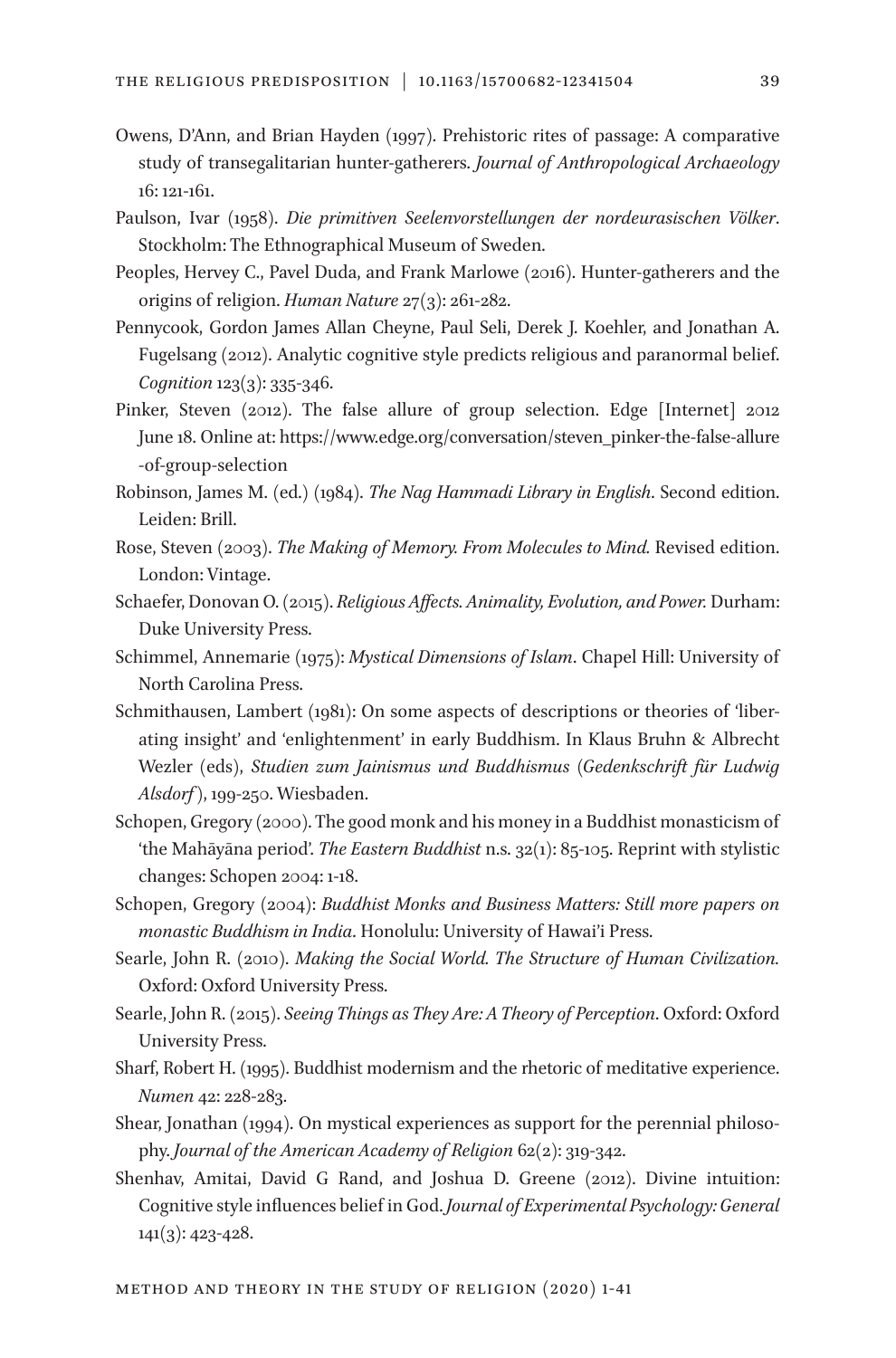- Owens, D'Ann, and Brian Hayden (1997). Prehistoric rites of passage: A comparative study of transegalitarian hunter-gatherers. *Journal of Anthropological Archaeology* 16: 121-161.
- Paulson, Ivar (1958). *Die primitiven Seelenvorstellungen der nordeurasischen Völker*. Stockholm: The Ethnographical Museum of Sweden.
- Peoples, Hervey C., Pavel Duda, and Frank Marlowe (2016). Hunter-gatherers and the origins of religion. *Human Nature* 27(3): 261-282.
- Pennycook, Gordon James Allan Cheyne, Paul Seli, Derek J. Koehler, and Jonathan A. Fugelsang (2012). Analytic cognitive style predicts religious and paranormal belief. *Cognition* 123(3): 335-346.
- Pinker, Steven (2012). The false allure of group selection. Edge [Internet] 2012 June 18. Online at: https://www.edge.org/conversation/steven\_pinker-the-false-allure -of-group-selection
- Robinson, James M. (ed.) (1984). *The Nag Hammadi Library in English*. Second edition. Leiden: Brill.
- Rose, Steven (2003). *The Making of Memory. From Molecules to Mind.* Revised edition. London: Vintage.
- Schaefer, Donovan O. (2015). *Religious Affects. Animality, Evolution, and Power.* Durham: Duke University Press.
- Schimmel, Annemarie (1975): *Mystical Dimensions of Islam*. Chapel Hill: University of North Carolina Press.
- Schmithausen, Lambert (1981): On some aspects of descriptions or theories of 'liberating insight' and 'enlightenment' in early Buddhism. In Klaus Bruhn & Albrecht Wezler (eds), *Studien zum Jainismus und Buddhismus (Gedenkschrift für Ludwig Alsdorf )*, 199-250. Wiesbaden.
- Schopen, Gregory (2000). The good monk and his money in a Buddhist monasticism of 'the Mahāyāna period'. *The Eastern Buddhist* n.s. 32(1): 85-105. Reprint with stylistic changes: Schopen 2004: 1-18.
- Schopen, Gregory (2004): *Buddhist Monks and Business Matters: Still more papers on monastic Buddhism in India*. Honolulu: University of Hawai'i Press.
- Searle, John R. (2010). *Making the Social World. The Structure of Human Civilization.* Oxford: Oxford University Press.
- Searle, John R. (2015). *Seeing Things as They Are: A Theory of Perception*. Oxford: Oxford University Press.
- Sharf, Robert H. (1995). Buddhist modernism and the rhetoric of meditative experience. *Numen* 42: 228-283.
- Shear, Jonathan (1994). On mystical experiences as support for the perennial philosophy. *Journal of the American Academy of Religion* 62(2): 319-342.
- Shenhav, Amitai, David G Rand, and Joshua D. Greene (2012). Divine intuition: Cognitive style influences belief in God. *Journal of Experimental Psychology: General* 141(3): 423-428.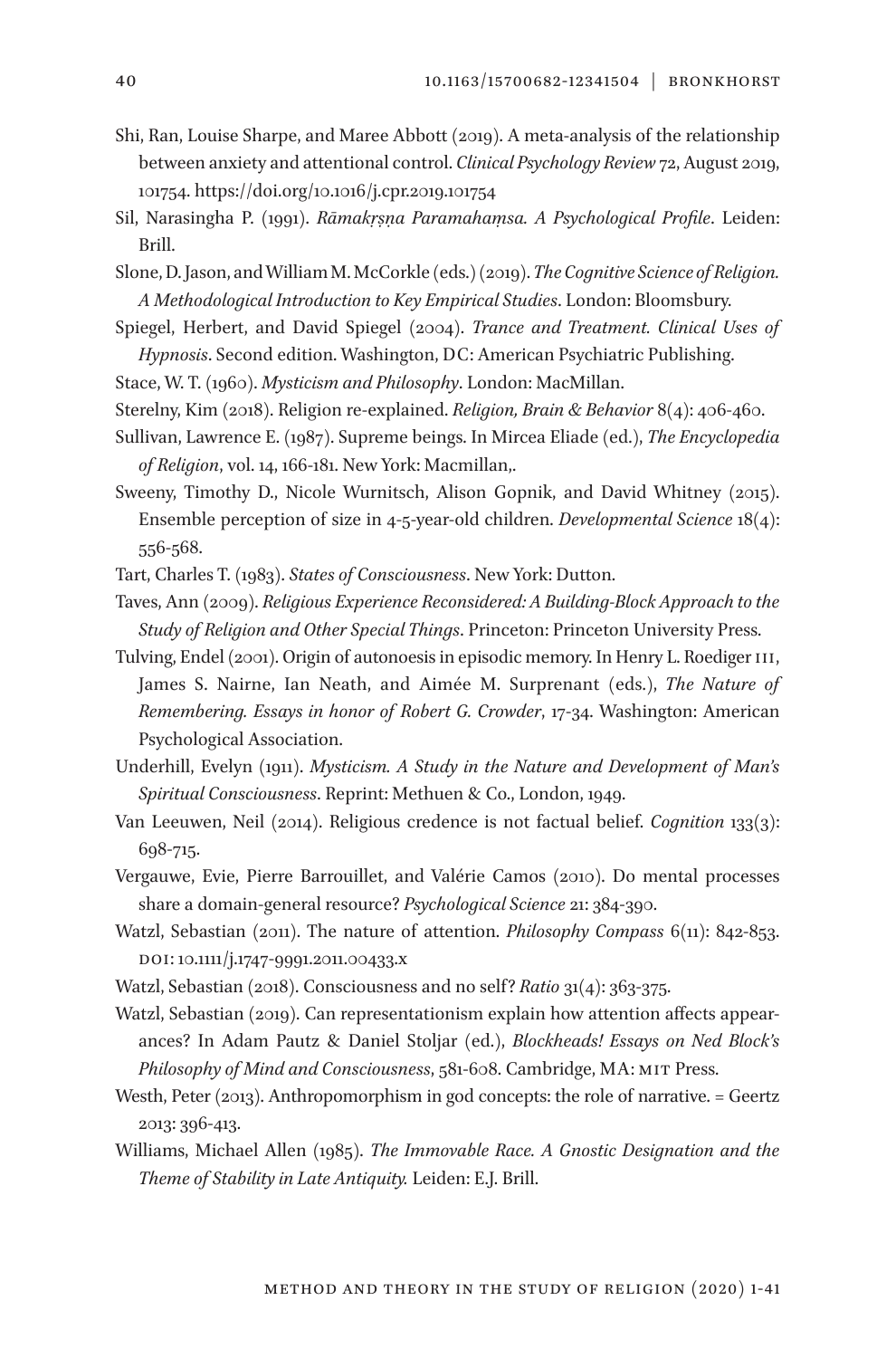- Shi, Ran, Louise Sharpe, and Maree Abbott (2019). A meta-analysis of the relationship between anxiety and attentional control. *Clinical Psychology Review* 72, August 2019, 101754. https://doi.org/10.1016/j.cpr.2019.101754
- Sil, Narasingha P. (1991). *Rāmakṛṣṇa Paramahaṃsa. A Psychological Profile*. Leiden: Brill.
- Slone, D. Jason, and William M.McCorkle (eds.) (2019). *The Cognitive Science of Religion. A Methodological Introduction to Key Empirical Studies*. London: Bloomsbury.
- Spiegel, Herbert, and David Spiegel (2004). *Trance and Treatment. Clinical Uses of Hypnosis*. Second edition. Washington, DC: American Psychiatric Publishing.
- Stace, W. T. (1960). *Mysticism and Philosophy*. London: MacMillan.
- Sterelny, Kim (2018). Religion re-explained. *Religion, Brain & Behavior* 8(4): 406-460.
- Sullivan, Lawrence E. (1987). Supreme beings. In Mircea Eliade (ed.), *The Encyclopedia of Religion*, vol. 14, 166-181. New York: Macmillan,.
- Sweeny, Timothy D., Nicole Wurnitsch, Alison Gopnik, and David Whitney (2015). Ensemble perception of size in 4-5-year-old children. *Developmental Science* 18(4): 556-568.
- Tart, Charles T. (1983). *States of Consciousness*. New York: Dutton.
- Taves, Ann (2009). *Religious Experience Reconsidered: A Building-Block Approach to the Study of Religion and Other Special Things*. Princeton: Princeton University Press.
- Tulving, Endel (2001). Origin of autonoesis in episodic memory. In Henry L. Roediger III, James S. Nairne, Ian Neath, and Aimée M. Surprenant (eds.), *The Nature of Remembering. Essays in honor of Robert G. Crowder*, 17-34. Washington: American Psychological Association.
- Underhill, Evelyn (1911). *Mysticism. A Study in the Nature and Development of Man's Spiritual Consciousness*. Reprint: Methuen & Co., London, 1949.
- Van Leeuwen, Neil (2014). Religious credence is not factual belief. *Cognition* 133(3): 698-715.
- Vergauwe, Evie, Pierre Barrouillet, and Valérie Camos (2010). Do mental processes share a domain-general resource? *Psychological Science* 21: 384-390.
- Watzl, Sebastian (2011). The nature of attention. *Philosophy Compass* 6(11): 842-853. DOI: 10.1111/j.1747-9991.2011.00433.x
- Watzl, Sebastian (2018). Consciousness and no self? *Ratio* 31(4): 363-375.
- Watzl, Sebastian (2019). Can representationism explain how attention affects appearances? In Adam Pautz & Daniel Stoljar (ed.), *Blockheads! Essays on Ned Block's Philosophy of Mind and Consciousness*, 581-608. Cambridge, MA: MIT Press.
- Westh, Peter (2013). Anthropomorphism in god concepts: the role of narrative. = Geertz 2013: 396-413.
- Williams, Michael Allen (1985). *The Immovable Race. A Gnostic Designation and the Theme of Stability in Late Antiquity.* Leiden: E.J. Brill.